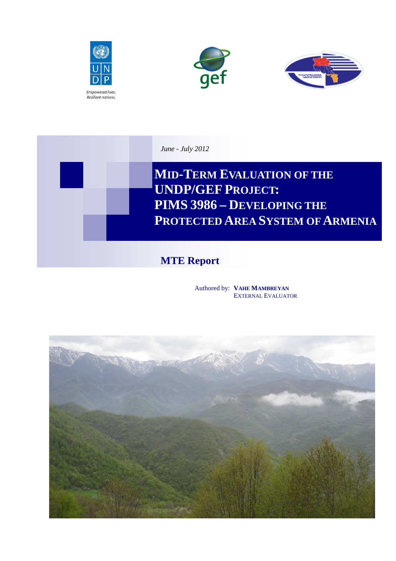







# **MTE Report**

Authored by: **VAHE MAMBREYAN** EXTERNAL EVALUATOR

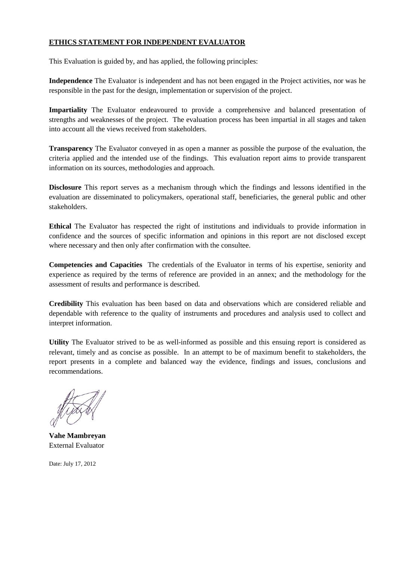### **ETHICS STATEMENT FOR INDEPENDENT EVALUATOR**

This Evaluation is guided by, and has applied, the following principles:

**Independence** The Evaluator is independent and has not been engaged in the Project activities, nor was he responsible in the past for the design, implementation or supervision of the project.

**Impartiality** The Evaluator endeavoured to provide a comprehensive and balanced presentation of strengths and weaknesses of the project. The evaluation process has been impartial in all stages and taken into account all the views received from stakeholders.

**Transparency** The Evaluator conveyed in as open a manner as possible the purpose of the evaluation, the criteria applied and the intended use of the findings. This evaluation report aims to provide transparent information on its sources, methodologies and approach.

**Disclosure** This report serves as a mechanism through which the findings and lessons identified in the evaluation are disseminated to policymakers, operational staff, beneficiaries, the general public and other stakeholders.

**Ethical** The Evaluator has respected the right of institutions and individuals to provide information in confidence and the sources of specific information and opinions in this report are not disclosed except where necessary and then only after confirmation with the consultee.

**Competencies and Capacities** The credentials of the Evaluator in terms of his expertise, seniority and experience as required by the terms of reference are provided in an annex; and the methodology for the assessment of results and performance is described.

**Credibility** This evaluation has been based on data and observations which are considered reliable and dependable with reference to the quality of instruments and procedures and analysis used to collect and interpret information.

**Utility** The Evaluator strived to be as well-informed as possible and this ensuing report is considered as relevant, timely and as concise as possible. In an attempt to be of maximum benefit to stakeholders, the report presents in a complete and balanced way the evidence, findings and issues, conclusions and recommendations.

**Vahe Mambreyan** External Evaluator

Date: July 17, 2012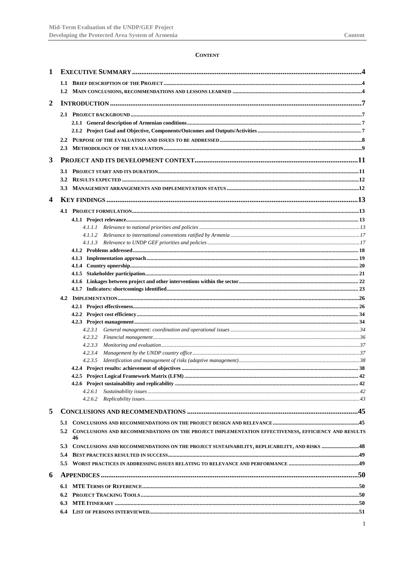#### **CONTENT**

| 1 |                                                                                                                  |  |
|---|------------------------------------------------------------------------------------------------------------------|--|
|   |                                                                                                                  |  |
|   |                                                                                                                  |  |
| 2 |                                                                                                                  |  |
|   |                                                                                                                  |  |
|   |                                                                                                                  |  |
|   |                                                                                                                  |  |
|   |                                                                                                                  |  |
|   |                                                                                                                  |  |
| 3 |                                                                                                                  |  |
|   |                                                                                                                  |  |
|   | $3.2^{\circ}$                                                                                                    |  |
|   |                                                                                                                  |  |
| 4 |                                                                                                                  |  |
|   |                                                                                                                  |  |
|   |                                                                                                                  |  |
|   |                                                                                                                  |  |
|   |                                                                                                                  |  |
|   |                                                                                                                  |  |
|   |                                                                                                                  |  |
|   |                                                                                                                  |  |
|   |                                                                                                                  |  |
|   |                                                                                                                  |  |
|   |                                                                                                                  |  |
|   | 4.2                                                                                                              |  |
|   |                                                                                                                  |  |
|   |                                                                                                                  |  |
|   | 4.2.3.1                                                                                                          |  |
|   | 4.2.3.2                                                                                                          |  |
|   | 4.2.3.3                                                                                                          |  |
|   | 4.2.3.4                                                                                                          |  |
|   | 4.2.3.5                                                                                                          |  |
|   |                                                                                                                  |  |
|   |                                                                                                                  |  |
|   | 4.2.6.1                                                                                                          |  |
|   |                                                                                                                  |  |
| 5 |                                                                                                                  |  |
|   | 5.1                                                                                                              |  |
|   | CONCLUSIONS AND RECOMMENDATIONS ON THE PROJECT IMPLEMENTATION EFFECTIVENESS, EFFICIENCY AND RESULTS<br>5.2<br>46 |  |
|   | 5.3<br>CONCLUSIONS AND RECOMMENDATIONS ON THE PROJECT SUSTAINABILITY, REPLICABILITY, AND RISKS  48               |  |
|   | 5.4                                                                                                              |  |
|   | 5.5                                                                                                              |  |
| 6 |                                                                                                                  |  |
|   | 6.1                                                                                                              |  |
|   | 6.2                                                                                                              |  |
|   | 6.3                                                                                                              |  |
|   | 6.4                                                                                                              |  |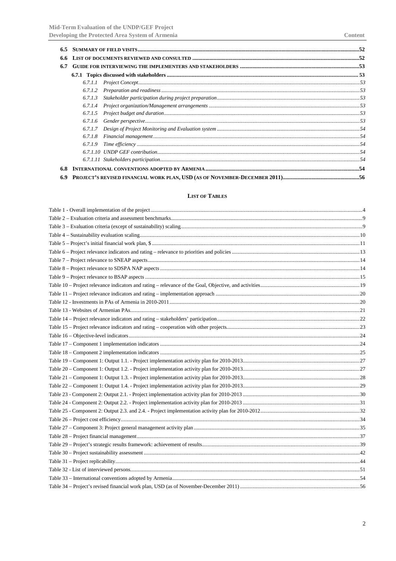| 6.6 |         |  |  |  |
|-----|---------|--|--|--|
| 6.7 |         |  |  |  |
|     |         |  |  |  |
|     |         |  |  |  |
|     | 6.7.1.2 |  |  |  |
|     | 6.7.1.3 |  |  |  |
|     | 6.7.1.4 |  |  |  |
|     | 6.7.1.5 |  |  |  |
|     | 6.7.1.6 |  |  |  |
|     |         |  |  |  |
|     | 6.7.1.8 |  |  |  |
|     | 6.7.1.9 |  |  |  |
|     |         |  |  |  |
|     |         |  |  |  |
|     |         |  |  |  |
| 6.9 |         |  |  |  |

#### **LIST OF TABLES**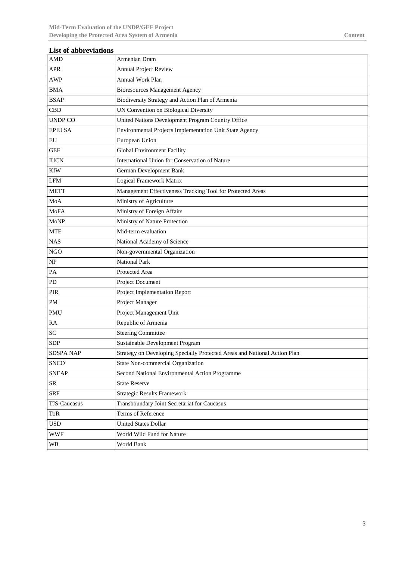| <b>List of abbreviations</b>      |                                                                           |  |  |
|-----------------------------------|---------------------------------------------------------------------------|--|--|
| <b>AMD</b>                        | Armenian Dram                                                             |  |  |
| <b>APR</b>                        | Annual Project Review                                                     |  |  |
| <b>AWP</b>                        | Annual Work Plan                                                          |  |  |
| <b>BMA</b>                        | <b>Bioresources Management Agency</b>                                     |  |  |
| <b>BSAP</b>                       | Biodiversity Strategy and Action Plan of Armenia                          |  |  |
| <b>CBD</b>                        | UN Convention on Biological Diversity                                     |  |  |
| <b>UNDP CO</b>                    | United Nations Development Program Country Office                         |  |  |
| <b>EPIU SA</b>                    | Environmental Projects Implementation Unit State Agency                   |  |  |
| EU                                | European Union                                                            |  |  |
| <b>GEF</b>                        | Global Environment Facility                                               |  |  |
| <b>IUCN</b>                       | International Union for Conservation of Nature                            |  |  |
| <b>KfW</b>                        | German Development Bank                                                   |  |  |
| LFM                               | Logical Framework Matrix                                                  |  |  |
| <b>METT</b>                       | Management Effectiveness Tracking Tool for Protected Areas                |  |  |
| MoA                               | Ministry of Agriculture                                                   |  |  |
| MoFA                              | Ministry of Foreign Affairs                                               |  |  |
| <b>MoNP</b>                       | Ministry of Nature Protection                                             |  |  |
| <b>MTE</b><br>Mid-term evaluation |                                                                           |  |  |
| <b>NAS</b>                        | National Academy of Science                                               |  |  |
| $_{\rm NGO}$                      | Non-governmental Organization                                             |  |  |
| NP                                | <b>National Park</b>                                                      |  |  |
| PA                                | Protected Area                                                            |  |  |
| PD                                | Project Document                                                          |  |  |
| PIR                               | Project Implementation Report                                             |  |  |
| $\mathbf{PM}$                     | Project Manager                                                           |  |  |
| PMU                               | Project Management Unit                                                   |  |  |
| RA                                | Republic of Armenia                                                       |  |  |
| SC                                | <b>Steering Committee</b>                                                 |  |  |
| <b>SDP</b>                        | Sustainable Development Program                                           |  |  |
| <b>SDSPA NAP</b>                  | Strategy on Developing Specially Protected Areas and National Action Plan |  |  |
| <b>SNCO</b>                       | State Non-commercial Organization                                         |  |  |
| <b>SNEAP</b>                      | Second National Environmental Action Programme                            |  |  |
| ${\sf SR}$                        | <b>State Reserve</b>                                                      |  |  |
| <b>SRF</b>                        | <b>Strategic Results Framework</b>                                        |  |  |
| TJS-Caucasus                      | Transboundary Joint Secretariat for Caucasus                              |  |  |
| ToR                               | Terms of Reference                                                        |  |  |
| <b>USD</b>                        | <b>United States Dollar</b>                                               |  |  |
| <b>WWF</b>                        | World Wild Fund for Nature                                                |  |  |
| <b>WB</b>                         | World Bank                                                                |  |  |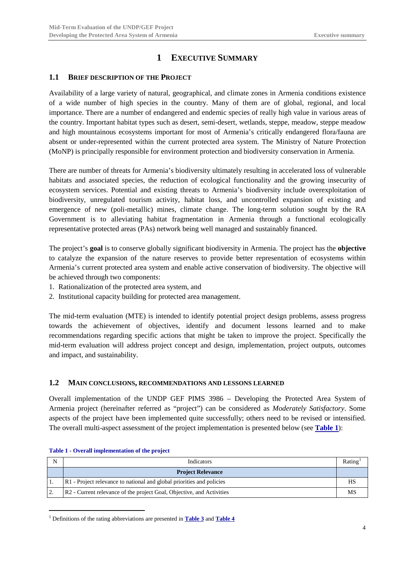## **1 EXECUTIVE SUMMARY**

### <span id="page-5-1"></span><span id="page-5-0"></span>**1.1 BRIEF DESCRIPTION OF THE PROJECT**

Availability of a large variety of natural, geographical, and climate zones in Armenia conditions existence of a wide number of high species in the country. Many of them are of global, regional, and local importance. There are a number of endangered and endemic species of really high value in various areas of the country. Important habitat types such as desert, semi-desert, wetlands, steppe, meadow, steppe meadow and high mountainous ecosystems important for most of Armenia's critically endangered flora/fauna are absent or under-represented within the current protected area system. The Ministry of Nature Protection (MoNP) is principally responsible for environment protection and biodiversity conservation in Armenia.

There are number of threats for Armenia's biodiversity ultimately resulting in accelerated loss of vulnerable habitats and associated species, the reduction of ecological functionality and the growing insecurity of ecosystem services. Potential and existing threats to Armenia's biodiversity include overexploitation of biodiversity, unregulated tourism activity, habitat loss, and uncontrolled expansion of existing and emergence of new (poli-metallic) mines, climate change. The long-term solution sought by the RA Government is to alleviating habitat fragmentation in Armenia through a functional ecologically representative protected areas (PAs) network being well managed and sustainably financed.

The project's **goal** is to conserve globally significant biodiversity in Armenia. The project has the **objective** to catalyze the expansion of the nature reserves to provide better representation of ecosystems within Armenia's current protected area system and enable active conservation of biodiversity. The objective will be achieved through two components:

- 1. Rationalization of the protected area system, and
- 2. Institutional capacity building for protected area management.

The mid-term evaluation (MTE) is intended to identify potential project design problems, assess progress towards the achievement of objectives, identify and document lessons learned and to make recommendations regarding specific actions that might be taken to improve the project. Specifically the mid-term evaluation will address project concept and design, implementation, project outputs, outcomes and impact, and sustainability.

#### <span id="page-5-2"></span>**1.2 MAIN CONCLUSIONS, RECOMMENDATIONS AND LESSONS LEARNED**

Overall implementation of the UNDP GEF PIMS 3986 – Developing the Protected Area System of Armenia project (hereinafter referred as "project") can be considered as *Moderately Satisfactory*. Some aspects of the project have been implemented quite successfully; others need to be revised or intensified. The overall multi-aspect assessment of the project implementation is presented below (see **[Table 1](#page-5-3)**):

| N         | <b>Indicators</b>                                                                 | Rating |
|-----------|-----------------------------------------------------------------------------------|--------|
|           | <b>Project Relevance</b>                                                          |        |
|           | R1 - Project relevance to national and global priorities and policies             | HS     |
| $\bigcap$ | R <sub>2</sub> - Current relevance of the project Goal, Objective, and Activities | MS     |

#### <span id="page-5-3"></span>**Table 1 - Overall implementation of the project**

<span id="page-5-4"></span> <sup>1</sup> Definitions of the rating abbreviations are presented in **[Table 3](#page-10-2)** and **[Table 4](#page-11-0)**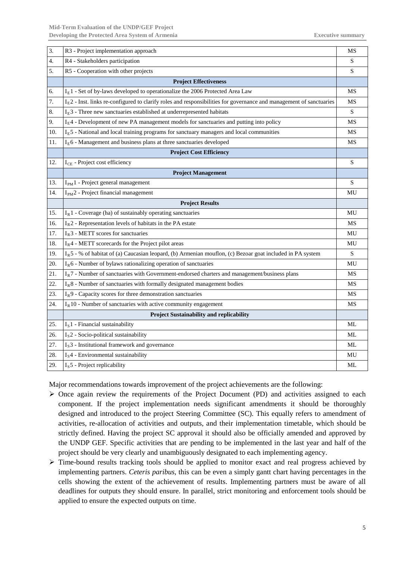| 3.  | R3 - Project implementation approach                                                                                  | MS |
|-----|-----------------------------------------------------------------------------------------------------------------------|----|
| 4.  | R4 - Stakeholders participation                                                                                       | S  |
| 5.  | R5 - Cooperation with other projects                                                                                  | S  |
|     | <b>Project Effectiveness</b>                                                                                          |    |
| 6.  | I <sub>E</sub> 1 - Set of by-laws developed to operationalize the 2006 Protected Area Law                             | MS |
| 7.  | $IE$ 2 - Inst. links re-configured to clarify roles and responsibilities for governance and management of sanctuaries | MS |
| 8.  | $IE$ 3 - Three new sanctuaries established at underrepresented habitats                                               | S  |
| 9.  | $IE4$ - Development of new PA management models for sanctuaries and putting into policy                               | MS |
| 10. | $IE5$ - National and local training programs for sanctuary managers and local communities                             | MS |
| 11. | I <sub>E</sub> 6 - Management and business plans at three sanctuaries developed                                       | МS |
|     | <b>Project Cost Efficiency</b>                                                                                        |    |
| 12. | I <sub>CE</sub> - Project cost efficiency                                                                             | S  |
|     | <b>Project Management</b>                                                                                             |    |
| 13. | $I_{PM}$ 1 - Project general management                                                                               | S  |
| 14. | I <sub>PM</sub> 2 - Project financial management                                                                      | MU |
|     | <b>Project Results</b>                                                                                                |    |
| 15. | $I_R$ 1 - Coverage (ha) of sustainably operating sanctuaries                                                          | MU |
| 16. | $I_R$ 2 - Representation levels of habitats in the PA estate                                                          | MS |
| 17. | $I_R$ 3 - METT scores for sanctuaries                                                                                 | MU |
| 18. | $I_R$ 4 - METT scorecards for the Project pilot areas                                                                 | MU |
| 19. | $I_R$ 5 - % of habitat of (a) Caucasian leopard, (b) Armenian mouflon, (c) Bezoar goat included in PA system          | S  |
| 20. | $IR6$ - Number of bylaws rationalizing operation of sanctuaries                                                       | MU |
| 21. | $I_R$ 7 - Number of sanctuaries with Government-endorsed charters and management/business plans                       | MS |
| 22. | $I_R$ 8 - Number of sanctuaries with formally designated management bodies                                            | MS |
| 23. | $I_R$ 9 - Capacity scores for three demonstration sanctuaries                                                         | МS |
| 24. | $I_R$ 10 - Number of sanctuaries with active community engagement                                                     | MS |
|     | <b>Project Sustainability and replicability</b>                                                                       |    |
| 25. | $IS1$ - Financial sustainability                                                                                      | ML |
| 26. | $IS2$ - Socio-political sustainability                                                                                | ML |
| 27. | $IS$ 3 - Institutional framework and governance                                                                       | ML |
| 28. | $IS4$ - Environmental sustainability                                                                                  | MU |
| 29. | $Is$ 5 - Project replicability                                                                                        | ML |

Major recommendations towards improvement of the project achievements are the following:

- $\triangleright$  Once again review the requirements of the Project Document (PD) and activities assigned to each component. If the project implementation needs significant amendments it should be thoroughly designed and introduced to the project Steering Committee (SC). This equally refers to amendment of activities, re-allocation of activities and outputs, and their implementation timetable, which should be strictly defined. Having the project SC approval it should also be officially amended and approved by the UNDP GEF. Specific activities that are pending to be implemented in the last year and half of the project should be very clearly and unambiguously designated to each implementing agency.
- $\triangleright$  Time-bound results tracking tools should be applied to monitor exact and real progress achieved by implementing partners. *Ceteris paribus*, this can be even a simply gantt chart having percentages in the cells showing the extent of the achievement of results. Implementing partners must be aware of all deadlines for outputs they should ensure. In parallel, strict monitoring and enforcement tools should be applied to ensure the expected outputs on time.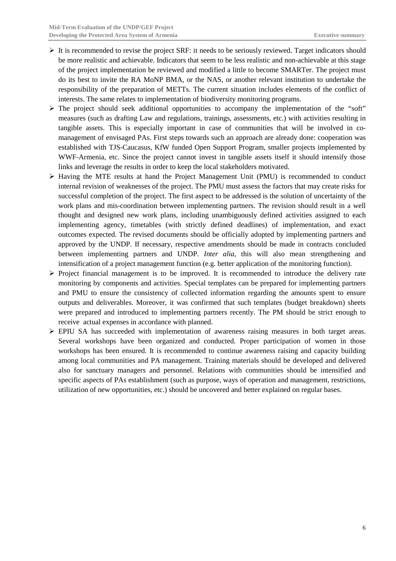- $\triangleright$  It is recommended to revise the project SRF: it needs to be seriously reviewed. Target indicators should be more realistic and achievable. Indicators that seem to be less realistic and non-achievable at this stage of the project implementation be reviewed and modified a little to become SMARTer. The project must do its best to invite the RA MoNP BMA, or the NAS, or another relevant institution to undertake the responsibility of the preparation of METTs. The current situation includes elements of the conflict of interests. The same relates to implementation of biodiversity monitoring programs.
- $\triangleright$  The project should seek additional opportunities to accompany the implementation of the "soft" measures (such as drafting Law and regulations, trainings, assessments, etc.) with activities resulting in tangible assets. This is especially important in case of communities that will be involved in comanagement of envisaged PAs. First steps towards such an approach are already done: cooperation was established with TJS-Caucasus, KfW funded Open Support Program, smaller projects implemented by WWF-Armenia, etc. Since the project cannot invest in tangible assets itself it should intensify those links and leverage the results in order to keep the local stakeholders motivated.
- $\triangleright$  Having the MTE results at hand the Project Management Unit (PMU) is recommended to conduct internal revision of weaknesses of the project. The PMU must assess the factors that may create risks for successful completion of the project. The first aspect to be addressed is the solution of uncertainty of the work plans and mis-coordination between implementing partners. The revision should result in a well thought and designed new work plans, including unambiguously defined activities assigned to each implementing agency, timetables (with strictly defined deadlines) of implementation, and exact outcomes expected. The revised documents should be officially adopted by implementing partners and approved by the UNDP. If necessary, respective amendments should be made in contracts concluded between implementing partners and UNDP. *Inter alia*, this will also mean strengthening and intensification of a project management function (e.g. better application of the monitoring function).
- $\triangleright$  Project financial management is to be improved. It is recommended to introduce the delivery rate monitoring by components and activities. Special templates can be prepared for implementing partners and PMU to ensure the consistency of collected information regarding the amounts spent to ensure outputs and deliverables. Moreover, it was confirmed that such templates (budget breakdown) sheets were prepared and introduced to implementing partners recently. The PM should be strict enough to receive actual expenses in accordance with planned.
- EPIU SA has succeeded with implementation of awareness raising measures in both target areas. Several workshops have been organized and conducted. Proper participation of women in those workshops has been ensured. It is recommended to continue awareness raising and capacity building among local communities and PA management. Training materials should be developed and delivered also for sanctuary managers and personnel. Relations with communities should be intensified and specific aspects of PAs establishment (such as purpose, ways of operation and management, restrictions, utilization of new opportunities, etc.) should be uncovered and better explained on regular bases.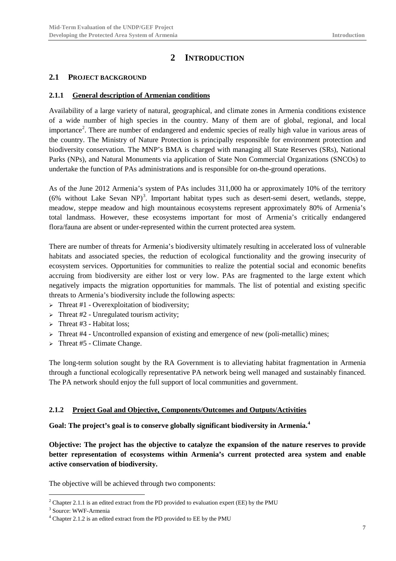## **2 INTRODUCTION**

### <span id="page-8-1"></span><span id="page-8-0"></span>**2.1 PROJECT BACKGROUND**

### <span id="page-8-2"></span>**2.1.1 General description of Armenian conditions**

Availability of a large variety of natural, geographical, and climate zones in Armenia conditions existence of a wide number of high species in the country. Many of them are of global, regional, and local importance<sup>[2](#page-8-4)</sup>. There are number of endangered and endemic species of really high value in various areas of the country. The Ministry of Nature Protection is principally responsible for environment protection and biodiversity conservation. The MNP's BMA is charged with managing all State Reserves (SRs), National Parks (NPs), and Natural Monuments via application of State Non Commercial Organizations (SNCOs) to undertake the function of PAs administrations and is responsible for on-the-ground operations.

As of the June 2012 Armenia's system of PAs includes 311,000 ha or approximately 10% of the territory (6% without Lake Sevan NP)<sup>[3](#page-8-5)</sup>. Important habitat types such as desert-semi desert, wetlands, steppe, meadow, steppe meadow and high mountainous ecosystems represent approximately 80% of Armenia's total landmass. However, these ecosystems important for most of Armenia's critically endangered flora/fauna are absent or under-represented within the current protected area system.

There are number of threats for Armenia's biodiversity ultimately resulting in accelerated loss of vulnerable habitats and associated species, the reduction of ecological functionality and the growing insecurity of ecosystem services. Opportunities for communities to realize the potential social and economic benefits accruing from biodiversity are either lost or very low. PAs are fragmented to the large extent which negatively impacts the migration opportunities for mammals. The list of potential and existing specific threats to Armenia's biodiversity include the following aspects:

- $\triangleright$  Threat #1 Overexploitation of biodiversity;
- $\triangleright$  Threat #2 Unregulated tourism activity;
- > Threat  $#3$  Habitat loss;
- $\triangleright$  Threat #4 Uncontrolled expansion of existing and emergence of new (poli-metallic) mines;
- $\triangleright$  Threat #5 Climate Change.

The long-term solution sought by the RA Government is to alleviating habitat fragmentation in Armenia through a functional ecologically representative PA network being well managed and sustainably financed. The PA network should enjoy the full support of local communities and government.

### <span id="page-8-3"></span>**2.1.2 Project Goal and Objective, Components/Outcomes and Outputs/Activities**

**Goal: The project's goal is to conserve globally significant biodiversity in Armenia.[4](#page-8-6)**

**Objective: The project has the objective to catalyze the expansion of the nature reserves to provide better representation of ecosystems within Armenia's current protected area system and enable active conservation of biodiversity.** 

The objective will be achieved through two components:

<span id="page-8-4"></span> $2$  Chapter 2.1.1 is an edited extract from the PD provided to evaluation expert (EE) by the PMU

<span id="page-8-5"></span><sup>3</sup> Source: WWF-Armenia

<span id="page-8-6"></span> $4$  Chapter 2.1.2 is an edited extract from the PD provided to EE by the PMU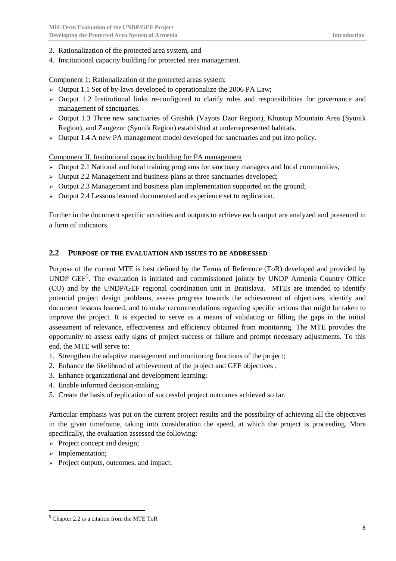- 3. Rationalization of the protected area system, and
- 4. Institutional capacity building for protected area management.

Component 1: Rationalization of the protected areas system:

- $\triangleright$  Output 1.1 Set of by-laws developed to operationalize the 2006 PA Law;
- $\geq$  Output 1.2 Institutional links re-configured to clarify roles and responsibilities for governance and management of sanctuaries.
- Output 1.3 Three new sanctuaries of Gnishik (Vayots Dzor Region), Khustup Mountain Area (Syunik Region), and Zangezur (Syunik Region) established at underrepresented habitats.
- $\triangleright$  Output 1.4 A new PA management model developed for sanctuaries and put into policy.

### Component II. Institutional capacity building for PA management

- $\triangleright$  Output 2.1 National and local training programs for sanctuary managers and local communities;
- $\triangleright$  Output 2.2 Management and business plans at three sanctuaries developed;
- $\geq$  Output 2.3 Management and business plan implementation supported on the ground;
- $\triangleright$  Output 2.4 Lessons learned documented and experience set to replication.

Further in the document specific activities and outputs to achieve each output are analyzed and presented in a form of indicators.

### <span id="page-9-0"></span>**2.2 PURPOSE OF THE EVALUATION AND ISSUES TO BE ADDRESSED**

Purpose of the current MTE is best defined by the Terms of Reference (ToR) developed and provided by UNDP GEF<sup>[5](#page-9-1)</sup>. The evaluation is initiated and commissioned jointly by UNDP Armenia Country Office (CO) and by the UNDP/GEF regional coordination unit in Bratislava. MTEs are intended to identify potential project design problems, assess progress towards the achievement of objectives, identify and document lessons learned, and to make recommendations regarding specific actions that might be taken to improve the project. It is expected to serve as a means of validating or filling the gaps in the initial assessment of relevance, effectiveness and efficiency obtained from monitoring. The MTE provides the opportunity to assess early signs of project success or failure and prompt necessary adjustments. To this end, the MTE will serve to:

- 1. Strengthen the adaptive management and monitoring functions of the project;
- 2. Enhance the likelihood of achievement of the project and GEF objectives ;
- 3. Enhance organizational and development learning;
- 4. Enable informed decision-making;
- 5. Create the basis of replication of successful project outcomes achieved so far.

Particular emphasis was put on the current project results and the possibility of achieving all the objectives in the given timeframe, taking into consideration the speed, at which the project is proceeding. More specifically, the evaluation assessed the following:

- $\triangleright$  Project concept and design;
- > Implementation;
- $\triangleright$  Project outputs, outcomes, and impact.

<span id="page-9-1"></span> $<sup>5</sup>$  Chapter 2.2 is a citation from the MTE ToR</sup>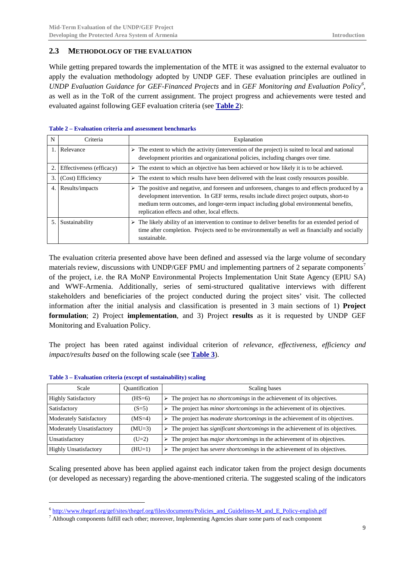### <span id="page-10-0"></span>**2.3 METHODOLOGY OF THE EVALUATION**

While getting prepared towards the implementation of the MTE it was assigned to the external evaluator to apply the evaluation methodology adopted by UNDP GEF. These evaluation principles are outlined in *UNDP Evaluation Guidance for GEF-Financed Projects* and in *GEF Monitoring and Evaluation Policy[6](#page-10-3)* , as well as in the ToR of the current assignment. The project progress and achievements were tested and evaluated against following GEF evaluation criteria (see **[Table 2](#page-10-1)**):

| N  | Criteria                 | Explanation                                                                                                                                                                                                                                                                                                                        |
|----|--------------------------|------------------------------------------------------------------------------------------------------------------------------------------------------------------------------------------------------------------------------------------------------------------------------------------------------------------------------------|
|    | Relevance                | $\triangleright$ The extent to which the activity (intervention of the project) is suited to local and national<br>development priorities and organizational policies, including changes over time.                                                                                                                                |
|    | Effectiveness (efficacy) | $\triangleright$ The extent to which an objective has been achieved or how likely it is to be achieved.                                                                                                                                                                                                                            |
| 3. | (Cost) Efficiency        | $\triangleright$ The extent to which results have been delivered with the least costly resources possible.                                                                                                                                                                                                                         |
| 4. | Results/impacts          | The positive and negative, and foreseen and unforeseen, changes to and effects produced by a<br>development intervention. In GEF terms, results include direct project outputs, short-to<br>medium term outcomes, and longer-term impact including global environmental benefits,<br>replication effects and other, local effects. |
|    | Sustainability           | The likely ability of an intervention to continue to deliver benefits for an extended period of<br>time after completion. Projects need to be environmentally as well as financially and socially<br>sustainable.                                                                                                                  |

#### <span id="page-10-1"></span>**Table 2 – Evaluation criteria and assessment benchmarks**

The evaluation criteria presented above have been defined and assessed via the large volume of secondary materials review, discussions with UNDP/GEF PMU and implementing partners of 2 separate components<sup>[7](#page-10-4)</sup> of the project, i.e. the RA MoNP Environmental Projects Implementation Unit State Agency (EPIU SA) and WWF-Armenia. Additionally, series of semi-structured qualitative interviews with different stakeholders and beneficiaries of the project conducted during the project sites' visit. The collected information after the initial analysis and classification is presented in 3 main sections of 1) **Project formulation**; 2) Project **implementation**, and 3) Project **results** as it is requested by UNDP GEF Monitoring and Evaluation Policy.

The project has been rated against individual criterion of *relevance, effectiveness, efficiency and impact/results based* on the following scale (see **[Table 3](#page-10-2)**).

| Scale                        | <b>Quantification</b> | Scaling bases                                                                                          |
|------------------------------|-----------------------|--------------------------------------------------------------------------------------------------------|
| <b>Highly Satisfactory</b>   | $(HS=6)$              | $\triangleright$ The project has <i>no shortcomings</i> in the achievement of its objectives.          |
| Satisfactory                 | $(S=5)$               | $\triangleright$ The project has <i>minor shortcomings</i> in the achievement of its objectives.       |
| Moderately Satisfactory      | $(MS=4)$              | $\triangleright$ The project has <i>moderate shortcomings</i> in the achievement of its objectives.    |
| Moderately Unsatisfactory    | $(MU=3)$              | $\triangleright$ The project has <i>significant shortcomings</i> in the achievement of its objectives. |
| Unsatisfactory               | $(U=2)$               | $\triangleright$ The project has <i>major shortcomings</i> in the achievement of its objectives.       |
| <b>Highly Unsatisfactory</b> | $(HU=1)$              | $\triangleright$ The project has <i>severe shortcomings</i> in the achievement of its objectives.      |

#### <span id="page-10-2"></span>**Table 3 – Evaluation criteria (except of sustainability) scaling**

Scaling presented above has been applied against each indicator taken from the project design documents (or developed as necessary) regarding the above-mentioned criteria. The suggested scaling of the indicators

<span id="page-10-3"></span> $6$  http://www.thegef.org/gef/sites/thegef.org/files/documents/Policies and Guidelines-M\_and\_E\_Policy-english.pdf

<span id="page-10-4"></span> $<sup>7</sup>$  Although components fulfill each other; moreover, Implementing Agencies share some parts of each component</sup>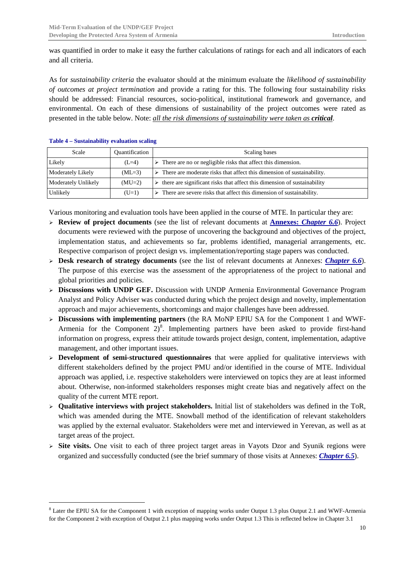was quantified in order to make it easy the further calculations of ratings for each and all indicators of each and all criteria.

As for *sustainability criteria* the evaluator should at the minimum evaluate the *likelihood of sustainability of outcomes at project termination* and provide a rating for this. The following four sustainability risks should be addressed: Financial resources, socio-political, institutional framework and governance, and environmental. On each of these dimensions of sustainability of the project outcomes were rated as presented in the table below. Note: *all the risk dimensions of sustainability were taken as critical*.

| Scale                      | Quantification | Scaling bases                                                                           |  |  |
|----------------------------|----------------|-----------------------------------------------------------------------------------------|--|--|
| Likely                     | $(L=4)$        | $\triangleright$ There are no or negligible risks that affect this dimension.           |  |  |
| <b>Moderately Likely</b>   | $(ML=3)$       | $\triangleright$ There are moderate risks that affect this dimension of sustainability. |  |  |
| <b>Moderately Unlikely</b> | $(MU=2)$       | there are significant risks that affect this dimension of sustainability<br>⋗           |  |  |
| Unlikely                   | $(U=1)$        | $\triangleright$ There are severe risks that affect this dimension of sustainability.   |  |  |

#### <span id="page-11-0"></span>**Table 4 – Sustainability evaluation scaling**

Various monitoring and evaluation tools have been applied in the course of MTE. In particular they are:

- **Review of project documents** (see the list of relevant documents at **Annexes:** *Chapter [6.6](#page-53-1)*). Project documents were reviewed with the purpose of uncovering the background and objectives of the project, implementation status, and achievements so far, problems identified, managerial arrangements, etc. Respective comparison of project design vs. implementation/reporting stage papers was conducted.
- **Desk research of strategy documents** (see the list of relevant documents at Annexes: *Chapter [6.6](#page-53-1)*). The purpose of this exercise was the assessment of the appropriateness of the project to national and global priorities and policies.
- **Discussions with UNDP GEF.** Discussion with UNDP Armenia Environmental Governance Program Analyst and Policy Adviser was conducted during which the project design and novelty, implementation approach and major achievements, shortcomings and major challenges have been addressed.
- **Discussions with implementing partners** (the RA MoNP EPIU SA for the Component 1 and WWF-Armenia for the Component  $2)^8$  $2)^8$ . Implementing partners have been asked to provide first-hand information on progress, express their attitude towards project design, content, implementation, adaptive management, and other important issues.
- **Development of semi-structured questionnaires** that were applied for qualitative interviews with different stakeholders defined by the project PMU and/or identified in the course of MTE. Individual approach was applied, i.e. respective stakeholders were interviewed on topics they are at least informed about. Otherwise, non-informed stakeholders responses might create bias and negatively affect on the quality of the current MTE report.
- **Qualitative interviews with project stakeholders.** Initial list of stakeholders was defined in the ToR, which was amended during the MTE. Snowball method of the identification of relevant stakeholders was applied by the external evaluator. Stakeholders were met and interviewed in Yerevan, as well as at target areas of the project.
- $\triangleright$  **Site visits.** One visit to each of three project target areas in Vayots Dzor and Syunik regions were organized and successfully conducted (see the brief summary of those visits at Annexes: *Chapter [6.5](#page-53-0)*).

<span id="page-11-1"></span><sup>&</sup>lt;sup>8</sup> Later the EPIU SA for the Component 1 with exception of mapping works under Output 1.3 plus Output 2.1 and WWF-Armenia for the Component 2 with exception of Output 2.1 plus mapping works under Output 1.3 This is reflected below in Chapter 3.1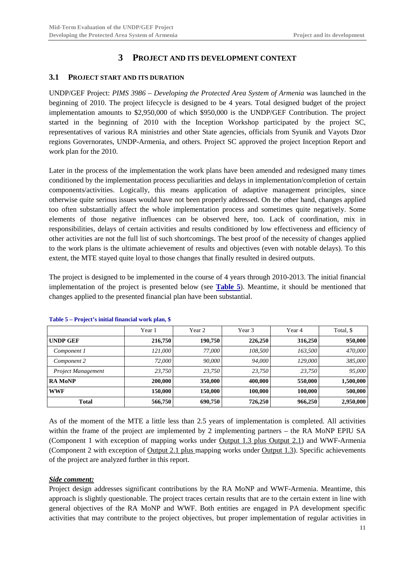## **3 PROJECT AND ITS DEVELOPMENT CONTEXT**

### <span id="page-12-1"></span><span id="page-12-0"></span>**3.1 PROJECT START AND ITS DURATION**

UNDP/GEF Project: *PIMS 3986 – Developing the Protected Area System of Armenia* was launched in the beginning of 2010. The project lifecycle is designed to be 4 years. Total designed budget of the project implementation amounts to \$2,950,000 of which \$950,000 is the UNDP/GEF Contribution. The project started in the beginning of 2010 with the Inception Workshop participated by the project SC, representatives of various RA ministries and other State agencies, officials from Syunik and Vayots Dzor regions Governorates, UNDP-Armenia, and others. Project SC approved the project Inception Report and work plan for the 2010.

Later in the process of the implementation the work plans have been amended and redesigned many times conditioned by the implementation process peculiarities and delays in implementation/completion of certain components/activities. Logically, this means application of adaptive management principles, since otherwise quite serious issues would have not been properly addressed. On the other hand, changes applied too often substantially affect the whole implementation process and sometimes quite negatively. Some elements of those negative influences can be observed here, too. Lack of coordination, mix in responsibilities, delays of certain activities and results conditioned by low effectiveness and efficiency of other activities are not the full list of such shortcomings. The best proof of the necessity of changes applied to the work plans is the ultimate achievement of results and objectives (even with notable delays). To this extent, the MTE stayed quite loyal to those changes that finally resulted in desired outputs.

The project is designed to be implemented in the course of 4 years through 2010-2013. The initial financial implementation of the project is presented below (see **[Table 5](#page-12-2)**). Meantime, it should be mentioned that changes applied to the presented financial plan have been substantial.

|                    | Year 1  | Year 2  | Year 3  | Year 4  | Total, \$ |
|--------------------|---------|---------|---------|---------|-----------|
| UNDP GEF           | 216,750 | 190.750 | 226,250 | 316,250 | 950,000   |
| Component 1        | 121.000 | 77,000  | 108.500 | 163.500 | 470,000   |
| Component 2        | 72,000  | 90,000  | 94.000  | 129.000 | 385,000   |
| Project Management | 23.750  | 23.750  | 23.750  | 23.750  | 95,000    |
| <b>RA MONP</b>     | 200,000 | 350,000 | 400,000 | 550,000 | 1,500,000 |
| <b>WWF</b>         | 150.000 | 150,000 | 100.000 | 100.000 | 500,000   |
| <b>Total</b>       | 566,750 | 690,750 | 726,250 | 966,250 | 2,950,000 |

<span id="page-12-2"></span>**Table 5 – Project's initial financial work plan, \$**

As of the moment of the MTE a little less than 2.5 years of implementation is completed. All activities within the frame of the project are implemented by 2 implementing partners – the RA MoNP EPIU SA (Component 1 with exception of mapping works under Output 1.3 plus Output 2.1) and WWF-Armenia (Component 2 with exception of Output 2.1 plus mapping works under Output 1.3). Specific achievements of the project are analyzed further in this report.

#### *Side comment:*

Project design addresses significant contributions by the RA MoNP and WWF-Armenia. Meantime, this approach is slightly questionable. The project traces certain results that are to the certain extent in line with general objectives of the RA MoNP and WWF. Both entities are engaged in PA development specific activities that may contribute to the project objectives, but proper implementation of regular activities in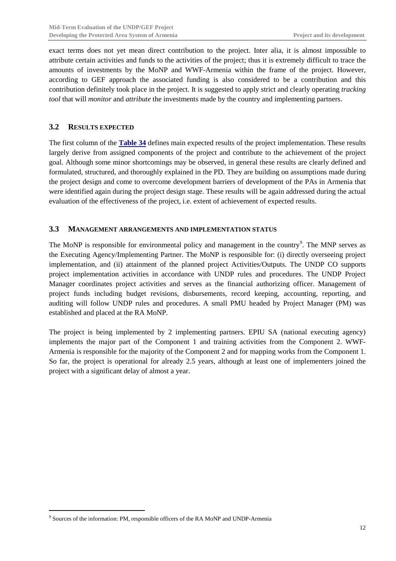exact terms does not yet mean direct contribution to the project. Inter alia, it is almost impossible to attribute certain activities and funds to the activities of the project; thus it is extremely difficult to trace the amounts of investments by the MoNP and WWF-Armenia within the frame of the project. However, according to GEF approach the associated funding is also considered to be a contribution and this contribution definitely took place in the project. It is suggested to apply strict and clearly operating *tracking tool* that will *monitor* and *attribute* the investments made by the country and implementing partners.

### <span id="page-13-0"></span>**3.2 RESULTS EXPECTED**

The first column of the **[Table 34](#page-57-1)** defines main expected results of the project implementation. These results largely derive from assigned components of the project and contribute to the achievement of the project goal. Although some minor shortcomings may be observed, in general these results are clearly defined and formulated, structured, and thoroughly explained in the PD. They are building on assumptions made during the project design and come to overcome development barriers of development of the PAs in Armenia that were identified again during the project design stage. These results will be again addressed during the actual evaluation of the effectiveness of the project, i.e. extent of achievement of expected results.

### <span id="page-13-1"></span>**3.3 MANAGEMENT ARRANGEMENTS AND IMPLEMENTATION STATUS**

The MoNP is responsible for environmental policy and management in the country $\degree$ . The MNP serves as the Executing Agency/Implementing Partner. The MoNP is responsible for: (i) directly overseeing project implementation, and (ii) attainment of the planned project Activities/Outputs. The UNDP CO supports project implementation activities in accordance with UNDP rules and procedures. The UNDP Project Manager coordinates project activities and serves as the financial authorizing officer. Management of project funds including budget revisions, disbursements, record keeping, accounting, reporting, and auditing will follow UNDP rules and procedures. A small PMU headed by Project Manager (PM) was established and placed at the RA MoNP.

The project is being implemented by 2 implementing partners. EPIU SA (national executing agency) implements the major part of the Component 1 and training activities from the Component 2. WWF-Armenia is responsible for the majority of the Component 2 and for mapping works from the Component 1. So far, the project is operational for already 2.5 years, although at least one of implementers joined the project with a significant delay of almost a year.

<span id="page-13-2"></span><sup>&</sup>lt;sup>9</sup> Sources of the information: PM, responsible officers of the RA MoNP and UNDP-Armenia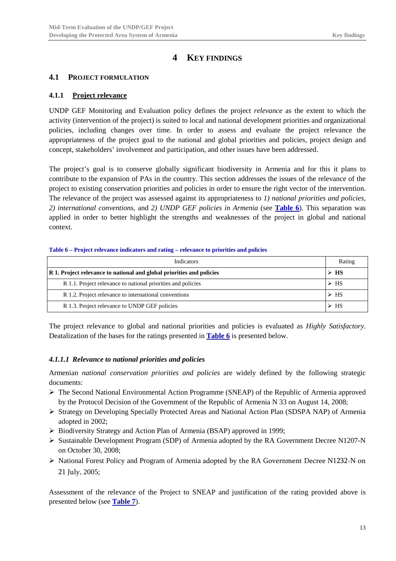## **4 KEY FINDINGS**

### <span id="page-14-1"></span><span id="page-14-0"></span>**4.1 PROJECT FORMULATION**

### <span id="page-14-2"></span>**4.1.1 Project relevance**

UNDP GEF Monitoring and Evaluation policy defines the project *relevance* as the extent to which the activity (intervention of the project) is suited to local and national development priorities and organizational policies, including changes over time. In order to assess and evaluate the project relevance the appropriateness of the project goal to the national and global priorities and policies, project design and concept, stakeholders' involvement and participation, and other issues have been addressed.

The project's goal is to conserve globally significant biodiversity in Armenia and for this it plans to contribute to the expansion of PAs in the country. This section addresses the issues of the relevance of the project to existing conservation priorities and policies in order to ensure the right vector of the intervention. The relevance of the project was assessed against its appropriateness to *1) national priorities and policies*, *2) international conventions,* and *2) UNDP GEF policies in Armenia* (see **[Table 6](#page-14-4)**). This separation was applied in order to better highlight the strengths and weaknesses of the project in global and national context.

#### <span id="page-14-4"></span>**Table 6 – Project relevance indicators and rating – relevance to priorities and policies**

| Indicators                                                            | Rating              |
|-----------------------------------------------------------------------|---------------------|
| R 1. Project relevance to national and global priorities and policies |                     |
| R 1.1. Project relevance to national priorities and policies          | $\triangleright$ HS |
| R 1.2. Project relevance to international conventions                 | $\triangleright$ HS |
| R 1.3. Project relevance to UNDP GEF policies                         | $\triangleright$ HS |

The project relevance to global and national priorities and policies is evaluated as *Highly Satisfactory*. Deatalization of the bases for the ratings presented in **[Table 6](#page-14-4)** is presented below.

### <span id="page-14-3"></span>*4.1.1.1 Relevance to national priorities and policies*

Armenian *national conservation priorities and policies* are widely defined by the following strategic documents:

- $\triangleright$  The Second National Environmental Action Programme (SNEAP) of the Republic of Armenia approved by the Protocol Decision of the Government of the Republic of Armenia N 33 on August 14, 2008;
- Strategy on Developing Specially Protected Areas and National Action Plan (SDSPA NAP) of Armenia adopted in 2002;
- Biodiversity Strategy and Action Plan of Armenia (BSAP) approved in 1999;
- Sustainable Development Program (SDP) of Armenia adopted by the RA Government Decree N1207-N on October 30, 2008;
- National Forest Policy and Program of Armenia adopted by the RA Government Decree N1232-N on 21 July, 2005;

Assessment of the relevance of the Project to SNEAP and justification of the rating provided above is presented below (see **[Table 7](#page-15-0)**).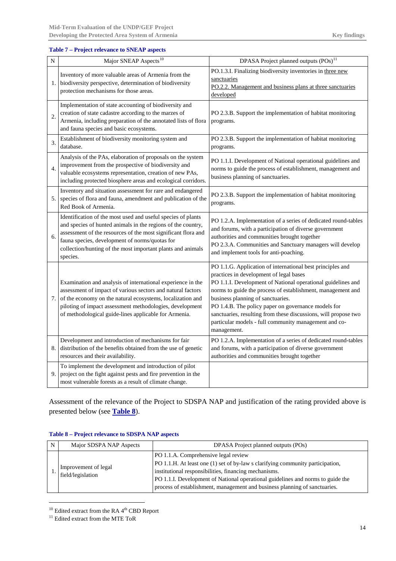#### <span id="page-15-0"></span>**Table 7 – Project relevance to SNEAP aspects**

| N              | Major SNEAP Aspects <sup>10</sup>                                                                                                                                                                                                                                                                                          | DPASA Project planned outputs (POs) <sup>11</sup>                                                                                                                                                                                                                                                                                                                                                                                                                           |
|----------------|----------------------------------------------------------------------------------------------------------------------------------------------------------------------------------------------------------------------------------------------------------------------------------------------------------------------------|-----------------------------------------------------------------------------------------------------------------------------------------------------------------------------------------------------------------------------------------------------------------------------------------------------------------------------------------------------------------------------------------------------------------------------------------------------------------------------|
| 1.             | Inventory of more valuable areas of Armenia from the<br>biodiversity perspective, determination of biodiversity<br>protection mechanisms for those areas.                                                                                                                                                                  | PO.1.3.I. Finalizing biodiversity inventories in three new<br>sanctuaries<br>PO.2.2. Management and business plans at three sanctuaries<br>developed                                                                                                                                                                                                                                                                                                                        |
| 2.             | Implementation of state accounting of biodiversity and<br>creation of state cadastre according to the marzes of<br>Armenia, including preparation of the annotated lists of flora<br>and fauna species and basic ecosystems.                                                                                               | PO 2.3.B. Support the implementation of habitat monitoring<br>programs.                                                                                                                                                                                                                                                                                                                                                                                                     |
| 3.             | Establishment of biodiversity monitoring system and<br>database.                                                                                                                                                                                                                                                           | PO 2.3.B. Support the implementation of habitat monitoring<br>programs.                                                                                                                                                                                                                                                                                                                                                                                                     |
| $\overline{4}$ | Analysis of the PAs, elaboration of proposals on the system<br>improvement from the prospective of biodiversity and<br>valuable ecosystems representation, creation of new PAs,<br>including protected biosphere areas and ecological corridors.                                                                           | PO 1.1.I. Development of National operational guidelines and<br>norms to guide the process of establishment, management and<br>business planning of sanctuaries.                                                                                                                                                                                                                                                                                                            |
| 5.             | Inventory and situation assessment for rare and endangered<br>species of flora and fauna, amendment and publication of the<br>Red Book of Armenia.                                                                                                                                                                         | PO 2.3.B. Support the implementation of habitat monitoring<br>programs.                                                                                                                                                                                                                                                                                                                                                                                                     |
| 6.             | Identification of the most used and useful species of plants<br>and species of hunted animals in the regions of the country,<br>assessment of the resources of the most significant flora and<br>fauna species, development of norms/quotas for<br>collection/hunting of the most important plants and animals<br>species. | PO 1.2.A. Implementation of a series of dedicated round-tables<br>and forums, with a participation of diverse government<br>authorities and communities brought together<br>PO 2.3.A. Communities and Sanctuary managers will develop<br>and implement tools for anti-poaching.                                                                                                                                                                                             |
| 7.             | Examination and analysis of international experience in the<br>assessment of impact of various sectors and natural factors<br>of the economy on the natural ecosystems, localization and<br>piloting of impact assessment methodologies, development<br>of methodological guide-lines applicable for Armenia.              | PO 1.1.G. Application of international best principles and<br>practices in development of legal bases<br>PO 1.1.I. Development of National operational guidelines and<br>norms to guide the process of establishment, management and<br>business planning of sanctuaries.<br>PO 1.4.B. The policy paper on governance models for<br>sanctuaries, resulting from these discussions, will propose two<br>particular models - full community management and co-<br>management. |
| 8.             | Development and introduction of mechanisms for fair<br>distribution of the benefits obtained from the use of genetic<br>resources and their availability.                                                                                                                                                                  | PO 1.2.A. Implementation of a series of dedicated round-tables<br>and forums, with a participation of diverse government<br>authorities and communities brought together                                                                                                                                                                                                                                                                                                    |
| 9.             | To implement the development and introduction of pilot<br>project on the fight against pests and fire prevention in the<br>most vulnerable forests as a result of climate change.                                                                                                                                          |                                                                                                                                                                                                                                                                                                                                                                                                                                                                             |

Assessment of the relevance of the Project to SDSPA NAP and justification of the rating provided above is presented below (see **[Table 8](#page-15-1)**).

| Major SDSPA NAP Aspects                   | DPASA Project planned outputs (POs)                                                                                                                                                                                                                                                                                                              |
|-------------------------------------------|--------------------------------------------------------------------------------------------------------------------------------------------------------------------------------------------------------------------------------------------------------------------------------------------------------------------------------------------------|
| Improvement of legal<br>field/legislation | PO 1.1.A. Comprehensive legal review<br>PO 1.1.H. At least one (1) set of by-law s clarifying community participation,<br>institutional responsibilities, financing mechanisms.<br>PO 1.1.I. Development of National operational guidelines and norms to guide the<br>process of establishment, management and business planning of sanctuaries. |

#### <span id="page-15-1"></span>**Table 8 – Project relevance to SDSPA NAP aspects**

<span id="page-15-2"></span> $10$  Edited extract from the RA  $4<sup>th</sup>$  CBD Report

<span id="page-15-3"></span><sup>&</sup>lt;sup>11</sup> Edited extract from the MTE ToR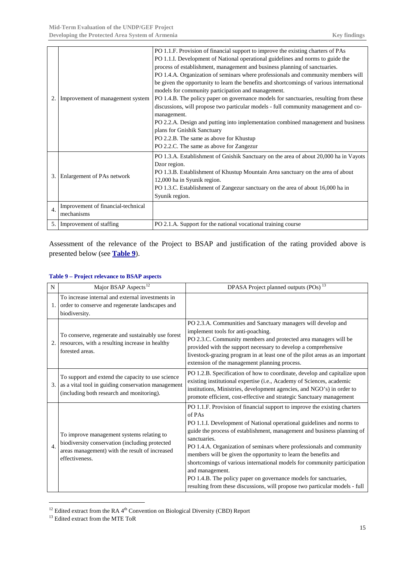| 2.             | Improvement of management system                 | PO 1.1.F. Provision of financial support to improve the existing charters of PAs<br>PO 1.1.I. Development of National operational guidelines and norms to guide the<br>process of establishment, management and business planning of sanctuaries.<br>PO 1.4.A. Organization of seminars where professionals and community members will<br>be given the opportunity to learn the benefits and shortcomings of various international<br>models for community participation and management.<br>PO 1.4.B. The policy paper on governance models for sanctuaries, resulting from these<br>discussions, will propose two particular models - full community management and co-<br>management.<br>PO 2.2.A. Design and putting into implementation combined management and business<br>plans for Gnishik Sanctuary<br>PO 2.2.B. The same as above for Khustup<br>PO 2.2.C. The same as above for Zangezur |
|----------------|--------------------------------------------------|----------------------------------------------------------------------------------------------------------------------------------------------------------------------------------------------------------------------------------------------------------------------------------------------------------------------------------------------------------------------------------------------------------------------------------------------------------------------------------------------------------------------------------------------------------------------------------------------------------------------------------------------------------------------------------------------------------------------------------------------------------------------------------------------------------------------------------------------------------------------------------------------------|
| 3.             | Enlargement of PAs network                       | PO 1.3.A. Establishment of Gnishik Sanctuary on the area of about 20,000 ha in Vayots<br>Dzor region.<br>PO 1.3.B. Establishment of Khustup Mountain Area sanctuary on the area of about<br>12,000 ha in Syunik region.<br>PO 1.3.C. Establishment of Zangezur sanctuary on the area of about 16,000 ha in<br>Syunik region.                                                                                                                                                                                                                                                                                                                                                                                                                                                                                                                                                                       |
| $\overline{4}$ | Improvement of financial-technical<br>mechanisms |                                                                                                                                                                                                                                                                                                                                                                                                                                                                                                                                                                                                                                                                                                                                                                                                                                                                                                    |
| 5.             | Improvement of staffing                          | PO 2.1.A. Support for the national vocational training course                                                                                                                                                                                                                                                                                                                                                                                                                                                                                                                                                                                                                                                                                                                                                                                                                                      |

Assessment of the relevance of the Project to BSAP and justification of the rating provided above is presented below (see **[Table 9](#page-16-0)**).

<span id="page-16-0"></span>

| N                     | Major BSAP Aspects <sup>12</sup>                                                                                                                                | DPASA Project planned outputs (POs) <sup>13</sup>                                                                                                                                                                                                                                                                                                                                                                                                                                                                                                                                                                                                    |
|-----------------------|-----------------------------------------------------------------------------------------------------------------------------------------------------------------|------------------------------------------------------------------------------------------------------------------------------------------------------------------------------------------------------------------------------------------------------------------------------------------------------------------------------------------------------------------------------------------------------------------------------------------------------------------------------------------------------------------------------------------------------------------------------------------------------------------------------------------------------|
|                       | To increase internal and external investments in<br>order to conserve and regenerate landscapes and<br>biodiversity.                                            |                                                                                                                                                                                                                                                                                                                                                                                                                                                                                                                                                                                                                                                      |
| 2.                    | To conserve, regenerate and sustainably use forest<br>resources, with a resulting increase in healthy<br>forested areas.                                        | PO 2.3.A. Communities and Sanctuary managers will develop and<br>implement tools for anti-poaching.<br>PO 2.3.C. Community members and protected area managers will be<br>provided with the support necessary to develop a comprehensive<br>livestock-grazing program in at least one of the pilot areas as an important<br>extension of the management planning process.                                                                                                                                                                                                                                                                            |
| 3.                    | To support and extend the capacity to use science<br>as a vital tool in guiding conservation management<br>(including both research and monitoring).            | PO 1.2.B. Specification of how to coordinate, develop and capitalize upon<br>existing institutional expertise (i.e., Academy of Sciences, academic<br>institutions, Ministries, development agencies, and NGO's) in order to<br>promote efficient, cost-effective and strategic Sanctuary management                                                                                                                                                                                                                                                                                                                                                 |
| $\boldsymbol{\Delta}$ | To improve management systems relating to<br>biodiversity conservation (including protected<br>areas management) with the result of increased<br>effectiveness. | PO 1.1.F. Provision of financial support to improve the existing charters<br>of PAs<br>PO 1.1.I. Development of National operational guidelines and norms to<br>guide the process of establishment, management and business planning of<br>sanctuaries.<br>PO 1.4.A. Organization of seminars where professionals and community<br>members will be given the opportunity to learn the benefits and<br>shortcomings of various international models for community participation<br>and management.<br>PO 1.4.B. The policy paper on governance models for sanctuaries,<br>resulting from these discussions, will propose two particular models - full |

<span id="page-16-1"></span><sup>12</sup> Edited extract from the RA  $4<sup>th</sup>$  Convention on Biological Diversity (CBD) Report

<span id="page-16-2"></span><sup>&</sup>lt;sup>13</sup> Edited extract from the MTE ToR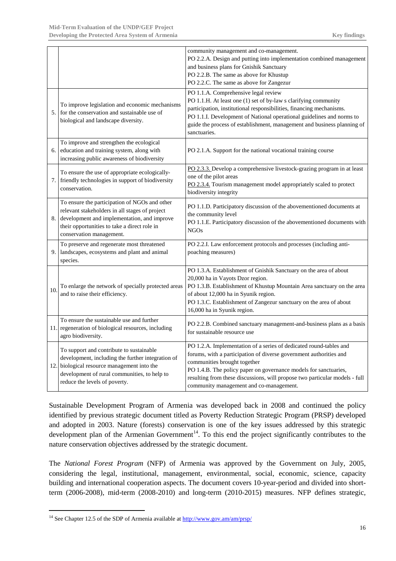|    |                                                                                                                                                                                                                               | community management and co-management.<br>PO 2.2.A. Design and putting into implementation combined management<br>and business plans for Gnishik Sanctuary                                                                                                                                                                                                            |
|----|-------------------------------------------------------------------------------------------------------------------------------------------------------------------------------------------------------------------------------|------------------------------------------------------------------------------------------------------------------------------------------------------------------------------------------------------------------------------------------------------------------------------------------------------------------------------------------------------------------------|
|    |                                                                                                                                                                                                                               | PO 2.2.B. The same as above for Khustup<br>PO 2.2.C. The same as above for Zangezur                                                                                                                                                                                                                                                                                    |
| 5. | To improve legislation and economic mechanisms<br>for the conservation and sustainable use of<br>biological and landscape diversity.                                                                                          | PO 1.1.A. Comprehensive legal review<br>PO 1.1.H. At least one (1) set of by-law s clarifying community<br>participation, institutional responsibilities, financing mechanisms.<br>PO 1.1.I. Development of National operational guidelines and norms to<br>guide the process of establishment, management and business planning of<br>sanctuaries.                    |
| 6. | To improve and strengthen the ecological<br>education and training system, along with<br>increasing public awareness of biodiversity                                                                                          | PO 2.1.A. Support for the national vocational training course                                                                                                                                                                                                                                                                                                          |
| 7. | To ensure the use of appropriate ecologically-<br>friendly technologies in support of biodiversity<br>conservation.                                                                                                           | PO 2.3.3. Develop a comprehensive livestock-grazing program in at least<br>one of the pilot areas<br>PO 2.3.4. Tourism management model appropriately scaled to protect<br>biodiversity integrity                                                                                                                                                                      |
| 8. | To ensure the participation of NGOs and other<br>relevant stakeholders in all stages of project<br>development and implementation, and improve<br>their opportunities to take a direct role in<br>conservation management.    | PO 1.1.D. Participatory discussion of the abovementioned documents at<br>the community level<br>PO 1.1.E. Participatory discussion of the abovementioned documents with<br><b>NGOs</b>                                                                                                                                                                                 |
| 9. | To preserve and regenerate most threatened<br>landscapes, ecosystems and plant and animal<br>species.                                                                                                                         | PO 2.2.I. Law enforcement protocols and processes (including anti-<br>poaching measures)                                                                                                                                                                                                                                                                               |
| 10 | To enlarge the network of specially protected areas<br>and to raise their efficiency.                                                                                                                                         | PO 1.3.A. Establishment of Gnishik Sanctuary on the area of about<br>20,000 ha in Vayots Dzor region.<br>PO 1.3.B. Establishment of Khustup Mountain Area sanctuary on the area<br>of about 12,000 ha in Syunik region.<br>PO 1.3.C. Establishment of Zangezur sanctuary on the area of about<br>16,000 ha in Syunik region.                                           |
|    | To ensure the sustainable use and further<br>11. regeneration of biological resources, including<br>agro biodiversity.                                                                                                        | PO 2.2.B. Combined sanctuary management-and-business plans as a basis<br>for sustainable resource use                                                                                                                                                                                                                                                                  |
|    | To support and contribute to sustainable<br>development, including the further integration of<br>12. biological resource management into the<br>development of rural communities, to help to<br>reduce the levels of poverty. | PO 1.2.A. Implementation of a series of dedicated round-tables and<br>forums, with a participation of diverse government authorities and<br>communities brought together<br>PO 1.4.B. The policy paper on governance models for sanctuaries,<br>resulting from these discussions, will propose two particular models - full<br>community management and co-management. |

Sustainable Development Program of Armenia was developed back in 2008 and continued the policy identified by previous strategic document titled as Poverty Reduction Strategic Program (PRSP) developed and adopted in 2003. Nature (forests) conservation is one of the key issues addressed by this strategic development plan of the Armenian Government<sup>14</sup>. To this end the project significantly contributes to the nature conservation objectives addressed by the strategic document.

The *National Forest Program* (NFP) of Armenia was approved by the Government on July, 2005, considering the legal, institutional, management, environmental, social, economic, science, capacity building and international cooperation aspects. The document covers 10-year-period and divided into shortterm (2006-2008), mid-term (2008-2010) and long-term (2010-2015) measures. NFP defines strategic,

<span id="page-17-0"></span><sup>&</sup>lt;sup>14</sup> See Chapter 12.5 of the SDP of Armenia available at  $\frac{http://www.gov.am/am/prsp/}{$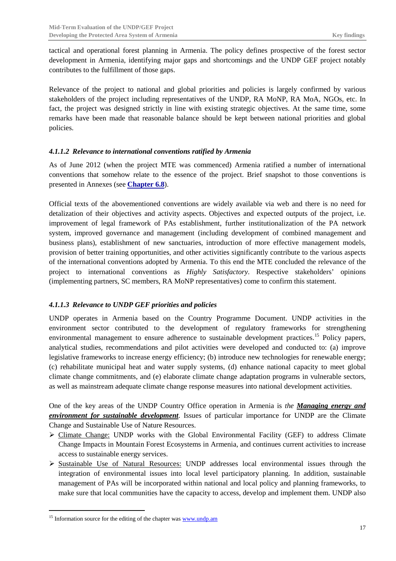tactical and operational forest planning in Armenia. The policy defines prospective of the forest sector development in Armenia, identifying major gaps and shortcomings and the UNDP GEF project notably contributes to the fulfillment of those gaps.

Relevance of the project to national and global priorities and policies is largely confirmed by various stakeholders of the project including representatives of the UNDP, RA MoNP, RA MoA, NGOs, etc. In fact, the project was designed strictly in line with existing strategic objectives. At the same time, some remarks have been made that reasonable balance should be kept between national priorities and global policies.

### <span id="page-18-0"></span>*4.1.1.2 Relevance to international conventions ratified by Armenia*

As of June 2012 (when the project MTE was commenced) Armenia ratified a number of international conventions that somehow relate to the essence of the project. Brief snapshot to those conventions is presented in Annexes (see **Chapter [6.8](#page-55-5)**).

Official texts of the abovementioned conventions are widely available via web and there is no need for detalization of their objectives and activity aspects. Objectives and expected outputs of the project, i.e. improvement of legal framework of PAs establishment, further institutionalization of the PA network system, improved governance and management (including development of combined management and business plans), establishment of new sanctuaries, introduction of more effective management models, provision of better training opportunities, and other activities significantly contribute to the various aspects of the international conventions adopted by Armenia. To this end the MTE concluded the relevance of the project to international conventions as *Highly Satisfactory*. Respective stakeholders' opinions (implementing partners, SC members, RA MoNP representatives) come to confirm this statement.

### <span id="page-18-1"></span>*4.1.1.3 Relevance to UNDP GEF priorities and policies*

UNDP operates in Armenia based on the Country Programme Document. UNDP activities in the environment sector contributed to the development of regulatory frameworks for strengthening environmental management to ensure adherence to sustainable development practices.<sup>[15](#page-18-2)</sup> Policy papers, analytical studies, recommendations and pilot activities were developed and conducted to: (a) improve legislative frameworks to increase energy efficiency; (b) introduce new technologies for renewable energy; (c) rehabilitate municipal heat and water supply systems, (d) enhance national capacity to meet global climate change commitments, and (e) elaborate climate change adaptation programs in vulnerable sectors, as well as mainstream adequate climate change response measures into national development activities.

One of the key areas of the UNDP Country Office operation in Armenia is *the Managing energy and environment for sustainable development*. Issues of particular importance for UNDP are the Climate Change and Sustainable Use of Nature Resources.

- $\triangleright$  Climate Change: UNDP works with the Global Environmental Facility (GEF) to address Climate Change Impacts in Mountain Forest Ecosystems in Armenia, and continues current activities to increase access to sustainable energy services.
- Sustainable Use of Natural Resources: UNDP addresses local environmental issues through the integration of environmental issues into local level participatory planning. In addition, sustainable management of PAs will be incorporated within national and local policy and planning frameworks, to make sure that local communities have the capacity to access, develop and implement them. UNDP also

<span id="page-18-2"></span> $15$  Information source for the editing of the chapter was  $\frac{www.undp.am}{m}$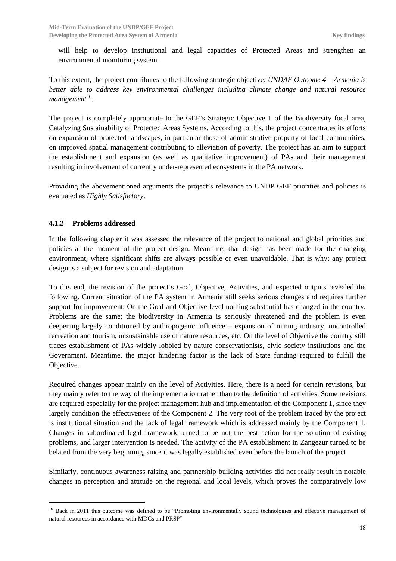will help to develop institutional and legal capacities of Protected Areas and strengthen an environmental monitoring system.

To this extent, the project contributes to the following strategic objective: *UNDAF Outcome 4 – Armenia is better able to address key environmental challenges including climate change and natural resource*  management<sup>[16](#page-19-1)</sup>.

The project is completely appropriate to the GEF's Strategic Objective 1 of the Biodiversity focal area, Catalyzing Sustainability of Protected Areas Systems. According to this, the project concentrates its efforts on expansion of protected landscapes, in particular those of administrative property of local communities, on improved spatial management contributing to alleviation of poverty. The project has an aim to support the establishment and expansion (as well as qualitative improvement) of PAs and their management resulting in involvement of currently under-represented ecosystems in the PA network.

Providing the abovementioned arguments the project's relevance to UNDP GEF priorities and policies is evaluated as *Highly Satisfactory*.

### <span id="page-19-0"></span>**4.1.2 Problems addressed**

In the following chapter it was assessed the relevance of the project to national and global priorities and policies at the moment of the project design. Meantime, that design has been made for the changing environment, where significant shifts are always possible or even unavoidable. That is why; any project design is a subject for revision and adaptation.

To this end, the revision of the project's Goal, Objective, Activities, and expected outputs revealed the following. Current situation of the PA system in Armenia still seeks serious changes and requires further support for improvement. On the Goal and Objective level nothing substantial has changed in the country. Problems are the same; the biodiversity in Armenia is seriously threatened and the problem is even deepening largely conditioned by anthropogenic influence – expansion of mining industry, uncontrolled recreation and tourism, unsustainable use of nature resources, etc. On the level of Objective the country still traces establishment of PAs widely lobbied by nature conservationists, civic society institutions and the Government. Meantime, the major hindering factor is the lack of State funding required to fulfill the Objective.

Required changes appear mainly on the level of Activities. Here, there is a need for certain revisions, but they mainly refer to the way of the implementation rather than to the definition of activities. Some revisions are required especially for the project management hub and implementation of the Component 1, since they largely condition the effectiveness of the Component 2. The very root of the problem traced by the project is institutional situation and the lack of legal framework which is addressed mainly by the Component 1. Changes in subordinated legal framework turned to be not the best action for the solution of existing problems, and larger intervention is needed. The activity of the PA establishment in Zangezur turned to be belated from the very beginning, since it was legally established even before the launch of the project

Similarly, continuous awareness raising and partnership building activities did not really result in notable changes in perception and attitude on the regional and local levels, which proves the comparatively low

<span id="page-19-1"></span><sup>&</sup>lt;sup>16</sup> Back in 2011 this outcome was defined to be "Promoting environmentally sound technologies and effective management of natural resources in accordance with MDGs and PRSP"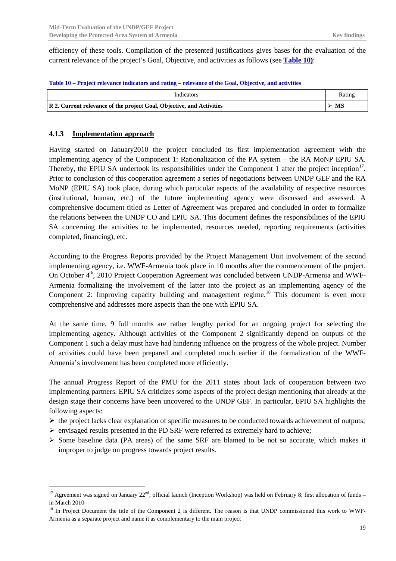efficiency of these tools. Compilation of the presented justifications gives bases for the evaluation of the current relevance of the project's Goal, Objective, and activities as follows (see **[Table 10\)](#page-20-1)**:

<span id="page-20-1"></span>

| Indicators                                                            | Rating |
|-----------------------------------------------------------------------|--------|
| R 2. Current relevance of the project Goal, Objective, and Activities |        |

### <span id="page-20-0"></span>**4.1.3 Implementation approach**

Having started on January2010 the project concluded its first implementation agreement with the implementing agency of the Component 1: Rationalization of the PA system – the RA MoNP EPIU SA. Thereby, the EPIU SA undertook its responsibilities under the Component 1 after the project inception<sup>[17](#page-20-2)</sup>. Prior to conclusion of this cooperation agreement a series of negotiations between UNDP GEF and the RA MoNP (EPIU SA) took place, during which particular aspects of the availability of respective resources (institutional, human, etc.) of the future implementing agency were discussed and assessed. A comprehensive document titled as Letter of Agreement was prepared and concluded in order to formalize the relations between the UNDP CO and EPIU SA. This document defines the responsibilities of the EPIU SA concerning the activities to be implemented, resources needed, reporting requirements (activities completed, financing), etc.

According to the Progress Reports provided by the Project Management Unit involvement of the second implementing agency, i.e. WWF-Armenia took place in 10 months after the commencement of the project. On October 4<sup>th</sup>, 2010 Project Cooperation Agreement was concluded between UNDP-Armenia and WWF-Armenia formalizing the involvement of the latter into the project as an implementing agency of the Component 2: Improving capacity building and management regime.<sup>[18](#page-20-3)</sup> This document is even more comprehensive and addresses more aspects than the one with EPIU SA.

At the same time, 9 full months are rather lengthy period for an ongoing project for selecting the implementing agency. Although activities of the Component 2 significantly depend on outputs of the Component 1 such a delay must have had hindering influence on the progress of the whole project. Number of activities could have been prepared and completed much earlier if the formalization of the WWF-Armenia's involvement has been completed more efficiently.

The annual Progress Report of the PMU for the 2011 states about lack of cooperation between two implementing partners. EPIU SA criticizes some aspects of the project design mentioning that already at the design stage their concerns have been uncovered to the UNDP GEF. In particular, EPIU SA highlights the following aspects:

- $\triangleright$  the project lacks clear explanation of specific measures to be conducted towards achievement of outputs;
- $\triangleright$  envisaged results presented in the PD SRF were referred as extremely hard to achieve;
- $\triangleright$  Some baseline data (PA areas) of the same SRF are blamed to be not so accurate, which makes it improper to judge on progress towards project results.

<span id="page-20-2"></span><sup>&</sup>lt;sup>17</sup> Agreement was signed on January  $22^{nd}$ ; official launch (Inception Workshop) was held on February 8; first allocation of funds – in March 2010

<span id="page-20-3"></span><sup>&</sup>lt;sup>18</sup> In Project Document the title of the Component 2 is different. The reason is that UNDP commissioned this work to WWF-Armenia as a separate project and name it as complementary to the main project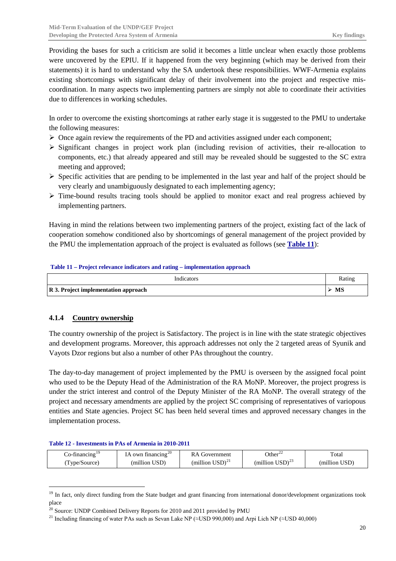Providing the bases for such a criticism are solid it becomes a little unclear when exactly those problems were uncovered by the EPIU. If it happened from the very beginning (which may be derived from their statements) it is hard to understand why the SA undertook these responsibilities. WWF-Armenia explains existing shortcomings with significant delay of their involvement into the project and respective miscoordination. In many aspects two implementing partners are simply not able to coordinate their activities due to differences in working schedules.

In order to overcome the existing shortcomings at rather early stage it is suggested to the PMU to undertake the following measures:

- $\triangleright$  Once again review the requirements of the PD and activities assigned under each component;
- $\triangleright$  Significant changes in project work plan (including revision of activities, their re-allocation to components, etc.) that already appeared and still may be revealed should be suggested to the SC extra meeting and approved;
- $\triangleright$  Specific activities that are pending to be implemented in the last year and half of the project should be very clearly and unambiguously designated to each implementing agency;
- $\triangleright$  Time-bound results tracing tools should be applied to monitor exact and real progress achieved by implementing partners.

Having in mind the relations between two implementing partners of the project, existing fact of the lack of cooperation somehow conditioned also by shortcomings of general management of the project provided by the PMU the implementation approach of the project is evaluated as follows (see **[Table 11](#page-21-1)**):

#### <span id="page-21-1"></span>**Table 11 – Project relevance indicators and rating – implementation approach**

| Indicators                           | Rating |
|--------------------------------------|--------|
| R 3. Project implementation approach |        |

### <span id="page-21-0"></span>**4.1.4 Country ownership**

The country ownership of the project is Satisfactory. The project is in line with the state strategic objectives and development programs. Moreover, this approach addresses not only the 2 targeted areas of Syunik and Vayots Dzor regions but also a number of other PAs throughout the country.

The day-to-day management of project implemented by the PMU is overseen by the assigned focal point who used to be the Deputy Head of the Administration of the RA MoNP. Moreover, the project progress is under the strict interest and control of the Deputy Minister of the RA MoNP. The overall strategy of the project and necessary amendments are applied by the project SC comprising of representatives of variopous entities and State agencies. Project SC has been held several times and approved necessary changes in the implementation process.

#### <span id="page-21-2"></span>**Table 12 - Investments in PAs of Armenia in 2010-2011**

| do-financing ' | $\Lambda$ own financing $^{20}$ | Government                                    | $\Omega$ ther <sup>22</sup>         | Total         |
|----------------|---------------------------------|-----------------------------------------------|-------------------------------------|---------------|
| (Type/Source)  | (million USD)                   | (million $\text{USD}^{\scriptscriptstyle 21}$ | (million $\text{USD}^{\text{23}}$ ) | (million USD) |

<span id="page-21-6"></span><span id="page-21-3"></span><sup>&</sup>lt;sup>19</sup> In fact, only direct funding from the State budget and grant financing from international donor/development organizations took place

<span id="page-21-4"></span> $^{20}$  Source: UNDP Combined Delivery Reports for 2010 and 2011 provided by PMU

<span id="page-21-5"></span><sup>&</sup>lt;sup>21</sup> Including financing of water PAs such as Sevan Lake NP ( $\approx$ USD 990,000) and Arpi Lich NP ( $\approx$ USD 40,000)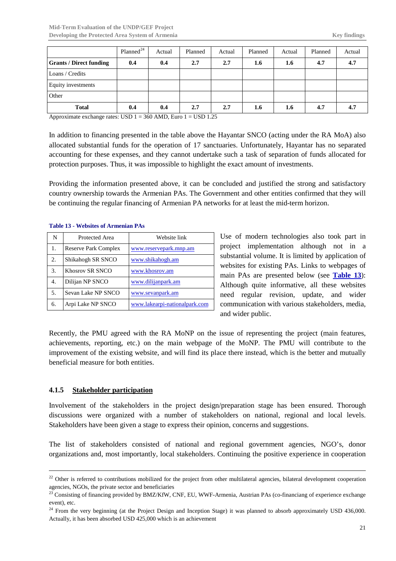|                                | Planned <sup>24</sup> | Actual | Planned | Actual | Planned | Actual | Planned | Actual |
|--------------------------------|-----------------------|--------|---------|--------|---------|--------|---------|--------|
| <b>Grants / Direct funding</b> | 0.4                   | 0.4    | 2.7     | 2.7    | 1.6     | 1.6    | 4.7     | 4.7    |
| Loans / Credits                |                       |        |         |        |         |        |         |        |
| Equity investments             |                       |        |         |        |         |        |         |        |
| Other                          |                       |        |         |        |         |        |         |        |
| <b>Total</b>                   | 0.4                   | 0.4    | 2.7     | 2.7    | 1.6     | 1.6    | 4.7     | 4.7    |

Approximate exchange rates: USD  $1 = 360$  AMD, Euro  $1 =$  USD  $1.25$ 

In addition to financing presented in the table above the Hayantar SNCO (acting under the RA MoA) also allocated substantial funds for the operation of 17 sanctuaries. Unfortunately, Hayantar has no separated accounting for these expenses, and they cannot undertake such a task of separation of funds allocated for protection purposes. Thus, it was impossible to highlight the exact amount of investments.

Providing the information presented above, it can be concluded and justified the strong and satisfactory country ownership towards the Armenian PAs. The Government and other entities confirmed that they will be continuing the regular financing of Armenian PA networks for at least the mid-term horizon.

| N  | Protected Area              | Website link                  |
|----|-----------------------------|-------------------------------|
| 1. | <b>Reserve Park Complex</b> | www.reservepark.mnp.am        |
| 2. | Shikahogh SR SNCO           | www.shikahogh.am              |
| 3. | Khosrov SR SNCO             | www.khosrov.am                |
| 4. | Dilijan NP SNCO             | www.dilijanpark.am            |
| 5. | Sevan Lake NP SNCO          | www.sevanpark.am              |
| 6. | Arpi Lake NP SNCO           | www.lakearpi-nationalpark.com |

#### <span id="page-22-1"></span>**Table 13 - Websites of Armenian PAs**

Use of modern technologies also took part in project implementation although not in a substantial volume. It is limited by application of websites for existing PAs. Links to webpages of main PAs are presented below (see **[Table 13](#page-22-1)**): Although quite informative, all these websites need regular revision, update, and wider communication with various stakeholders, media, and wider public.

Recently, the PMU agreed with the RA MoNP on the issue of representing the project (main features, achievements, reporting, etc.) on the main webpage of the MoNP. The PMU will contribute to the improvement of the existing website, and will find its place there instead, which is the better and mutually beneficial measure for both entities.

### <span id="page-22-0"></span>**4.1.5 Stakeholder participation**

Involvement of the stakeholders in the project design/preparation stage has been ensured. Thorough discussions were organized with a number of stakeholders on national, regional and local levels. Stakeholders have been given a stage to express their opinion, concerns and suggestions.

The list of stakeholders consisted of national and regional government agencies, NGO's, donor organizations and, most importantly, local stakeholders. Continuing the positive experience in cooperation

<sup>&</sup>lt;sup>22</sup> Other is referred to contributions mobilized for the project from other multilateral agencies, bilateral development cooperation agencies, NGOs, the private sector and beneficiaries

<sup>&</sup>lt;sup>23</sup> Consisting of financing provided by BMZ/KfW, CNF, EU, WWF-Armenia, Austrian PAs (co-financiang of experience exchange event), etc.

<span id="page-22-2"></span><sup>&</sup>lt;sup>24</sup> From the very beginning (at the Project Design and Inception Stage) it was planned to absorb approximately USD 436,000. Actually, it has been absorbed USD 425,000 which is an achievement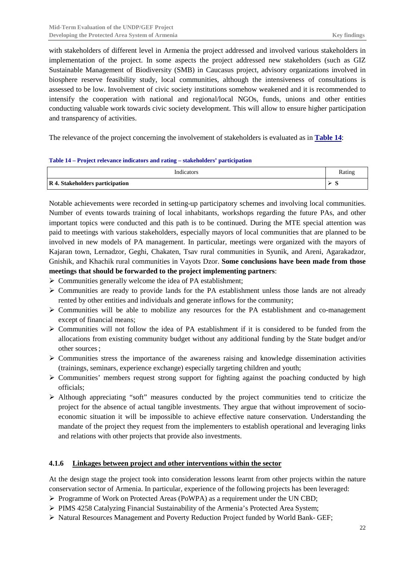with stakeholders of different level in Armenia the project addressed and involved various stakeholders in implementation of the project. In some aspects the project addressed new stakeholders (such as GIZ Sustainable Management of Biodiversity (SMB) in Caucasus project, advisory organizations involved in biosphere reserve feasibility study, local communities, although the intensiveness of consultations is assessed to be low. Involvement of civic society institutions somehow weakened and it is recommended to intensify the cooperation with national and regional/local NGOs, funds, unions and other entities conducting valuable work towards civic society development. This will allow to ensure higher participation and transparency of activities.

The relevance of the project concerning the involvement of stakeholders is evaluated as in **[Table 14](#page-23-1)**:

#### <span id="page-23-1"></span>**Table 14 – Project relevance indicators and rating – stakeholders' participation**

| Indicators                      | Rating |
|---------------------------------|--------|
| R 4. Stakeholders participation | ້      |

Notable achievements were recorded in setting-up participatory schemes and involving local communities. Number of events towards training of local inhabitants, workshops regarding the future PAs, and other important topics were conducted and this path is to be continued. During the MTE special attention was paid to meetings with various stakeholders, especially mayors of local communities that are planned to be involved in new models of PA management. In particular, meetings were organized with the mayors of Kajaran town, Lernadzor, Geghi, Chakaten, Tsav rural communities in Syunik, and Areni, Agarakadzor, Gnishik, and Khachik rural communities in Vayots Dzor. **Some conclusions have been made from those meetings that should be forwarded to the project implementing partners**:

- $\triangleright$  Communities generally welcome the idea of PA establishment;
- $\triangleright$  Communities are ready to provide lands for the PA establishment unless those lands are not already rented by other entities and individuals and generate inflows for the community;
- $\triangleright$  Communities will be able to mobilize any resources for the PA establishment and co-management except of financial means;
- $\triangleright$  Communities will not follow the idea of PA establishment if it is considered to be funded from the allocations from existing community budget without any additional funding by the State budget and/or other sources;
- $\triangleright$  Communities stress the importance of the awareness raising and knowledge dissemination activities (trainings, seminars, experience exchange) especially targeting children and youth;
- $\triangleright$  Communities' members request strong support for fighting against the poaching conducted by high officials;
- Although appreciating "soft" measures conducted by the project communities tend to criticize the project for the absence of actual tangible investments. They argue that without improvement of socioeconomic situation it will be impossible to achieve effective nature conservation. Understanding the mandate of the project they request from the implementers to establish operational and leveraging links and relations with other projects that provide also investments.

### <span id="page-23-0"></span>**4.1.6 Linkages between project and other interventions within the sector**

At the design stage the project took into consideration lessons learnt from other projects within the nature conservation sector of Armenia. In particular, experience of the following projects has been leveraged:

- $\triangleright$  Programme of Work on Protected Areas (PoWPA) as a requirement under the UN CBD;
- $\triangleright$  PIMS 4258 Catalyzing Financial Sustainability of the Armenia's Protected Area System;
- $\triangleright$  Natural Resources Management and Poverty Reduction Project funded by World Bank- GEF;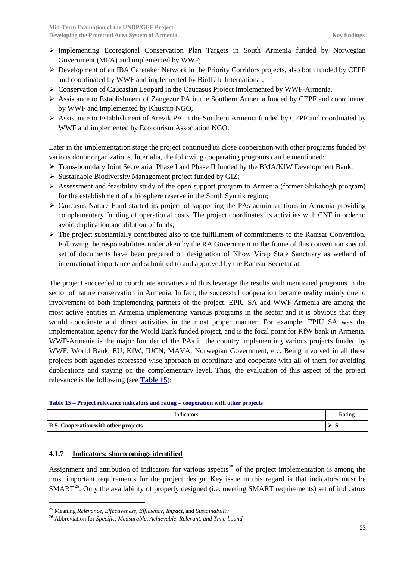- $\triangleright$  Implementing Ecoregional Conservation Plan Targets in South Armenia funded by Norwegian Government (MFA) and implemented by WWF;
- $\triangleright$  Development of an IBA Caretaker Network in the Priority Corridors projects, also both funded by CEPF and coordinated by WWF and implemented by BirdLife International,
- $\triangleright$  Conservation of Caucasian Leopard in the Caucasus Project implemented by WWF-Armenia,
- $\triangleright$  Assistance to Establishment of Zangezur PA in the Southern Armenia funded by CEPF and coordinated by WWF and implemented by Khustup NGO,
- Assistance to Establishment of Arevik PA in the Southern Armenia funded by CEPF and coordinated by WWF and implemented by Ecotourism Association NGO.

Later in the implementation stage the project continued its close cooperation with other programs funded by various donor organizations. Inter alia, the following cooperating programs can be mentioned:

- $\triangleright$  Trans-boundary Joint Secretariat Phase I and Phase II funded by the BMA/KfW Development Bank;
- $\triangleright$  Sustainable Biodiversity Management project funded by GIZ;
- $\triangleright$  Assessment and feasibility study of the open support program to Armenia (former Shikahogh program) for the establishment of a biosphere reserve in the South Syunik region;
- $\triangleright$  Caucasus Nature Fund started its project of supporting the PAs administrations in Armenia providing complementary funding of operational costs. The project coordinates its activities with CNF in order to avoid duplication and dilution of funds;
- $\triangleright$  The project substantially contributed also to the fulfillment of commitments to the Ramsar Convention. Following the responsibilities undertaken by the RA Government in the frame of this convention special set of documents have been prepared on designation of Khow Virap State Sanctuary as wetland of international importance and submitted to and approved by the Ramsar Secretariat.

The project succeeded to coordinate activities and thus leverage the results with mentioned programs in the sector of nature conservation in Armenia. In fact, the successful cooperation became reality mainly due to involvement of both implementing partners of the project. EPIU SA and WWF-Armenia are among the most active entities in Armenia implementing various programs in the sector and it is obvious that they would coordinate and direct activities in the most proper manner. For example, EPIU SA was the implementation agency for the World Bank funded project, and is the focal point for KfW bank in Armenia. WWF-Armenia is the major founder of the PAs in the country implementing various projects funded by WWF, World Bank, EU, KfW, IUCN, MAVA, Norwegian Government, etc. Being involved in all these projects both agencies expressed wise approach to coordinate and cooperate with all of them for avoiding duplications and staying on the complementary level. Thus, the evaluation of this aspect of the project relevance is the following (see **[Table 15](#page-24-1)**):

<span id="page-24-1"></span>**Table 15 – Project relevance indicators and rating – cooperation with other projects**

| Indicators                           | Rating |
|--------------------------------------|--------|
| R 5. Cooperation with other projects | ້      |

### <span id="page-24-0"></span>**4.1.7 Indicators: shortcomings identified**

Assignment and attribution of indicators for various aspects<sup>[25](#page-24-2)</sup> of the project implementation is among the most important requirements for the project design. Key issue in this regard is that indicators must be SMART<sup>[26](#page-24-3)</sup>. Only the availability of properly designed (i.e. meeting SMART requirements) set of indicators

<span id="page-24-2"></span> <sup>25</sup> Meaning *Relevance, Effectiveness, Efficiency, Impact*, and *Sustainability*

<span id="page-24-3"></span><sup>26</sup> Abbreviation for *Specific, Measurable, Achievable, Relevant, and Time-bound*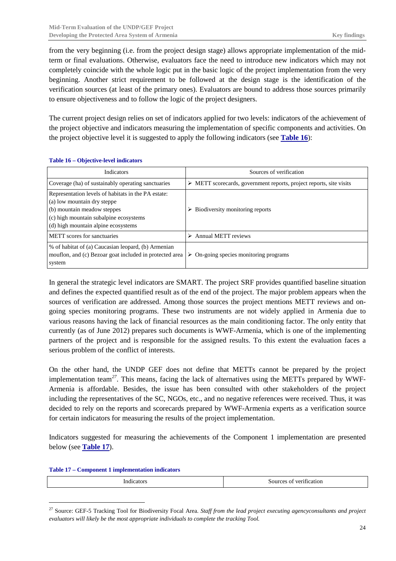from the very beginning (i.e. from the project design stage) allows appropriate implementation of the midterm or final evaluations. Otherwise, evaluators face the need to introduce new indicators which may not completely coincide with the whole logic put in the basic logic of the project implementation from the very beginning. Another strict requirement to be followed at the design stage is the identification of the verification sources (at least of the primary ones). Evaluators are bound to address those sources primarily to ensure objectiveness and to follow the logic of the project designers.

The current project design relies on set of indicators applied for two levels: indicators of the achievement of the project objective and indicators measuring the implementation of specific components and activities. On the project objective level it is suggested to apply the following indicators (see **[Table 16](#page-25-0)**):

| <b>Indicators</b>                                                                                                                                                                                  | Sources of verification                                                            |
|----------------------------------------------------------------------------------------------------------------------------------------------------------------------------------------------------|------------------------------------------------------------------------------------|
| Coverage (ha) of sustainably operating sanctuaries                                                                                                                                                 | $\triangleright$ METT scorecards, government reports, project reports, site visits |
| Representation levels of habitats in the PA estate:<br>(a) low mountain dry steppe<br>(b) mountain meadow steppes<br>(c) high mountain subalpine ecosystems<br>(d) high mountain alpine ecosystems | Biodiversity monitoring reports<br>⋗                                               |
| METT scores for sanctuaries                                                                                                                                                                        | Annual METT reviews                                                                |
| % of habitat of (a) Caucasian leopard, (b) Armenian<br>mouflon, and (c) Bezoar goat included in protected area<br>system                                                                           | On-going species monitoring programs<br>➤                                          |

<span id="page-25-0"></span>**Table 16 – Objective-level indicators**

In general the strategic level indicators are SMART. The project SRF provides quantified baseline situation and defines the expected quantified result as of the end of the project. The major problem appears when the sources of verification are addressed. Among those sources the project mentions METT reviews and ongoing species monitoring programs. These two instruments are not widely applied in Armenia due to various reasons having the lack of financial resources as the main conditioning factor. The only entity that currently (as of June 2012) prepares such documents is WWF-Armenia, which is one of the implementing partners of the project and is responsible for the assigned results. To this extent the evaluation faces a serious problem of the conflict of interests.

On the other hand, the UNDP GEF does not define that METTs cannot be prepared by the project implementation team*[27](#page-25-2)*. This means, facing the lack of alternatives using the METTs prepared by WWF-Armenia is affordable. Besides, the issue has been consulted with other stakeholders of the project including the representatives of the SC, NGOs, etc., and no negative references were received. Thus, it was decided to rely on the reports and scorecards prepared by WWF-Armenia experts as a verification source for certain indicators for measuring the results of the project implementation.

Indicators suggested for measuring the achievements of the Component 1 implementation are presented below (see **[Table 17](#page-25-1)**).

<span id="page-25-1"></span>**Table 17 – Component 1 implementation indicators**

| verification<br>Indicators<br>Sources of |
|------------------------------------------|
|------------------------------------------|

<span id="page-25-2"></span><sup>&</sup>lt;sup>27</sup> Source: GEF-5 Tracking Tool for Biodiversity Focal Area. *Staff from the lead project executing agencyconsultants and project evaluators will likely be the most appropriate individuals to complete the tracking Tool.*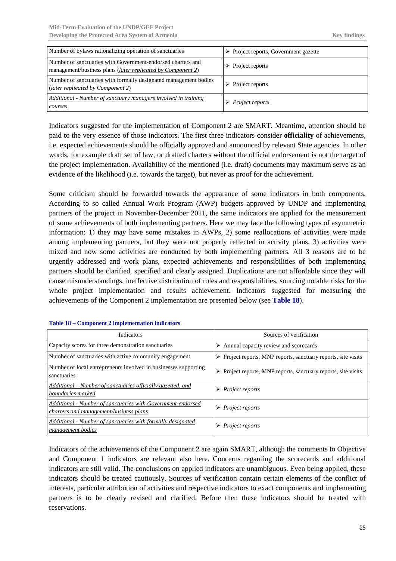| Number of bylaws rationalizing operation of sanctuaries                                                                             | $\triangleright$ Project reports, Government gazette |
|-------------------------------------------------------------------------------------------------------------------------------------|------------------------------------------------------|
| Number of sanctuaries with Government-endorsed charters and<br>management/business plans ( <i>later replicated by Component 2</i> ) | $\triangleright$ Project reports                     |
| Number of sanctuaries with formally designated management bodies<br>(later replicated by Component 2)                               | $\triangleright$ Project reports                     |
| Additional - Number of sanctuary managers involved in training<br>courses                                                           | $\triangleright$ Project reports                     |

Indicators suggested for the implementation of Component 2 are SMART. Meantime, attention should be paid to the very essence of those indicators. The first three indicators consider **officiality** of achievements, i.e. expected achievements should be officially approved and announced by relevant State agencies. In other words, for example draft set of law, or drafted charters without the official endorsement is not the target of the project implementation. Availability of the mentioned (i.e. draft) documents may maximum serve as an evidence of the likelihood (i.e. towards the target), but never as proof for the achievement.

Some criticism should be forwarded towards the appearance of some indicators in both components. According to so called Annual Work Program (AWP) budgets approved by UNDP and implementing partners of the project in November-December 2011, the same indicators are applied for the measurement of some achievements of both implementing partners. Here we may face the following types of asymmetric information: 1) they may have some mistakes in AWPs, 2) some reallocations of activities were made among implementing partners, but they were not properly reflected in activity plans, 3) activities were mixed and now some activities are conducted by both implementing partners. All 3 reasons are to be urgently addressed and work plans, expected achievements and responsibilities of both implementing partners should be clarified, specified and clearly assigned. Duplications are not affordable since they will cause misunderstandings, ineffective distribution of roles and responsibilities, sourcing notable risks for the whole project implementation and results achievement. Indicators suggested for measuring the achievements of the Component 2 implementation are presented below (see **[Table 18](#page-26-0)**).

| Indicators                                                                                            | Sources of verification                                                       |
|-------------------------------------------------------------------------------------------------------|-------------------------------------------------------------------------------|
| Capacity scores for three demonstration sanctuaries                                                   | $\triangleright$ Annual capacity review and scorecards                        |
| Number of sanctuaries with active community engagement                                                | $\triangleright$ Project reports, MNP reports, sanctuary reports, site visits |
| Number of local entrepreneurs involved in businesses supporting<br>sanctuaries                        | $\triangleright$ Project reports, MNP reports, sanctuary reports, site visits |
| Additional – Number of sanctuaries officially gazetted, and<br>boundaries marked                      | <i>Project reports</i>                                                        |
| Additional - Number of sanctuaries with Government-endorsed<br>charters and management/business plans | $\triangleright$ Project reports                                              |
| Additional - Number of sanctuaries with formally designated<br><i>management bodies</i>               | <i>Project reports</i>                                                        |

<span id="page-26-0"></span>

| <b>Table 18 – Component 2 implementation indicators</b> |  |  |  |  |
|---------------------------------------------------------|--|--|--|--|
|---------------------------------------------------------|--|--|--|--|

Indicators of the achievements of the Component 2 are again SMART, although the comments to Objective and Component 1 indicators are relevant also here. Concerns regarding the scorecards and additional indicators are still valid. The conclusions on applied indicators are unambiguous. Even being applied, these indicators should be treated cautiously. Sources of verification contain certain elements of the conflict of interests, particular attribution of activities and respective indicators to exact components and implementing partners is to be clearly revised and clarified. Before then these indicators should be treated with reservations.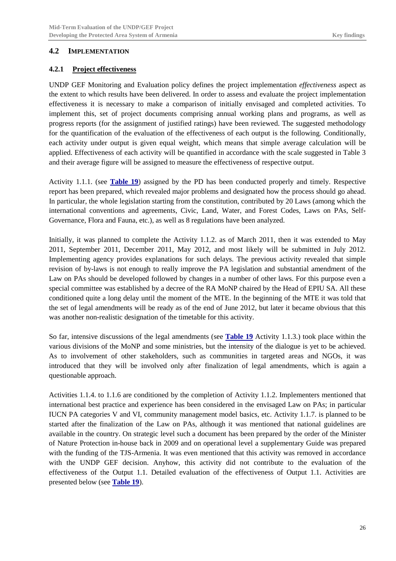### <span id="page-27-0"></span>**4.2 IMPLEMENTATION**

### <span id="page-27-1"></span>**4.2.1 Project effectiveness**

UNDP GEF Monitoring and Evaluation policy defines the project implementation *effectiveness* aspect as the extent to which results have been delivered. In order to assess and evaluate the project implementation effectiveness it is necessary to make a comparison of initially envisaged and completed activities. To implement this, set of project documents comprising annual working plans and programs, as well as progress reports (for the assignment of justified ratings) have been reviewed. The suggested methodology for the quantification of the evaluation of the effectiveness of each output is the following. Conditionally, each activity under output is given equal weight, which means that simple average calculation will be applied. Effectiveness of each activity will be quantified in accordance with the scale suggested in [Table 3](#page-10-2) and their average figure will be assigned to measure the effectiveness of respective output.

Activity 1.1.1. (see **[Table 19](#page-28-0)**) assigned by the PD has been conducted properly and timely. Respective report has been prepared, which revealed major problems and designated how the process should go ahead. In particular, the whole legislation starting from the constitution, contributed by 20 Laws (among which the international conventions and agreements, Civic, Land, Water, and Forest Codes, Laws on PAs, Self-Governance, Flora and Fauna, etc.), as well as 8 regulations have been analyzed.

Initially, it was planned to complete the Activity 1.1.2. as of March 2011, then it was extended to May 2011, September 2011, December 2011, May 2012, and most likely will be submitted in July 2012. Implementing agency provides explanations for such delays. The previous activity revealed that simple revision of by-laws is not enough to really improve the PA legislation and substantial amendment of the Law on PAs should be developed followed by changes in a number of other laws. For this purpose even a special committee was established by a decree of the RA MoNP chaired by the Head of EPIU SA. All these conditioned quite a long delay until the moment of the MTE. In the beginning of the MTE it was told that the set of legal amendments will be ready as of the end of June 2012, but later it became obvious that this was another non-realistic designation of the timetable for this activity.

So far, intensive discussions of the legal amendments (see **[Table 19](#page-28-0)** Activity 1.1.3.) took place within the various divisions of the MoNP and some ministries, but the intensity of the dialogue is yet to be achieved. As to involvement of other stakeholders, such as communities in targeted areas and NGOs, it was introduced that they will be involved only after finalization of legal amendments, which is again a questionable approach.

Activities 1.1.4. to 1.1.6 are conditioned by the completion of Activity 1.1.2. Implementers mentioned that international best practice and experience has been considered in the envisaged Law on PAs; in particular IUCN PA categories V and VI, community management model basics, etc. Activity 1.1.7. is planned to be started after the finalization of the Law on PAs, although it was mentioned that national guidelines are available in the country. On strategic level such a document has been prepared by the order of the Minister of Nature Protection in-house back in 2009 and on operational level a supplementary Guide was prepared with the funding of the TJS-Armenia. It was even mentioned that this activity was removed in accordance with the UNDP GEF decision. Anyhow, this activity did not contribute to the evaluation of the effectiveness of the Output 1.1. Detailed evaluation of the effectiveness of Output 1.1. Activities are presented below (see **[Table 19](#page-28-0)**).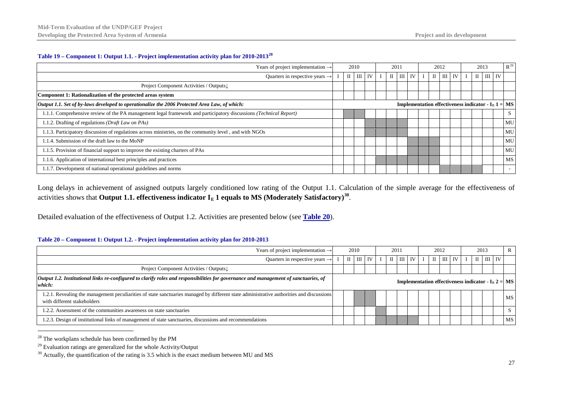#### <span id="page-28-5"></span><span id="page-28-4"></span><span id="page-28-3"></span>**Table 19 – Component 1: Output 1.1. - Project implementation activity plan for 2010-2013[28](#page-28-3)**

| Years of project implementation $\rightarrow$                                                                     | 2010                                                                   |  |              |    |  |              |            |  |  |   | 2011           |    |              |                |    | 2012      |  | 2013 |  |  | $R^{29}$ |
|-------------------------------------------------------------------------------------------------------------------|------------------------------------------------------------------------|--|--------------|----|--|--------------|------------|--|--|---|----------------|----|--------------|----------------|----|-----------|--|------|--|--|----------|
| Quarters in respective years $\rightarrow$                                                                        |                                                                        |  | $\mathbf{m}$ | IV |  | $\mathbf{I}$ | $III$ $IV$ |  |  | П | $\mathbf{III}$ | IV | $\mathbf{I}$ | $\mathbf{III}$ | IV |           |  |      |  |  |          |
| Project Component Activities / Outputs                                                                            |                                                                        |  |              |    |  |              |            |  |  |   |                |    |              |                |    |           |  |      |  |  |          |
| Component 1: Rationalization of the protected areas system                                                        |                                                                        |  |              |    |  |              |            |  |  |   |                |    |              |                |    |           |  |      |  |  |          |
| Output 1.1. Set of by-laws developed to operationalize the 2006 Protected Area Law, of which:                     | <b>Implementation effectiveness indicator - <math>IE 1 = MS</math></b> |  |              |    |  |              |            |  |  |   |                |    |              |                |    |           |  |      |  |  |          |
| 1.1.1. Comprehensive review of the PA management legal framework and participatory discussions (Technical Report) |                                                                        |  |              |    |  |              |            |  |  |   |                |    |              |                |    | S         |  |      |  |  |          |
| 1.1.2. Drafting of regulations (Draft Law on PAs)                                                                 |                                                                        |  |              |    |  |              |            |  |  |   |                |    |              |                |    | MU        |  |      |  |  |          |
| 1.1.3. Participatory discussion of regulations across ministries, on the community level, and with NGOs           |                                                                        |  |              |    |  |              |            |  |  |   |                |    |              |                |    | MU        |  |      |  |  |          |
| .1.4. Submission of the draft law to the MoNP                                                                     |                                                                        |  |              |    |  |              |            |  |  |   |                |    |              |                |    | MU        |  |      |  |  |          |
| 1.1.5. Provision of financial support to improve the existing charters of PAs                                     |                                                                        |  |              |    |  |              |            |  |  |   |                |    |              |                |    | MU        |  |      |  |  |          |
| 1.1.6. Application of international best principles and practices                                                 |                                                                        |  |              |    |  |              |            |  |  |   |                |    |              |                |    | <b>MS</b> |  |      |  |  |          |
| 1.1.7. Development of national operational guidelines and norms                                                   |                                                                        |  |              |    |  |              |            |  |  |   |                |    |              |                |    | $\sim$    |  |      |  |  |          |

Long delays in achievement of assigned outputs largely conditioned low rating of the Output 1.1. Calculation of the simple average for the effectiveness of activities shows that **Output 1.1. effectiveness indicator**  $I<sub>E</sub>$  **1 equals to MS (Moderately Satisfactory)<sup>[30](#page-28-5)</sup>.** 

<span id="page-28-0"></span>Detailed evaluation of the effectiveness of Output 1.2. Activities are presented below (see **[Table 20](#page-28-2)**).

#### <span id="page-28-2"></span>**Table 20 – Component 1: Output 1.2. - Project implementation activity plan for 2010-2013**

| Years of project implementation $\rightarrow$                                                                                                                           | 2010<br>2011                                                             |              |                |    |  |              |               |  | 2012  |      |           |  | 2013 | R        |                         |
|-------------------------------------------------------------------------------------------------------------------------------------------------------------------------|--------------------------------------------------------------------------|--------------|----------------|----|--|--------------|---------------|--|-------|------|-----------|--|------|----------|-------------------------|
| Quarters in respective years $\rightarrow$                                                                                                                              |                                                                          | $\mathbf{I}$ | $\mathbf{III}$ | IV |  | $\mathbf{I}$ | <b>III</b> IV |  | $\Pi$ | TH 1 | <b>IV</b> |  |      | $III$ IV |                         |
| Project Component Activities / Outputs                                                                                                                                  |                                                                          |              |                |    |  |              |               |  |       |      |           |  |      |          |                         |
| Output 1.2. Institutional links re-configured to clarify roles and responsibilities for governance and management of sanctuaries, of<br>which:                          | <b>Implementation effectiveness indicator - I<sub>E</sub> 2 =   MS  </b> |              |                |    |  |              |               |  |       |      |           |  |      |          |                         |
| 1.2.1. Revealing the management peculiarities of state sanctuaries managed by different state administrative authorities and discussions<br>with different stakeholders |                                                                          |              |                |    |  |              |               |  |       |      |           |  |      |          | <b>MS</b>               |
| 1.2.2. Assessment of the communities awareness on state sanctuaries                                                                                                     |                                                                          |              |                |    |  |              |               |  |       |      |           |  |      |          | $\mathbf{C}$<br>$\cdot$ |
| 1.2.3. Design of institutional links of management of state sanctuaries, discussions and recommendations                                                                |                                                                          |              |                |    |  |              |               |  |       |      |           |  |      |          | <b>MS</b>               |

 <sup>28</sup> The workplans schedule has been confirmed by the PM

 $29$  Evaluation ratings are generalized for the whole Activity/Output

<span id="page-28-1"></span> $30$  Actually, the quantification of the rating is 3.5 which is the exact medium between MU and MS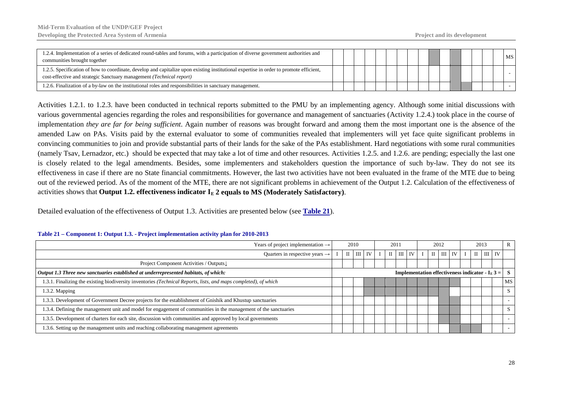| 1.2.4. Implementation of a series of dedicated round-tables and forums, with a participation of diverse government authorities and<br>communities brought together                                                      |  |  |  |  |  |  |  | MS |
|-------------------------------------------------------------------------------------------------------------------------------------------------------------------------------------------------------------------------|--|--|--|--|--|--|--|----|
| 1.2.5. Specification of how to coordinate, develop and capitalize upon existing institutional expertise in order to promote efficient,<br>cost-effective and strategic Sanctuary management ( <i>Technical report</i> ) |  |  |  |  |  |  |  |    |
| 1.2.6. Finalization of a by-law on the institutional roles and responsibilities in sanctuary management.                                                                                                                |  |  |  |  |  |  |  |    |

Activities 1.2.1. to 1.2.3. have been conducted in technical reports submitted to the PMU by an implementing agency. Although some initial discussions with various governmental agencies regarding the roles and responsibilities for governance and management of sanctuaries (Activity 1.2.4.) took place in the course of implementation *they are far for being sufficient*. Again number of reasons was brought forward and among them the most important one is the absence of the amended Law on PAs. Visits paid by the external evaluator to some of communities revealed that implementers will yet face quite significant problems in convincing communities to join and provide substantial parts of their lands for the sake of the PAs establishment. Hard negotiations with some rural communities (namely Tsav, Lernadzor, etc.) should be expected that may take a lot of time and other resources. Activities 1.2.5. and 1.2.6. are pending; especially the last one is closely related to the legal amendments. Besides, some implementers and stakeholders question the importance of such by-law. They do not see its effectiveness in case if there are no State financial commitments. However, the last two activities have not been evaluated in the frame of the MTE due to being out of the reviewed period. As of the moment of the MTE, there are not significant problems in achievement of the Output 1.2. Calculation of the effectiveness of activities shows that **Output 1.2. effectiveness indicator**  $I<sub>E</sub>$  **2 equals to MS (Moderately Satisfactory).** 

Detailed evaluation of the effectiveness of Output 1.3. Activities are presented below (see **[Table 21](#page-29-1)**).

<span id="page-29-0"></span>

| Years of project implementation $\rightarrow$                                                                    | 2010 |  |                 |  |  |              |          |  |  |  |                          |    |  |  |  |                                                                     |              |  |  |  |  |  |  | 2011 |  |  |  | 2012 |  |  |  |  | 2013 |  |  |  |
|------------------------------------------------------------------------------------------------------------------|------|--|-----------------|--|--|--------------|----------|--|--|--|--------------------------|----|--|--|--|---------------------------------------------------------------------|--------------|--|--|--|--|--|--|------|--|--|--|------|--|--|--|--|------|--|--|--|
| Quarters in respective years $\rightarrow$                                                                       |      |  | $II$ $III$ $IV$ |  |  | $\mathbf{I}$ | $III$ IV |  |  |  | $\text{II}$ $\text{III}$ | IV |  |  |  | $II$ $III$ $IV$                                                     |              |  |  |  |  |  |  |      |  |  |  |      |  |  |  |  |      |  |  |  |
| Project Component Activities / Outputs                                                                           |      |  |                 |  |  |              |          |  |  |  |                          |    |  |  |  |                                                                     |              |  |  |  |  |  |  |      |  |  |  |      |  |  |  |  |      |  |  |  |
| Output 1.3 Three new sanctuaries established at underrepresented habitats, of which:                             |      |  |                 |  |  |              |          |  |  |  |                          |    |  |  |  | <b>Implementation effectiveness indicator - I<sub>E</sub> 3 =  </b> |              |  |  |  |  |  |  |      |  |  |  |      |  |  |  |  |      |  |  |  |
| 1.3.1. Finalizing the existing biodiversity inventories (Technical Reports, lists, and maps completed), of which |      |  |                 |  |  |              |          |  |  |  |                          |    |  |  |  |                                                                     | <b>MS</b>    |  |  |  |  |  |  |      |  |  |  |      |  |  |  |  |      |  |  |  |
| 1.3.2. Mapping                                                                                                   |      |  |                 |  |  |              |          |  |  |  |                          |    |  |  |  |                                                                     | S.           |  |  |  |  |  |  |      |  |  |  |      |  |  |  |  |      |  |  |  |
| 1.3.3. Development of Government Decree projects for the establishment of Gnishik and Khustup sanctuaries        |      |  |                 |  |  |              |          |  |  |  |                          |    |  |  |  |                                                                     | $\sim$       |  |  |  |  |  |  |      |  |  |  |      |  |  |  |  |      |  |  |  |
| 1.3.4. Defining the management unit and model for engagement of communities in the management of the sanctuaries |      |  |                 |  |  |              |          |  |  |  |                          |    |  |  |  |                                                                     | <sup>S</sup> |  |  |  |  |  |  |      |  |  |  |      |  |  |  |  |      |  |  |  |
| 1.3.5. Development of charters for each site, discussion with communities and approved by local governments      |      |  |                 |  |  |              |          |  |  |  |                          |    |  |  |  |                                                                     | $\sim$       |  |  |  |  |  |  |      |  |  |  |      |  |  |  |  |      |  |  |  |
| 1.3.6. Setting up the management units and reaching collaborating management agreements                          |      |  |                 |  |  |              |          |  |  |  |                          |    |  |  |  |                                                                     | $\sim$       |  |  |  |  |  |  |      |  |  |  |      |  |  |  |  |      |  |  |  |

#### <span id="page-29-1"></span>**Table 21 – Component 1: Output 1.3. - Project implementation activity plan for 2010-2013**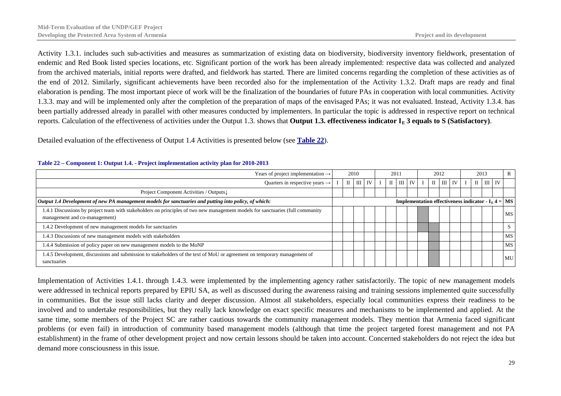Activity 1.3.1. includes such sub-activities and measures as summarization of existing data on biodiversity, biodiversity inventory fieldwork, presentation of endemic and Red Book listed species locations, etc. Significant portion of the work has been already implemented: respective data was collected and analyzed from the archived materials, initial reports were drafted, and fieldwork has started. There are limited concerns regarding the completion of these activities as of the end of 2012. Similarly, significant achievements have been recorded also for the implementation of the Activity 1.3.2. Draft maps are ready and final elaboration is pending. The most important piece of work will be the finalization of the boundaries of future PAs in cooperation with local communities. Activity 1.3.3. may and will be implemented only after the completion of the preparation of maps of the envisaged PAs; it was not evaluated. Instead, Activity 1.3.4. has been partially addressed already in parallel with other measures conducted by implementers. In particular the topic is addressed in respective report on technical reports. Calculation of the effectiveness of activities under the Output 1.3. shows that **Output 1.3. effectiveness indicator**  $I<sub>E</sub>$  **3 equals to S (Satisfactory).** 

Detailed evaluation of the effectiveness of Output 1.4 Activities is presented below (see **[Table 22](#page-30-1)**).

| Years of project implementation $\rightarrow$                                                                                                                   | 2010 |              |  |          |  |              |        |  |              | 2012 |    | 2013 |                 |                                                                        | $\mathbb{R}$ |
|-----------------------------------------------------------------------------------------------------------------------------------------------------------------|------|--------------|--|----------|--|--------------|--------|--|--------------|------|----|------|-----------------|------------------------------------------------------------------------|--------------|
| Quarters in respective years $\rightarrow$                                                                                                                      |      | $\mathbf{I}$ |  | $III$ IV |  | $\mathbf{I}$ | III IV |  | $\mathbf{H}$ | Ш    | IV |      | $II$ $III$ $IV$ |                                                                        |              |
| Project Component Activities / Outputs                                                                                                                          |      |              |  |          |  |              |        |  |              |      |    |      |                 |                                                                        |              |
| Output 1.4 Development of new PA management models for sanctuaries and putting into policy, of which:                                                           |      |              |  |          |  |              |        |  |              |      |    |      |                 | <b>Implementation effectiveness indicator - I<sub>E</sub> 4 =   MS</b> |              |
| 1.4.1 Discussions by project team with stakeholders on principles of two new management models for sanctuaries (full community<br>management and co-management) |      |              |  |          |  |              |        |  |              |      |    |      |                 |                                                                        | <b>MS</b>    |
| 1.4.2 Development of new management models for sanctuaries                                                                                                      |      |              |  |          |  |              |        |  |              |      |    |      |                 |                                                                        | S.           |
| 1.4.3 Discussions of new management models with stakeholders                                                                                                    |      |              |  |          |  |              |        |  |              |      |    |      |                 |                                                                        | <b>MS</b>    |
| 1.4.4 Submission of policy paper on new management models to the MoNP                                                                                           |      |              |  |          |  |              |        |  |              |      |    |      |                 |                                                                        | <b>MS</b>    |
| 1.4.5 Development, discussions and submission to stakeholders of the text of MoU or agreement on temporary management of<br>sanctuaries                         |      |              |  |          |  |              |        |  |              |      |    |      |                 |                                                                        | MU           |

#### <span id="page-30-1"></span>**Table 22 – Component 1: Output 1.4. - Project implementation activity plan for 2010-2013**

<span id="page-30-0"></span>Implementation of Activities 1.4.1. through 1.4.3. were implemented by the implementing agency rather satisfactorily. The topic of new management models were addressed in technical reports prepared by EPIU SA, as well as discussed during the awareness raising and training sessions implemented quite successfully in communities. But the issue still lacks clarity and deeper discussion. Almost all stakeholders, especially local communities express their readiness to be involved and to undertake responsibilities, but they really lack knowledge on exact specific measures and mechanisms to be implemented and applied. At the same time, some members of the Project SC are rather cautious towards the community management models. They mention that Armenia faced significant problems (or even fail) in introduction of community based management models (although that time the project targeted forest management and not PA establishment) in the frame of other development project and now certain lessons should be taken into account. Concerned stakeholders do not reject the idea but demand more consciousness in this issue.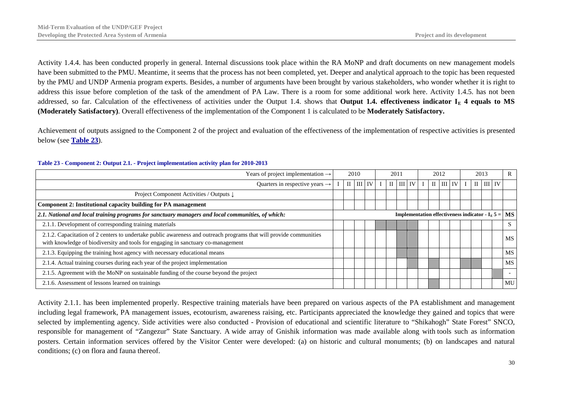Activity 1.4.4. has been conducted properly in general. Internal discussions took place within the RA MoNP and draft documents on new management models have been submitted to the PMU. Meantime, it seems that the process has not been completed, yet. Deeper and analytical approach to the topic has been requested by the PMU and UNDP Armenia program experts. Besides, a number of arguments have been brought by various stakeholders, who wonder whether it is right to address this issue before completion of the task of the amendment of PA Law. There is a room for some additional work here. Activity 1.4.5. has not been addressed, so far. Calculation of the effectiveness of activities under the Output 1.4. shows that **Output 1.4. effectiveness indicator I<sub>E</sub> 4 equals to MS (Moderately Satisfactory)**. Overall effectiveness of the implementation of the Component 1 is calculated to be **Moderately Satisfactory.**

Achievement of outputs assigned to the Component 2 of the project and evaluation of the effectiveness of the implementation of respective activities is presented below (see **[Table 23](#page-31-1)**).

| Years of project implementation $\rightarrow$                                                                                                                                                          | 2010 |  |  |               |  |                                      |                    |  |            |              |        |                                                                        | 2011                     |  |  | 2012 |  | 2013 |  |  | $\mathbb{R}$ |
|--------------------------------------------------------------------------------------------------------------------------------------------------------------------------------------------------------|------|--|--|---------------|--|--------------------------------------|--------------------|--|------------|--------------|--------|------------------------------------------------------------------------|--------------------------|--|--|------|--|------|--|--|--------------|
| Quarters in respective years $\rightarrow$                                                                                                                                                             |      |  |  | $I$ II III IV |  | $\text{II}$ $\text{III}$ $\text{IV}$ | $\vert$ II $\vert$ |  | $III$ $IV$ | $\mathbf{I}$ | III IV |                                                                        |                          |  |  |      |  |      |  |  |              |
| Project Component Activities / Outputs ↓                                                                                                                                                               |      |  |  |               |  |                                      |                    |  |            |              |        |                                                                        |                          |  |  |      |  |      |  |  |              |
| Component 2: Institutional capacity building for PA management                                                                                                                                         |      |  |  |               |  |                                      |                    |  |            |              |        |                                                                        |                          |  |  |      |  |      |  |  |              |
| 2.1. National and local training programs for sanctuary managers and local communities, of which:                                                                                                      |      |  |  |               |  |                                      |                    |  |            |              |        | <b>Implementation effectiveness indicator - I<sub>E</sub> 5 =   MS</b> |                          |  |  |      |  |      |  |  |              |
| 2.1.1. Development of corresponding training materials                                                                                                                                                 |      |  |  |               |  |                                      |                    |  |            |              |        |                                                                        | S                        |  |  |      |  |      |  |  |              |
| 2.1.2. Capacitation of 2 centers to undertake public awareness and outreach programs that will provide communities<br>with knowledge of biodiversity and tools for engaging in sanctuary co-management |      |  |  |               |  |                                      |                    |  |            |              |        |                                                                        | <b>MS</b>                |  |  |      |  |      |  |  |              |
| 2.1.3. Equipping the training host agency with necessary educational means                                                                                                                             |      |  |  |               |  |                                      |                    |  |            |              |        |                                                                        | <b>MS</b>                |  |  |      |  |      |  |  |              |
| 2.1.4. Actual training courses during each year of the project implementation                                                                                                                          |      |  |  |               |  |                                      |                    |  |            |              |        |                                                                        | MS                       |  |  |      |  |      |  |  |              |
| 2.1.5. Agreement with the MoNP on sustainable funding of the course beyond the project                                                                                                                 |      |  |  |               |  |                                      |                    |  |            |              |        |                                                                        | $\overline{\phantom{a}}$ |  |  |      |  |      |  |  |              |
| 2.1.6. Assessment of lessons learned on trainings                                                                                                                                                      |      |  |  |               |  |                                      |                    |  |            |              |        |                                                                        | MU                       |  |  |      |  |      |  |  |              |

#### <span id="page-31-1"></span>**Table 23 - Component 2: Output 2.1. - Project implementation activity plan for 2010-2013**

<span id="page-31-0"></span>Activity 2.1.1. has been implemented properly. Respective training materials have been prepared on various aspects of the PA establishment and management including legal framework, PA management issues, ecotourism, awareness raising, etc. Participants appreciated the knowledge they gained and topics that were selected by implementing agency. Side activities were also conducted - Provision of educational and scientific literature to "Shikahogh" State Forest" SNCO, responsible for management of "Zangezur" State Sanctuary. A wide array of Gnishik information was made available along with tools such as information posters. Certain information services offered by the Visitor Center were developed: (a) on historic and cultural monuments; (b) on landscapes and natural conditions; (c) on flora and fauna thereof.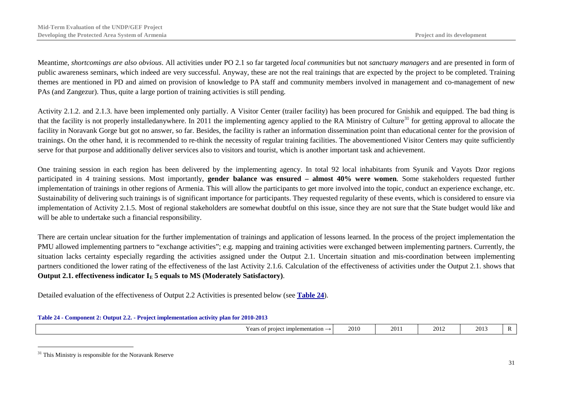<span id="page-32-2"></span>Meantime, *shortcomings are also obvious*. All activities under PO 2.1 so far targeted *local communities* but not *sanctuary managers* and are presented in form of public awareness seminars, which indeed are very successful. Anyway, these are not the real trainings that are expected by the project to be completed. Training themes are mentioned in PD and aimed on provision of knowledge to PA staff and community members involved in management and co-management of new PAs (and Zangezur). Thus, quite a large portion of training activities is still pending.

Activity 2.1.2. and 2.1.3. have been implemented only partially. A Visitor Center (trailer facility) has been procured for Gnishik and equipped. The bad thing is that the facility is not properly installedanywhere. In 2011 the implementing agency applied to the RA Ministry of Culture<sup>[31](#page-32-2)</sup> for getting approval to allocate the facility in Noravank Gorge but got no answer, so far. Besides, the facility is rather an information dissemination point than educational center for the provision of trainings. On the other hand, it is recommended to re-think the necessity of regular training facilities. The abovementioned Visitor Centers may quite sufficiently serve for that purpose and additionally deliver services also to visitors and tourist, which is another important task and achievement.

One training session in each region has been delivered by the implementing agency. In total 92 local inhabitants from Syunik and Vayots Dzor regions participated in 4 training sessions. Most importantly, **gender balance was ensured – almost 40% were women**. Some stakeholders requested further implementation of trainings in other regions of Armenia. This will allow the participants to get more involved into the topic, conduct an experience exchange, etc. Sustainability of delivering such trainings is of significant importance for participants. They requested regularity of these events, which is considered to ensure via implementation of Activity 2.1.5. Most of regional stakeholders are somewhat doubtful on this issue, since they are not sure that the State budget would like and will be able to undertake such a financial responsibility.

There are certain unclear situation for the further implementation of trainings and application of lessons learned. In the process of the project implementation the PMU allowed implementing partners to "exchange activities"; e.g. mapping and training activities were exchanged between implementing partners. Currently, the situation lacks certainty especially regarding the activities assigned under the Output 2.1. Uncertain situation and mis-coordination between implementing partners conditioned the lower rating of the effectiveness of the last Activity 2.1.6. Calculation of the effectiveness of activities under the Output 2.1. shows that **Output 2.1. effectiveness indicator**  $I<sub>E</sub>$  **5 equals to MS (Moderately Satisfactory).** 

Detailed evaluation of the effectiveness of Output 2.2 Activities is presented below (see **[Table 24](#page-32-1)**).

<span id="page-32-1"></span>

|  |  | Table 24 - Component 2: Output 2.2. - Project implementation activity plan for 2010-2013 |  |
|--|--|------------------------------------------------------------------------------------------|--|
|  |  |                                                                                          |  |

| mplementation<br>$\sim$ ears.<br>.<br>١r<br><b>vui</b> | 2010 | $\sim$<br>20<br>$\overline{\phantom{a}}$ | 201. | 201 |  |
|--------------------------------------------------------|------|------------------------------------------|------|-----|--|
|--------------------------------------------------------|------|------------------------------------------|------|-----|--|

<span id="page-32-0"></span> $31$  This Ministry is responsible for the Noravank Reserve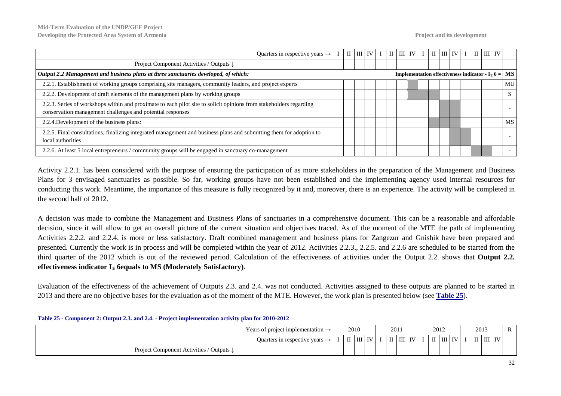| Quarters in respective years $\rightarrow$                                                                                                                                       |  | $\mathbf{I}$ | $III$ $IV$ $I$ |  | $\begin{array}{c c c c c c c} \hline \text{II} & \text{III} & \text{IV} & \text{I} & \text{III} & \text{IV} & \text{I} \end{array}$ |  |  |  | $\mathbf{II}$ $\mathbf{III}$ $\mathbf{IV}$ |  |                                                                        |
|----------------------------------------------------------------------------------------------------------------------------------------------------------------------------------|--|--------------|----------------|--|-------------------------------------------------------------------------------------------------------------------------------------|--|--|--|--------------------------------------------|--|------------------------------------------------------------------------|
| Project Component Activities / Outputs $\downarrow$                                                                                                                              |  |              |                |  |                                                                                                                                     |  |  |  |                                            |  |                                                                        |
| Output 2.2 Management and business plans at three sanctuaries developed, of which:                                                                                               |  |              |                |  |                                                                                                                                     |  |  |  |                                            |  | <b>Implementation effectiveness indicator - I<sub>E</sub> 6 =   MS</b> |
| 2.2.1. Establishment of working groups comprising site managers, community leaders, and project experts                                                                          |  |              |                |  |                                                                                                                                     |  |  |  |                                            |  | MU                                                                     |
| 2.2.2. Development of draft elements of the management plans by working groups                                                                                                   |  |              |                |  |                                                                                                                                     |  |  |  |                                            |  | <sub>S</sub>                                                           |
| 2.2.3. Series of workshops within and proximate to each pilot site to solicit opinions from stakeholders regarding<br>conservation management challenges and potential responses |  |              |                |  |                                                                                                                                     |  |  |  |                                            |  |                                                                        |
| 2.2.4. Development of the business plans:                                                                                                                                        |  |              |                |  |                                                                                                                                     |  |  |  |                                            |  | <b>MS</b>                                                              |
| 2.2.5. Final consultations, finalizing integrated management and business plans and submitting them for adoption to<br>local authorities                                         |  |              |                |  |                                                                                                                                     |  |  |  |                                            |  |                                                                        |
| 2.2.6. At least 5 local entrepreneurs / community groups will be engaged in sanctuary co-management                                                                              |  |              |                |  |                                                                                                                                     |  |  |  |                                            |  |                                                                        |

Activity 2.2.1. has been considered with the purpose of ensuring the participation of as more stakeholders in the preparation of the Management and Business Plans for 3 envisaged sanctuaries as possible. So far, working groups have not been established and the implementing agency used internal resources for conducting this work. Meantime, the importance of this measure is fully recognized by it and, moreover, there is an experience. The activity will be completed in the second half of 2012.

A decision was made to combine the Management and Business Plans of sanctuaries in a comprehensive document. This can be a reasonable and affordable decision, since it will allow to get an overall picture of the current situation and objectives traced. As of the moment of the MTE the path of implementing Activities 2.2.2. and 2.2.4. is more or less satisfactory. Draft combined management and business plans for Zangezur and Gnishik have been prepared and presented. Currently the work is in process and will be completed within the year of 2012. Activities 2.2.3., 2.2.5. and 2.2.6 are scheduled to be started from the third quarter of the 2012 which is out of the reviewed period. Calculation of the effectiveness of activities under the Output 2.2. shows that **Output 2.2.**  effectiveness indicator  $I<sub>E</sub>$  6equals to MS (Moderately Satisfactory).

Evaluation of the effectiveness of the achievement of Outputs 2.3. and 2.4. was not conducted. Activities assigned to these outputs are planned to be started in 2013 and there are no objective bases for the evaluation as of the moment of the MTE. However, the work plan is presented below (see **[Table 25](#page-33-1)**).

<span id="page-33-0"></span>

| Table 20 - Component 2. Output 2.0. and 2.4. - Troject implementation activity plan for 2010-2012 |  |      |               |        |  |               |  |  |      |                                                             |  |      |  |                                                     |   |  |
|---------------------------------------------------------------------------------------------------|--|------|---------------|--------|--|---------------|--|--|------|-------------------------------------------------------------|--|------|--|-----------------------------------------------------|---|--|
| Years of project implementation $\rightarrow$                                                     |  | 2010 |               |        |  | 2011          |  |  | 2012 |                                                             |  | 2013 |  |                                                     | R |  |
| Quarters in respective years $\rightarrow$ I                                                      |  |      | $\mathbf{II}$ | III IV |  | $I$ II III IV |  |  |      | $\parallel$ II $\parallel$ III $\parallel$ IV $\parallel$ I |  |      |  | $\mathbf{H}$ $\mathbf{H}$ $\mathbf{H}$ $\mathbf{W}$ |   |  |
| Project Component Activities / Outputs $\downarrow$                                               |  |      |               |        |  |               |  |  |      |                                                             |  |      |  |                                                     |   |  |

#### <span id="page-33-1"></span>**Table 25 - Component 2: Output 2.3. and 2.4. - Project implementation activity plan for 2010-2012**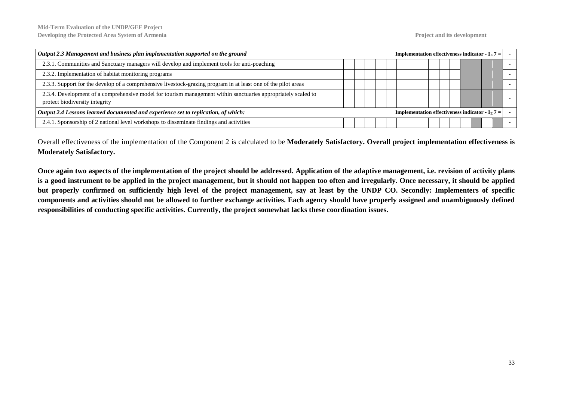| Output 2.3 Management and business plan implementation supported on the ground                                                                          | <b>Implementation effectiveness indicator - I<sub>E</sub> 7 =  </b> |  |  |  |  |  |  |  |  |  |
|---------------------------------------------------------------------------------------------------------------------------------------------------------|---------------------------------------------------------------------|--|--|--|--|--|--|--|--|--|
| 2.3.1. Communities and Sanctuary managers will develop and implement tools for anti-poaching                                                            |                                                                     |  |  |  |  |  |  |  |  |  |
| 2.3.2. Implementation of habitat monitoring programs                                                                                                    |                                                                     |  |  |  |  |  |  |  |  |  |
| 2.3.3. Support for the develop of a comprehensive livestock-grazing program in at least one of the pilot areas                                          |                                                                     |  |  |  |  |  |  |  |  |  |
| 2.3.4. Development of a comprehensive model for tourism management within sanctuaries appropriately scaled to<br>protect biodiversity integrity         |                                                                     |  |  |  |  |  |  |  |  |  |
| Output 2.4 Lessons learned documented and experience set to replication, of which:<br><b>Implementation effectiveness indicator - I<sub>E</sub> 7 =</b> |                                                                     |  |  |  |  |  |  |  |  |  |
| 2.4.1. Sponsorship of 2 national level workshops to disseminate findings and activities                                                                 |                                                                     |  |  |  |  |  |  |  |  |  |

Overall effectiveness of the implementation of the Component 2 is calculated to be **Moderately Satisfactory. Overall project implementation effectiveness is Moderately Satisfactory.**

**Once again two aspects of the implementation of the project should be addressed. Application of the adaptive management, i.e. revision of activity plans is a good instrument to be applied in the project management, but it should not happen too often and irregularly. Once necessary, it should be applied but properly confirmed on sufficiently high level of the project management, say at least by the UNDP CO. Secondly: Implementers of specific components and activities should not be allowed to further exchange activities. Each agency should have properly assigned and unambiguously defined responsibilities of conducting specific activities. Currently, the project somewhat lacks these coordination issues.**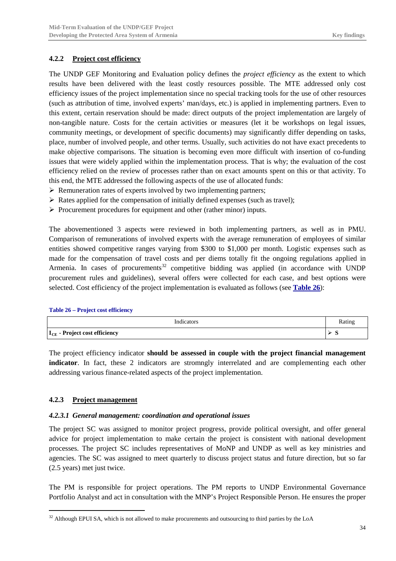### <span id="page-35-0"></span>**4.2.2 Project cost efficiency**

The UNDP GEF Monitoring and Evaluation policy defines the *project efficiency* as the extent to which results have been delivered with the least costly resources possible. The MTE addressed only cost efficiency issues of the project implementation since no special tracking tools for the use of other resources (such as attribution of time, involved experts' man/days, etc.) is applied in implementing partners. Even to this extent, certain reservation should be made: direct outputs of the project implementation are largely of non-tangible nature. Costs for the certain activities or measures (let it be workshops on legal issues, community meetings, or development of specific documents) may significantly differ depending on tasks, place, number of involved people, and other terms. Usually, such activities do not have exact precedents to make objective comparisons. The situation is becoming even more difficult with insertion of co-funding issues that were widely applied within the implementation process. That is why; the evaluation of the cost efficiency relied on the review of processes rather than on exact amounts spent on this or that activity. To this end, the MTE addressed the following aspects of the use of allocated funds:

- $\triangleright$  Remuneration rates of experts involved by two implementing partners;
- $\triangleright$  Rates applied for the compensation of initially defined expenses (such as travel);
- $\triangleright$  Procurement procedures for equipment and other (rather minor) inputs.

The abovementioned 3 aspects were reviewed in both implementing partners, as well as in PMU. Comparison of remunerations of involved experts with the average remuneration of employees of similar entities showed competitive ranges varying from \$300 to \$1,000 per month. Logistic expenses such as made for the compensation of travel costs and per diems totally fit the ongoing regulations applied in Armenia. In cases of procurements<sup>[32](#page-35-4)</sup> competitive bidding was applied (in accordance with UNDP procurement rules and guidelines), several offers were collected for each case, and best options were selected. Cost efficiency of the project implementation is evaluated as follows (see **[Table 26](#page-35-3)**):

#### <span id="page-35-3"></span>**Table 26 – Project cost efficiency**

| Indicators                                |   |
|-------------------------------------------|---|
| I <sub>CE</sub> - Project cost efficiency | ັ |

The project efficiency indicator **should be assessed in couple with the project financial management indicator**. In fact, these 2 indicators are stromngly interrelated and are complementing each other addressing various finance-related aspects of the project implementation.

### <span id="page-35-1"></span>**4.2.3 Project management**

#### <span id="page-35-2"></span>*4.2.3.1 General management: coordination and operational issues*

The project SC was assigned to monitor project progress, provide political oversight, and offer general advice for project implementation to make certain the project is consistent with national development processes. The project SC includes representatives of MoNP and UNDP as well as key ministries and agencies. The SC was assigned to meet quarterly to discuss project status and future direction, but so far (2.5 years) met just twice.

The PM is responsible for project operations. The PM reports to UNDP Environmental Governance Portfolio Analyst and act in consultation with the MNP's Project Responsible Person. He ensures the proper

<span id="page-35-4"></span> $32$  Although EPUI SA, which is not allowed to make procurements and outsourcing to third parties by the LoA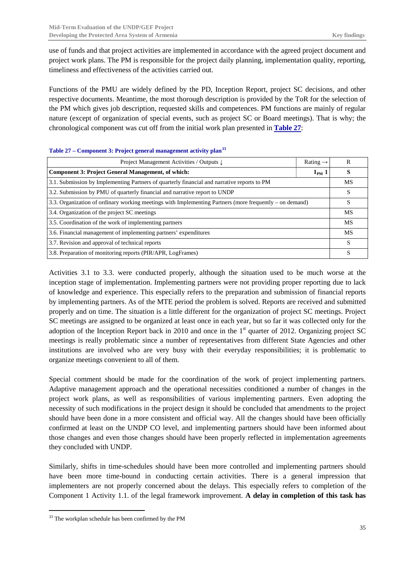use of funds and that project activities are implemented in accordance with the agreed project document and project work plans. The PM is responsible for the project daily planning, implementation quality, reporting, timeliness and effectiveness of the activities carried out.

Functions of the PMU are widely defined by the PD, Inception Report, project SC decisions, and other respective documents. Meantime, the most thorough description is provided by the ToR for the selection of the PM which gives job description, requested skills and competences. PM functions are mainly of regular nature (except of organization of special events, such as project SC or Board meetings). That is why; the chronological component was cut off from the initial work plan presented in **[Table 27](#page-36-0)**:

| Project Management Activities / Outputs ↓                                                               | Rating $\rightarrow$ | R         |  |  |  |  |
|---------------------------------------------------------------------------------------------------------|----------------------|-----------|--|--|--|--|
| <b>Component 3: Project General Management, of which:</b><br>$I_{PM}$ 1                                 |                      |           |  |  |  |  |
| 3.1. Submission by Implementing Partners of quarterly financial and narrative reports to PM             |                      |           |  |  |  |  |
| 3.2. Submission by PMU of quarterly financial and narrative report to UNDP                              |                      |           |  |  |  |  |
| 3.3. Organization of ordinary working meetings with Implementing Partners (more frequently – on demand) |                      |           |  |  |  |  |
| 3.4. Organization of the project SC meetings                                                            |                      |           |  |  |  |  |
| 3.5. Coordination of the work of implementing partners                                                  |                      | MS        |  |  |  |  |
| 3.6. Financial management of implementing partners' expenditures                                        |                      | <b>MS</b> |  |  |  |  |
| 3.7. Revision and approval of technical reports                                                         |                      |           |  |  |  |  |
| 3.8. Preparation of monitoring reports (PIR/APR, LogFrames)                                             |                      |           |  |  |  |  |

#### <span id="page-36-0"></span>**Table 27 – Component 3: Project general management activity plan[33](#page-36-1)**

Activities 3.1 to 3.3. were conducted properly, although the situation used to be much worse at the inception stage of implementation. Implementing partners were not providing proper reporting due to lack of knowledge and experience. This especially refers to the preparation and submission of financial reports by implementing partners. As of the MTE period the problem is solved. Reports are received and submitted properly and on time. The situation is a little different for the organization of project SC meetings. Project SC meetings are assigned to be organized at least once in each year, but so far it was collected only for the adoption of the Inception Report back in 2010 and once in the  $1<sup>st</sup>$  quarter of 2012. Organizing project SC meetings is really problematic since a number of representatives from different State Agencies and other institutions are involved who are very busy with their everyday responsibilities; it is problematic to organize meetings convenient to all of them.

Special comment should be made for the coordination of the work of project implementing partners. Adaptive management approach and the operational necessities conditioned a number of changes in the project work plans, as well as responsibilities of various implementing partners. Even adopting the necessity of such modifications in the project design it should be concluded that amendments to the project should have been done in a more consistent and official way. All the changes should have been officially confirmed at least on the UNDP CO level, and implementing partners should have been informed about those changes and even those changes should have been properly reflected in implementation agreements they concluded with UNDP.

Similarly, shifts in time-schedules should have been more controlled and implementing partners should have been more time-bound in conducting certain activities. There is a general impression that implementers are not properly concerned about the delays. This especially refers to completion of the Component 1 Activity 1.1. of the legal framework improvement. **A delay in completion of this task has**

<span id="page-36-1"></span><sup>&</sup>lt;sup>33</sup> The workplan schedule has been confirmed by the PM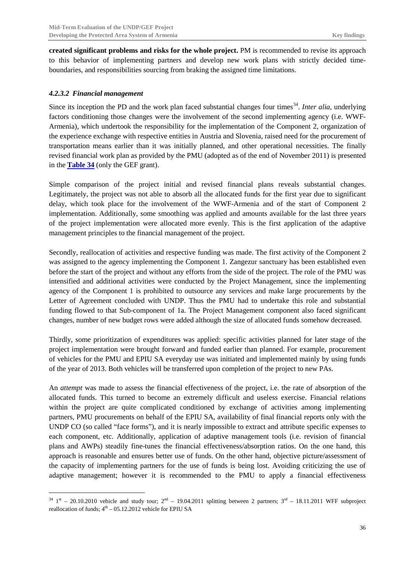**created significant problems and risks for the whole project.** PM is recommended to revise its approach to this behavior of implementing partners and develop new work plans with strictly decided timeboundaries, and responsibilities sourcing from braking the assigned time limitations.

### <span id="page-37-0"></span>*4.2.3.2 Financial management*

Since its inception the PD and the work plan faced substantial changes four times<sup>[34](#page-37-1)</sup>. *Inter alia*, underlying factors conditioning those changes were the involvement of the second implementing agency (i.e. WWF-Armenia), which undertook the responsibility for the implementation of the Component 2, organization of the experience exchange with respective entities in Austria and Slovenia, raised need for the procurement of transportation means earlier than it was initially planned, and other operational necessities. The finally revised financial work plan as provided by the PMU (adopted as of the end of November 2011) is presented in the **[Table 34](#page-57-1)** (only the GEF grant).

Simple comparison of the project initial and revised financial plans reveals substantial changes. Legitimately, the project was not able to absorb all the allocated funds for the first year due to significant delay, which took place for the involvement of the WWF-Armenia and of the start of Component 2 implementation. Additionally, some smoothing was applied and amounts available for the last three years of the project implementation were allocated more evenly. This is the first application of the adaptive management principles to the financial management of the project.

Secondly, reallocation of activities and respective funding was made. The first activity of the Component 2 was assigned to the agency implementing the Component 1. Zangezur sanctuary has been established even before the start of the project and without any efforts from the side of the project. The role of the PMU was intensified and additional activities were conducted by the Project Management, since the implementing agency of the Component 1 is prohibited to outsource any services and make large procurements by the Letter of Agreement concluded with UNDP. Thus the PMU had to undertake this role and substantial funding flowed to that Sub-component of 1a. The Project Management component also faced significant changes, number of new budget rows were added although the size of allocated funds somehow decreased.

Thirdly, some prioritization of expenditures was applied: specific activities planned for later stage of the project implementation were brought forward and funded earlier than planned. For example, procurement of vehicles for the PMU and EPIU SA everyday use was initiated and implemented mainly by using funds of the year of 2013. Both vehicles will be transferred upon completion of the project to new PAs.

An *attempt* was made to assess the financial effectiveness of the project, i.e. the rate of absorption of the allocated funds. This turned to become an extremely difficult and useless exercise. Financial relations within the project are quite complicated conditioned by exchange of activities among implementing partners, PMU procurements on behalf of the EPIU SA, availability of final financial reports only with the UNDP CO (so called "face forms"), and it is nearly impossible to extract and attribute specific expenses to each component, etc. Additionally, application of adaptive management tools (i.e. revision of financial plans and AWPs) steadily fine-tunes the financial effectiveness/absorption ratios. On the one hand, this approach is reasonable and ensures better use of funds. On the other hand, objective picture/assessment of the capacity of implementing partners for the use of funds is being lost. Avoiding criticizing the use of adaptive management; however it is recommended to the PMU to apply a financial effectiveness

<span id="page-37-1"></span> $34 \text{ 1st} - 20.10.2010$  vehicle and study tour;  $2^{\text{nd}} - 19.04.2011$  splitting between 2 partners;  $3^{\text{rd}} - 18.11.2011$  WFF subproject reallocation of funds;  $4<sup>th</sup> - 05.12.2012$  vehicle for EPIU SA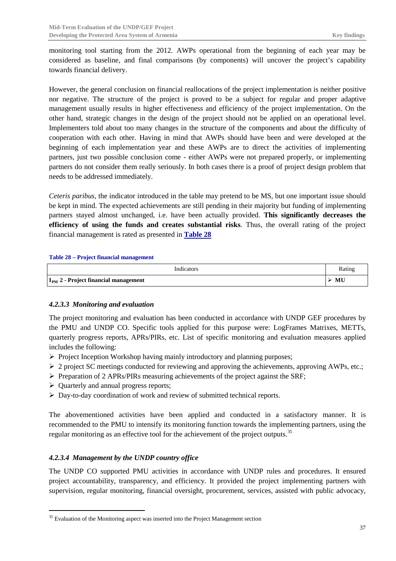monitoring tool starting from the 2012. AWPs operational from the beginning of each year may be considered as baseline, and final comparisons (by components) will uncover the project's capability towards financial delivery.

However, the general conclusion on financial reallocations of the project implementation is neither positive nor negative. The structure of the project is proved to be a subject for regular and proper adaptive management usually results in higher effectiveness and efficiency of the project implementation. On the other hand, strategic changes in the design of the project should not be applied on an operational level. Implementers told about too many changes in the structure of the components and about the difficulty of cooperation with each other. Having in mind that AWPs should have been and were developed at the beginning of each implementation year and these AWPs are to direct the activities of implementing partners, just two possible conclusion come - either AWPs were not prepared properly, or implementing partners do not consider them really seriously. In both cases there is a proof of project design problem that needs to be addressed immediately.

*Ceteris paribus*, the indicator introduced in the table may pretend to be MS, but one important issue should be kept in mind. The expected achievements are still pending in their majority but funding of implementing partners stayed almost unchanged, i.e. have been actually provided. **This significantly decreases the efficiency of using the funds and creates substantial risks**. Thus, the overall rating of the project financial management is rated as presented in **[Table 28](#page-38-2)**

#### <span id="page-38-2"></span>**Table 28 – Project financial management**

| Indicators                                       | Ratin <sub>i</sub> |
|--------------------------------------------------|--------------------|
| I <sub>PM</sub> 2 - Project financial management | MU                 |

#### <span id="page-38-0"></span>*4.2.3.3 Monitoring and evaluation*

The project monitoring and evaluation has been conducted in accordance with UNDP GEF procedures by the PMU and UNDP CO. Specific tools applied for this purpose were: LogFrames Matrixes, METTs, quarterly progress reports, APRs/PIRs, etc. List of specific monitoring and evaluation measures applied includes the following:

- $\triangleright$  Project Inception Workshop having mainly introductory and planning purposes;
- $\geq 2$  project SC meetings conducted for reviewing and approving the achievements, approving AWPs, etc.;
- $\triangleright$  Preparation of 2 APRs/PIRs measuring achievements of the project against the SRF;
- $\triangleright$  Ouarterly and annual progress reports;
- $\triangleright$  Day-to-day coordination of work and review of submitted technical reports.

The abovementioned activities have been applied and conducted in a satisfactory manner. It is recommended to the PMU to intensify its monitoring function towards the implementing partners, using the regular monitoring as an effective tool for the achievement of the project outputs.<sup>[35](#page-38-3)</sup>

### <span id="page-38-1"></span>*4.2.3.4 Management by the UNDP country office*

The UNDP CO supported PMU activities in accordance with UNDP rules and procedures. It ensured project accountability, transparency, and efficiency. It provided the project implementing partners with supervision, regular monitoring, financial oversight, procurement, services, assisted with public advocacy,

<span id="page-38-3"></span><sup>&</sup>lt;sup>35</sup> Evaluation of the Monitoring aspect was inserted into the Project Management section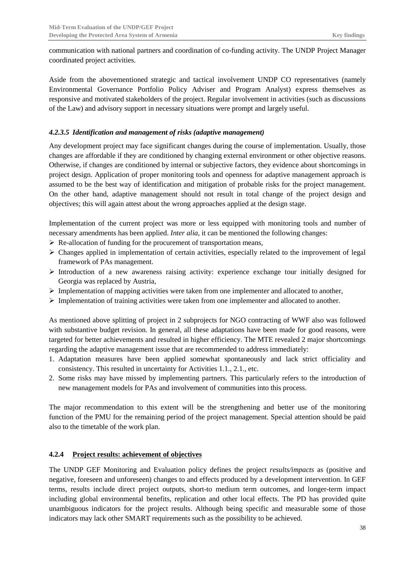communication with national partners and coordination of co-funding activity. The UNDP Project Manager coordinated project activities.

Aside from the abovementioned strategic and tactical involvement UNDP CO representatives (namely Environmental Governance Portfolio Policy Adviser and Program Analyst) express themselves as responsive and motivated stakeholders of the project. Regular involvement in activities (such as discussions of the Law) and advisory support in necessary situations were prompt and largely useful.

### <span id="page-39-0"></span>*4.2.3.5 Identification and management of risks (adaptive management)*

Any development project may face significant changes during the course of implementation. Usually, those changes are affordable if they are conditioned by changing external environment or other objective reasons. Otherwise, if changes are conditioned by internal or subjective factors, they evidence about shortcomings in project design. Application of proper monitoring tools and openness for adaptive management approach is assumed to be the best way of identification and mitigation of probable risks for the project management. On the other hand, adaptive management should not result in total change of the project design and objectives; this will again attest about the wrong approaches applied at the design stage.

Implementation of the current project was more or less equipped with monitoring tools and number of necessary amendments has been applied. *Inter alia*, it can be mentioned the following changes:

- $\triangleright$  Re-allocation of funding for the procurement of transportation means,
- $\triangleright$  Changes applied in implementation of certain activities, especially related to the improvement of legal framework of PAs management.
- $\triangleright$  Introduction of a new awareness raising activity: experience exchange tour initially designed for Georgia was replaced by Austria,
- $\triangleright$  Implementation of mapping activities were taken from one implementer and allocated to another,
- $\triangleright$  Implementation of training activities were taken from one implementer and allocated to another.

As mentioned above splitting of project in 2 subprojects for NGO contracting of WWF also was followed with substantive budget revision. In general, all these adaptations have been made for good reasons, were targeted for better achievements and resulted in higher efficiency. The MTE revealed 2 major shortcomings regarding the adaptive management issue that are recommended to address immediately:

- 1. Adaptation measures have been applied somewhat spontaneously and lack strict officiality and consistency. This resulted in uncertainty for Activities 1.1., 2.1., etc.
- 2. Some risks may have missed by implementing partners. This particularly refers to the introduction of new management models for PAs and involvement of communities into this process.

The major recommendation to this extent will be the strengthening and better use of the monitoring function of the PMU for the remaining period of the project management. Special attention should be paid also to the timetable of the work plan.

### <span id="page-39-1"></span>**4.2.4 Project results: achievement of objectives**

The UNDP GEF Monitoring and Evaluation policy defines the project *results/impacts* as (positive and negative, foreseen and unforeseen) changes to and effects produced by a development intervention. In GEF terms, results include direct project outputs, short-to medium term outcomes, and longer-term impact including global environmental benefits, replication and other local effects. The PD has provided quite unambiguous indicators for the project results. Although being specific and measurable some of those indicators may lack other SMART requirements such as the possibility to be achieved.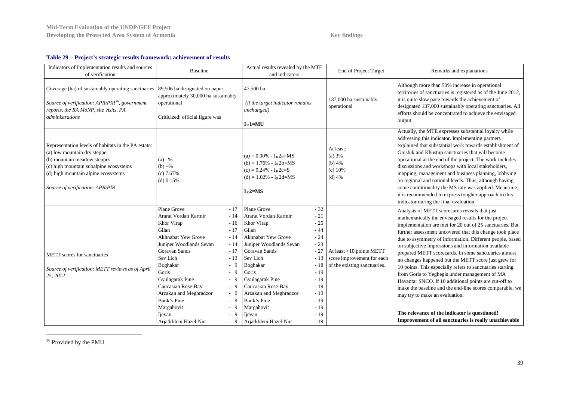<span id="page-40-1"></span>

#### **Table 29 – Project's strategic results framework: achievement of results**

| Indicators of Implementation results and sources<br>of verification                                                                                                                                                                   | <b>Baseline</b>                                                                                                                                                                                                                                                                                                                                                                                                                                         | Actual results revealed by the MTE<br>and indicators                                                                                                                                                                                                                                                                                                                                                                                                      | End of Project Target                                                                    | Remarks and explanations                                                                                                                                                                                                                                                                                                                                                                                                                                                                                                                                                                                                                                                                                                                                                                                                                        |
|---------------------------------------------------------------------------------------------------------------------------------------------------------------------------------------------------------------------------------------|---------------------------------------------------------------------------------------------------------------------------------------------------------------------------------------------------------------------------------------------------------------------------------------------------------------------------------------------------------------------------------------------------------------------------------------------------------|-----------------------------------------------------------------------------------------------------------------------------------------------------------------------------------------------------------------------------------------------------------------------------------------------------------------------------------------------------------------------------------------------------------------------------------------------------------|------------------------------------------------------------------------------------------|-------------------------------------------------------------------------------------------------------------------------------------------------------------------------------------------------------------------------------------------------------------------------------------------------------------------------------------------------------------------------------------------------------------------------------------------------------------------------------------------------------------------------------------------------------------------------------------------------------------------------------------------------------------------------------------------------------------------------------------------------------------------------------------------------------------------------------------------------|
| Coverage (ha) of sustainably operating sanctuaries   89,506 ha designated on paper,<br>Source of verification: APR/PIR <sup>36</sup> , government<br>reports, the RA MoNP, site visits, PA<br>administrations                         | approximately 30,000 ha sustainably<br>operational<br>Criticized: official figure was                                                                                                                                                                                                                                                                                                                                                                   | 47,500 ha<br>(if the target indicator remains)<br>unchanged)<br>$I_R$ 1=MU                                                                                                                                                                                                                                                                                                                                                                                | 137,000 ha sustainably<br>operational                                                    | Although more than 50% increase in operational<br>territories of sanctuaries is registered as of the June 2012,<br>it is quite slow pace towards the achievement of<br>designated 137,000 sustainably operating sanctuaries. All<br>efforts should be concentrated to achieve the envisaged<br>output.                                                                                                                                                                                                                                                                                                                                                                                                                                                                                                                                          |
| Representation levels of habitats in the PA estate:<br>(a) low mountain dry steppe<br>(b) mountain meadow steppes<br>(c) high mountain subalpine ecosystems<br>(d) high mountain alpine ecosystems<br>Source of verification: APR/PIR | $(a) -\frac{6}{6}$<br>$(b) -\%$<br>$(c)$ 7.67%<br>$(d)$ 0.15%                                                                                                                                                                                                                                                                                                                                                                                           | $(a) = 0.00\% - I_R 2a = MS$<br>$(b) = 1.76\% - I_R 2b = MS$<br>$(c) = 9.24\% - I_R 2c = S$<br>$(d) = 1.02\% - I_R2d = MS$<br>$I_R$ 2=MS                                                                                                                                                                                                                                                                                                                  | At least:<br>(a) 3%<br>(b) $4%$<br>(c) 10%<br>$(d)$ 4%                                   | Actually, the MTE expresses substantial loyalty while<br>addressing this indicator. Implementing partners<br>explained that substantial work towards establishment of<br>Gnishik and Khustup sanctuaries that will become<br>operational at the end of the project. The work includes<br>discussions and workshops with local stakeholders,<br>mapping, management and business planning, lobbying<br>on regional and national levels. Thus, although having<br>some conditionality the MS rate was applied. Meantime,<br>it is recommended to express tougher approach to this<br>indicator during the final evaluation.                                                                                                                                                                                                                       |
| METT scores for sanctuaries<br>Source of verification: METT reviews as of April<br>25, 2012                                                                                                                                           | Plane Grove<br>$-17$<br>Ararat Vordan Karmir<br>$-14$<br>Khor Virap<br>$-16$<br>Gilan<br>$-17$<br><b>Akhnabat Yew Grove</b><br>$-14$<br>Juniper Woodlands Sevan<br>$-14$<br>Goravan Sands<br>$-17$<br>Sev Lich<br>$-13$<br>Boghakar<br>$-9$<br>Goris<br>$-9$<br>Gyulagarak Pine<br>$-9$<br>Caucasian Rose-Bay<br>$-9$<br>Arzakan and Meghradzor<br>$-9$<br>Bank's Pine<br>$-9$<br>Margahovit<br>$-9$<br>$-9$<br>Ijevan<br>Arjatkhleni Hazel-Nut<br>$-9$ | Plane Grove<br>$-32$<br>Ararat Vordan Karmir<br>$-21$<br>$-25$<br>Khor Virap<br>Gilan<br>$-44$<br>Akhnabat Yew Grove<br>$-24$<br>Juniper Woodlands Sevan<br>$-23$<br>Goravan Sands<br>$-27$<br>Sev Lich<br>$-13$<br>$-18$<br>Boghakar<br>$-19$<br>Goris<br>Gyulagarak Pine<br>$-19$<br>Caucasian Rose-Bay<br>$-19$<br>Arzakan and Meghradzor<br>$-19$<br>Bank's Pine<br>$-19$<br>$-19$<br>Margahovit<br>$-19$<br>Ijevan<br>Arjatkhleni Hazel-Nut<br>$-19$ | At least $+10$ points METT<br>score improvement for each<br>of the existing sanctuaries. | Analysis of METT scorecards reveals that just<br>mathematically the envisaged results for the project<br>implementation are met for 20 out of 25 sanctuaries. But<br>further assessment uncovered that this change took place<br>due to asymmetry of information. Different people, based<br>on subjective impressions and information available<br>prepared METT scorecards. In some sanctuaries almost<br>no changes happened but the METT score just grew for<br>10 points. This especially refers to sanctuaries starting<br>from Goris to Yeghegis under management of MA<br>Hayantar SNCO. If 10 additional points are cut-off to<br>make the baseline and the end-line scores comparable, we<br>may try to make an evaluation.<br>The relevance of the indicator is questioned!<br>Improvement of all sanctuaries is really unachievable |

<span id="page-40-0"></span><sup>36</sup> Provided by the PMU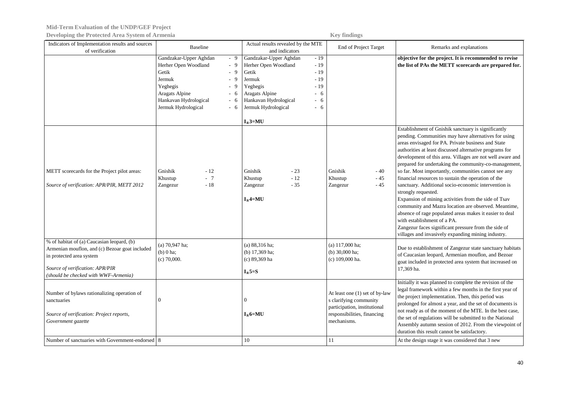| Indicators of Implementation results and sources<br>of verification                                                                                                                                 | <b>Baseline</b>                                                                                                                                                                                             | Actual results revealed by the MTE<br>and indicators                                                                                                                                                                                    | End of Project Target                                                                                                                        | Remarks and explanations                                                                                                                                                                                                                                                                                                                                                                                                                                                                                                                                                                                                                                                                                                                                                                                                                                                 |
|-----------------------------------------------------------------------------------------------------------------------------------------------------------------------------------------------------|-------------------------------------------------------------------------------------------------------------------------------------------------------------------------------------------------------------|-----------------------------------------------------------------------------------------------------------------------------------------------------------------------------------------------------------------------------------------|----------------------------------------------------------------------------------------------------------------------------------------------|--------------------------------------------------------------------------------------------------------------------------------------------------------------------------------------------------------------------------------------------------------------------------------------------------------------------------------------------------------------------------------------------------------------------------------------------------------------------------------------------------------------------------------------------------------------------------------------------------------------------------------------------------------------------------------------------------------------------------------------------------------------------------------------------------------------------------------------------------------------------------|
|                                                                                                                                                                                                     | Gandzakar-Upper Aghdan<br>$-9$<br>Herher Open Woodland<br>- 9<br>Getik<br>- 9<br>Jermuk<br>$-9$<br>Yeghegis<br>$-9$<br>Aragats Alpine<br>$-6$<br>Hankavan Hydrological<br>- 6<br>Jermuk Hydrological<br>- 6 | Gandzakar-Upper Aghdan<br>$-19$<br>Herher Open Woodland<br>$-19$<br>Getik<br>$-19$<br>$-19$<br>Jermuk<br>Yeghegis<br>$-19$<br>Aragats Alpine<br>- 6<br>Hankavan Hydrological<br>6<br>$\sim$<br>Jermuk Hydrological<br>- 6<br>$I_R$ 3=MU |                                                                                                                                              | objective for the project. It is recommended to revise<br>the list of PAs the METT scorecards are prepared for.                                                                                                                                                                                                                                                                                                                                                                                                                                                                                                                                                                                                                                                                                                                                                          |
| METT scorecards for the Project pilot areas:<br>Source of verification: APR/PIR, METT 2012                                                                                                          | Gnishik<br>$-12$<br>Khustup<br>$-7$<br>$\sim 18$<br>Zangezur                                                                                                                                                | Gnishik<br>$-23$<br>$-12$<br>Khustup<br>$-35$<br>Zangezur<br>$I_R$ 4=MU                                                                                                                                                                 | Gnishik<br>$-40$<br>Khustup<br>- 45<br>Zangezur<br>$-45$                                                                                     | Establishment of Gnishik sanctuary is significantly<br>pending. Communities may have alternatives for using<br>areas envisaged for PA. Private business and State<br>authorities at least discussed alternative programs for<br>development of this area. Villages are not well aware and<br>prepared for undertaking the community-co-management,<br>so far. Most importantly, communities cannot see any<br>financial resources to sustain the operation of the<br>sanctuary. Additional socio-economic intervention is<br>strongly requested.<br>Expansion of mining activities from the side of Tsav<br>community and Mazra location are observed. Meantime,<br>absence of rage populated areas makes it easier to deal<br>with establishment of a PA.<br>Zangezur faces significant pressure from the side of<br>villages and invasively expanding mining industry. |
| % of habitat of (a) Caucasian leopard, (b)<br>Armenian mouflon, and (c) Bezoar goat included<br>in protected area system<br>Source of verification: APR/PIR<br>(should be checked with WWF-Armenia) | (a) $70,947$ ha;<br>$(b)$ 0 ha;<br>$(c)$ 70,000.                                                                                                                                                            | $(a) 88,316$ ha;<br>(b) 17,369 ha;<br>(c) 89,369 ha<br>$I_R$ 5=S                                                                                                                                                                        | (a) 117,000 ha;<br>(b) $30,000$ ha;<br>(c) 109,000 ha.                                                                                       | Due to establishment of Zangezur state sanctuary habitats<br>of Caucasian leopard, Armenian mouflon, and Bezoar<br>goat included in protected area system that increased on<br>17,369 ha.                                                                                                                                                                                                                                                                                                                                                                                                                                                                                                                                                                                                                                                                                |
| Number of bylaws rationalizing operation of<br>sanctuaries<br>Source of verification: Project reports,<br>Government gazette<br>Number of sanctuaries with Government-endorsed 8                    | $\theta$                                                                                                                                                                                                    | $\Omega$<br>$I_R$ 6=MU<br>10                                                                                                                                                                                                            | At least one (1) set of by-law<br>s clarifying community<br>participation, institutional<br>responsibilities, financing<br>mechanisms.<br>11 | Initially it was planned to complete the revision of the<br>legal framework within a few months in the first year of<br>the project implementation. Then, this period was<br>prolonged for almost a year, and the set of documents is<br>not ready as of the moment of the MTE. In the best case,<br>the set of regulations will be submitted to the National<br>Assembly autumn session of 2012. From the viewpoint of<br>duration this result cannot be satisfactory.<br>At the design stage it was considered that 3 new                                                                                                                                                                                                                                                                                                                                              |
|                                                                                                                                                                                                     |                                                                                                                                                                                                             |                                                                                                                                                                                                                                         |                                                                                                                                              |                                                                                                                                                                                                                                                                                                                                                                                                                                                                                                                                                                                                                                                                                                                                                                                                                                                                          |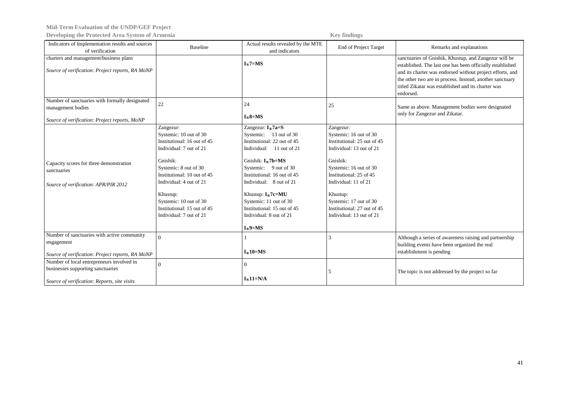**Mid-Term Evaluation of the UNDP/GEF Project**

**Developing the Protected Area System of Armenia Key findings** 

| Indicators of Implementation results and sources<br>of verification                                                            | <b>Baseline</b>                                                                                                                                                                                                                                                                              | Actual results revealed by the MTE<br>and indicators                                                                                                                                                                                                                                                                                     | End of Project Target                                                                                                                                                                                                                                                                    | Remarks and explanations                                                                                                                                                                                                                                                                                       |
|--------------------------------------------------------------------------------------------------------------------------------|----------------------------------------------------------------------------------------------------------------------------------------------------------------------------------------------------------------------------------------------------------------------------------------------|------------------------------------------------------------------------------------------------------------------------------------------------------------------------------------------------------------------------------------------------------------------------------------------------------------------------------------------|------------------------------------------------------------------------------------------------------------------------------------------------------------------------------------------------------------------------------------------------------------------------------------------|----------------------------------------------------------------------------------------------------------------------------------------------------------------------------------------------------------------------------------------------------------------------------------------------------------------|
| charters and management/business plans<br>Source of verification: Project reports, RA MoNP                                     |                                                                                                                                                                                                                                                                                              | $IB$ 7=MS                                                                                                                                                                                                                                                                                                                                |                                                                                                                                                                                                                                                                                          | sanctuaries of Gnishik, Khustup, and Zangezur will be<br>established. The last one has been officially established<br>and its charter was endorsed without project efforts, and<br>the other two are in process. Instead, another sanctuary<br>titled Zikatar was established and its charter was<br>endorsed. |
| Number of sanctuaries with formally designated<br>management bodies<br>Source of verification: Project reports, MoNP           | 22                                                                                                                                                                                                                                                                                           | 24<br>$I_R8 = MS$                                                                                                                                                                                                                                                                                                                        | 25                                                                                                                                                                                                                                                                                       | Same as above. Management bodies were designated<br>only for Zangezur and Zikatar.                                                                                                                                                                                                                             |
| Capacity scores for three demonstration<br>sanctuaries<br>Source of verification: APR/PIR 2012                                 | Zangezur:<br>Systemic: 10 out of 30<br>Institutional: 16 out of 45<br>Individual: 7 out of 21<br>Gnishik:<br>Systemic: 8 out of 30<br>Institutional: 10 out of 45<br>Individual: 4 out of 21<br>Khustup:<br>Systemic: 10 out of 30<br>Institutional: 15 out of 45<br>Individual: 7 out of 21 | Zangezur: $IR7a=S$<br>Systemic: 13 out of 30<br>Institutional: 22 out of 45<br>Individual: 11 out of 21<br>Gnishik: $IR7b=MS$<br>Systemic: 9 out of 30<br>Institutional: 16 out of 45<br>Individual: 8 out of 21<br>Khustup: $IR7c=MU$<br>Systemic: 11 out of 30<br>Institutional: 15 out of 45<br>Individual: 8 out of 21<br>$I_R$ 9=MS | Zangezur:<br>Systemic: 16 out of 30<br>Institutional: 25 out of 45<br>Individual: 13 out of 21<br>Gnishik:<br>Systemic: 16 out of 30<br>Institutional: 25 of 45<br>Individual: 11 of 21<br>Khustup:<br>Systemic: 17 out of 30<br>Institutional: 27 out of 45<br>Individual: 13 out of 21 |                                                                                                                                                                                                                                                                                                                |
| Number of sanctuaries with active community<br>engagement<br>Source of verification: Project reports, RA MoNP                  | $\Omega$                                                                                                                                                                                                                                                                                     | $I_R10=MS$                                                                                                                                                                                                                                                                                                                               | $\mathcal{R}$                                                                                                                                                                                                                                                                            | Although a series of awareness raising and partnership<br>building events have been organized the real<br>establishment is pending                                                                                                                                                                             |
| Number of local entrepreneurs involved in<br>businesses supporting sanctuaries<br>Source of verification: Reports, site visits | $\Omega$                                                                                                                                                                                                                                                                                     | $\overline{0}$<br>$I_R11=N/A$                                                                                                                                                                                                                                                                                                            | 5                                                                                                                                                                                                                                                                                        | The topic is not addressed by the project so far                                                                                                                                                                                                                                                               |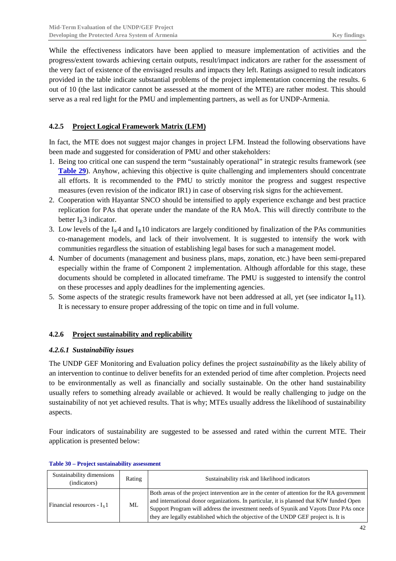While the effectiveness indicators have been applied to measure implementation of activities and the progress/extent towards achieving certain outputs, result/impact indicators are rather for the assessment of the very fact of existence of the envisaged results and impacts they left. Ratings assigned to result indicators provided in the table indicate substantial problems of the project implementation concerning the results. 6 out of 10 (the last indicator cannot be assessed at the moment of the MTE) are rather modest. This should serve as a real red light for the PMU and implementing partners, as well as for UNDP-Armenia.

### <span id="page-43-0"></span>**4.2.5 Project Logical Framework Matrix (LFM)**

In fact, the MTE does not suggest major changes in project LFM. Instead the following observations have been made and suggested for consideration of PMU and other stakeholders:

- 1. Being too critical one can suspend the term "sustainably operational" in strategic results framework (see **[Table 29](#page-40-0)**). Anyhow, achieving this objective is quite challenging and implementers should concentrate all efforts. It is recommended to the PMU to strictly monitor the progress and suggest respective measures (even revision of the indicator IR1) in case of observing risk signs for the achievement.
- 2. Cooperation with Hayantar SNCO should be intensified to apply experience exchange and best practice replication for PAs that operate under the mandate of the RA MoA. This will directly contribute to the better  $I_R$ 3 indicator.
- 3. Low levels of the  $I_R4$  and  $I_R10$  indicators are largely conditioned by finalization of the PAs communities co-management models, and lack of their involvement. It is suggested to intensify the work with communities regardless the situation of establishing legal bases for such a management model.
- 4. Number of documents (management and business plans, maps, zonation, etc.) have been semi-prepared especially within the frame of Component 2 implementation. Although affordable for this stage, these documents should be completed in allocated timeframe. The PMU is suggested to intensify the control on these processes and apply deadlines for the implementing agencies.
- 5. Some aspects of the strategic results framework have not been addressed at all, yet (see indicator  $I_R11$ ). It is necessary to ensure proper addressing of the topic on time and in full volume.

### <span id="page-43-1"></span>**4.2.6 Project sustainability and replicability**

### <span id="page-43-2"></span>*4.2.6.1 Sustainability issues*

The UNDP GEF Monitoring and Evaluation policy defines the project *sustainability* as the likely ability of an intervention to continue to deliver benefits for an extended period of time after completion. Projects need to be environmentally as well as financially and socially sustainable. On the other hand sustainability usually refers to something already available or achieved. It would be really challenging to judge on the sustainability of not yet achieved results. That is why; MTEs usually address the likelihood of sustainability aspects.

Four indicators of sustainability are suggested to be assessed and rated within the current MTE. Their application is presented below:

| Sustainability dimensions<br>(indicators) | Rating | Sustainability risk and likelihood indicators                                                                                                                                                                                                                                                                                                                         |
|-------------------------------------------|--------|-----------------------------------------------------------------------------------------------------------------------------------------------------------------------------------------------------------------------------------------------------------------------------------------------------------------------------------------------------------------------|
| Financial resources - $I_5$ 1             | ML     | Both areas of the project intervention are in the center of attention for the RA government<br>and international donor organizations. In particular, it is planned that KfW funded Open<br>Support Program will address the investment needs of Syunik and Vayots Dzor PAs once<br>they are legally established which the objective of the UNDP GEF project is. It is |

#### <span id="page-43-3"></span>**Table 30 – Project sustainability assessment**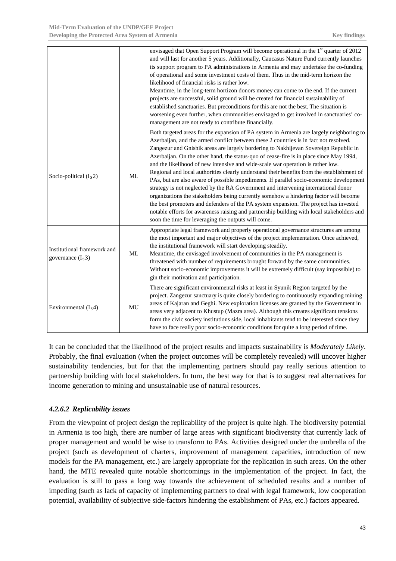|                                                    |           | envisaged that Open Support Program will become operational in the 1 <sup>st</sup> quarter of 2012<br>and will last for another 5 years. Additionally, Caucasus Nature Fund currently launches<br>its support program to PA administrations in Armenia and may undertake the co-funding<br>of operational and some investment costs of them. Thus in the mid-term horizon the<br>likelihood of financial risks is rather low.<br>Meantime, in the long-term hortizon donors money can come to the end. If the current<br>projects are successful, solid ground will be created for financial sustainability of<br>established sanctuaries. But preconditions for this are not the best. The situation is<br>worsening even further, when communities envisaged to get involved in sanctuaries' co-<br>management are not ready to contribute financially.                                                                                                                                                                                                                     |
|----------------------------------------------------|-----------|-------------------------------------------------------------------------------------------------------------------------------------------------------------------------------------------------------------------------------------------------------------------------------------------------------------------------------------------------------------------------------------------------------------------------------------------------------------------------------------------------------------------------------------------------------------------------------------------------------------------------------------------------------------------------------------------------------------------------------------------------------------------------------------------------------------------------------------------------------------------------------------------------------------------------------------------------------------------------------------------------------------------------------------------------------------------------------|
| Socio-political $(Is2)$                            | ML        | Both targeted areas for the expansion of PA system in Armenia are largely neighboring to<br>Azerbaijan, and the armed conflict between these 2 countries is in fact not resolved.<br>Zangezur and Gnishik areas are largely bordering to Nakhijevan Sovereign Republic in<br>Azerbaijan. On the other hand, the status-quo of cease-fire is in place since May 1994,<br>and the likelihood of new intensive and wide-scale war operation is rather low.<br>Regional and local authorities clearly understand their benefits from the establishment of<br>PAs, but are also aware of possible impediments. If parallel socio-economic development<br>strategy is not neglected by the RA Government and intervening international donor<br>organizations the stakeholders being currently somehow a hindering factor will become<br>the best promoters and defenders of the PA system expansion. The project has invested<br>notable efforts for awareness raising and partnership building with local stakeholders and<br>soon the time for leveraging the outputs will come. |
| Institutional framework and<br>governance $(I_s3)$ | <b>ML</b> | Appropriate legal framework and properly operational governance structures are among<br>the most important and major objectives of the project implementation. Once achieved,<br>the institutional framework will start developing steadily.<br>Meantime, the envisaged involvement of communities in the PA management is<br>threatened with number of requirements brought forward by the same communities.<br>Without socio-economic improvements it will be extremely difficult (say impossible) to<br>gin their motivation and participation.                                                                                                                                                                                                                                                                                                                                                                                                                                                                                                                            |
| Environmental $(Is4)$                              | MU        | There are significant environmental risks at least in Syunik Region targeted by the<br>project. Zangezur sanctuary is quite closely bordering to continuously expanding mining<br>areas of Kajaran and Geghi. New exploration licenses are granted by the Government in<br>areas very adjacent to Khustup (Mazra area). Although this creates significant tensions<br>form the civic society institutions side, local inhabitants tend to be interested since they<br>have to face really poor socio-economic conditions for quite a long period of time.                                                                                                                                                                                                                                                                                                                                                                                                                                                                                                                     |

It can be concluded that the likelihood of the project results and impacts sustainability is *Moderately Likely*. Probably, the final evaluation (when the project outcomes will be completely revealed) will uncover higher sustainability tendencies, but for that the implementing partners should pay really serious attention to partnership building with local stakeholders. In turn, the best way for that is to suggest real alternatives for income generation to mining and unsustainable use of natural resources.

### <span id="page-44-0"></span>*4.2.6.2 Replicability issues*

From the viewpoint of project design the replicability of the project is quite high. The biodiversity potential in Armenia is too high, there are number of large areas with significant biodiversity that currently lack of proper management and would be wise to transform to PAs. Activities designed under the umbrella of the project (such as development of charters, improvement of management capacities, introduction of new models for the PA management, etc.) are largely appropriate for the replication in such areas. On the other hand, the MTE revealed quite notable shortcomings in the implementation of the project. In fact, the evaluation is still to pass a long way towards the achievement of scheduled results and a number of impeding (such as lack of capacity of implementing partners to deal with legal framework, low cooperation potential, availability of subjective side-factors hindering the establishment of PAs, etc.) factors appeared.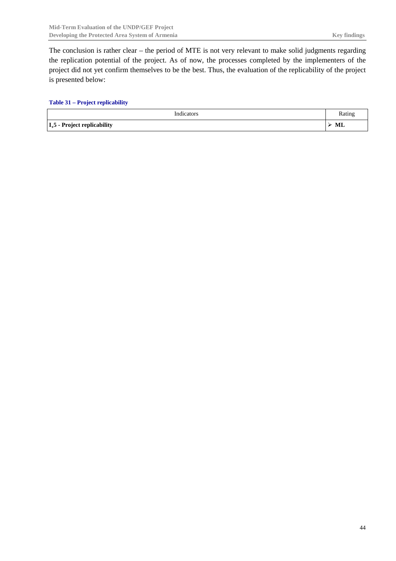The conclusion is rather clear – the period of MTE is not very relevant to make solid judgments regarding the replication potential of the project. As of now, the processes completed by the implementers of the project did not yet confirm themselves to be the best. Thus, the evaluation of the replicability of the project is presented below:

#### <span id="page-45-0"></span>**Table 31 – Project replicability**

| Indicators                           | Rating    |
|--------------------------------------|-----------|
| - Project replicability<br>$I_s$ 5 - | <b>ML</b> |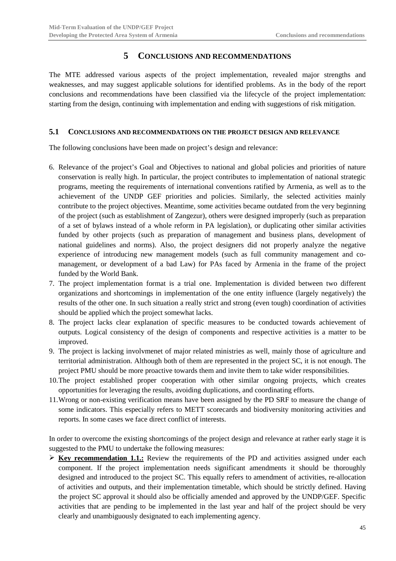### **5 CONCLUSIONS AND RECOMMENDATIONS**

<span id="page-46-0"></span>The MTE addressed various aspects of the project implementation, revealed major strengths and weaknesses, and may suggest applicable solutions for identified problems. As in the body of the report conclusions and recommendations have been classified via the lifecycle of the project implementation: starting from the design, continuing with implementation and ending with suggestions of risk mitigation.

#### <span id="page-46-1"></span>**5.1 CONCLUSIONS AND RECOMMENDATIONS ON THE PROJECT DESIGN AND RELEVANCE**

The following conclusions have been made on project's design and relevance:

- 6. Relevance of the project's Goal and Objectives to national and global policies and priorities of nature conservation is really high. In particular, the project contributes to implementation of national strategic programs, meeting the requirements of international conventions ratified by Armenia, as well as to the achievement of the UNDP GEF priorities and policies. Similarly, the selected activities mainly contribute to the project objectives. Meantime, some activities became outdated from the very beginning of the project (such as establishment of Zangezur), others were designed improperly (such as preparation of a set of bylaws instead of a whole reform in PA legislation), or duplicating other similar activities funded by other projects (such as preparation of management and business plans, development of national guidelines and norms). Also, the project designers did not properly analyze the negative experience of introducing new management models (such as full community management and comanagement, or development of a bad Law) for PAs faced by Armenia in the frame of the project funded by the World Bank.
- 7. The project implementation format is a trial one. Implementation is divided between two different organizations and shortcomings in implementation of the one entity influence (largely negatively) the results of the other one. In such situation a really strict and strong (even tough) coordination of activities should be applied which the project somewhat lacks.
- 8. The project lacks clear explanation of specific measures to be conducted towards achievement of outputs. Logical consistency of the design of components and respective activities is a matter to be improved.
- 9. The project is lacking involvmenet of major related ministries as well, mainly those of agriculture and territorial administration. Although both of them are represented in the project SC, it is not enough. The project PMU should be more proactive towards them and invite them to take wider responsibilities.
- 10.The project established proper cooperation with other similar ongoing projects, which creates opportunities for leveraging the results, avoiding duplications, and coordinating efforts.
- 11.Wrong or non-existing verification means have been assigned by the PD SRF to measure the change of some indicators. This especially refers to METT scorecards and biodiversity monitoring activities and reports. In some cases we face direct conflict of interests.

In order to overcome the existing shortcomings of the project design and relevance at rather early stage it is suggested to the PMU to undertake the following measures:

 $\triangleright$  **Key recommendation 1.1.:** Review the requirements of the PD and activities assigned under each component. If the project implementation needs significant amendments it should be thoroughly designed and introduced to the project SC. This equally refers to amendment of activities, re-allocation of activities and outputs, and their implementation timetable, which should be strictly defined. Having the project SC approval it should also be officially amended and approved by the UNDP/GEF. Specific activities that are pending to be implemented in the last year and half of the project should be very clearly and unambiguously designated to each implementing agency.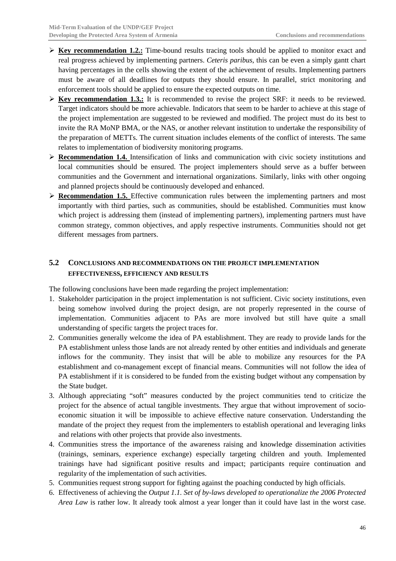- $\triangleright$  **Key recommendation 1.2.:** Time-bound results tracing tools should be applied to monitor exact and real progress achieved by implementing partners. *Ceteris paribus*, this can be even a simply gantt chart having percentages in the cells showing the extent of the achievement of results. Implementing partners must be aware of all deadlines for outputs they should ensure. In parallel, strict monitoring and enforcement tools should be applied to ensure the expected outputs on time.
- **Key recommendation 1.3.:** It is recommended to revise the project SRF: it needs to be reviewed. Target indicators should be more achievable. Indicators that seem to be harder to achieve at this stage of the project implementation are suggested to be reviewed and modified. The project must do its best to invite the RA MoNP BMA, or the NAS, or another relevant institution to undertake the responsibility of the preparation of METTs. The current situation includes elements of the conflict of interests. The same relates to implementation of biodiversity monitoring programs.
- **Recommendation 1.4.** Intensification of links and communication with civic society institutions and local communities should be ensured. The project implementers should serve as a buffer between communities and the Government and international organizations. Similarly, links with other ongoing and planned projects should be continuously developed and enhanced.
- **Recommendation 1.5.** Effective communication rules between the implementing partners and most importantly with third parties, such as communities, should be established. Communities must know which project is addressing them (instead of implementing partners), implementing partners must have common strategy, common objectives, and apply respective instruments. Communities should not get different messages from partners.

## <span id="page-47-0"></span>**5.2 CONCLUSIONS AND RECOMMENDATIONS ON THE PROJECT IMPLEMENTATION EFFECTIVENESS, EFFICIENCY AND RESULTS**

The following conclusions have been made regarding the project implementation:

- 1. Stakeholder participation in the project implementation is not sufficient. Civic society institutions, even being somehow involved during the project design, are not properly represented in the course of implementation. Communities adjacent to PAs are more involved but still have quite a small understanding of specific targets the project traces for.
- 2. Communities generally welcome the idea of PA establishment. They are ready to provide lands for the PA establishment unless those lands are not already rented by other entities and individuals and generate inflows for the community. They insist that will be able to mobilize any resources for the PA establishment and co-management except of financial means. Communities will not follow the idea of PA establishment if it is considered to be funded from the existing budget without any compensation by the State budget.
- 3. Although appreciating "soft" measures conducted by the project communities tend to criticize the project for the absence of actual tangible investments. They argue that without improvement of socioeconomic situation it will be impossible to achieve effective nature conservation. Understanding the mandate of the project they request from the implementers to establish operational and leveraging links and relations with other projects that provide also investments.
- 4. Communities stress the importance of the awareness raising and knowledge dissemination activities (trainings, seminars, experience exchange) especially targeting children and youth. Implemented trainings have had significant positive results and impact; participants require continuation and regularity of the implementation of such activities.
- 5. Communities request strong support for fighting against the poaching conducted by high officials.
- 6. Effectiveness of achieving the *Output 1.1. Set of by-laws developed to operationalize the 2006 Protected Area Law* is rather low. It already took almost a year longer than it could have last in the worst case.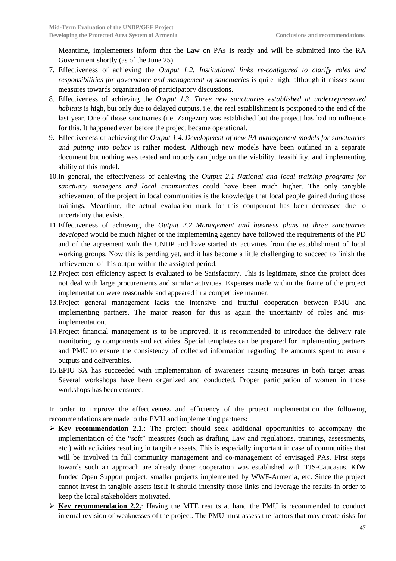Meantime, implementers inform that the Law on PAs is ready and will be submitted into the RA Government shortly (as of the June 25).

- 7. Effectiveness of achieving the *Output 1.2. Institutional links re-configured to clarify roles and responsibilities for governance and management of sanctuaries* is quite high, although it misses some measures towards organization of participatory discussions.
- 8. Effectiveness of achieving the *Output 1.3. Three new sanctuaries established at underrepresented habitats* is high, but only due to delayed outputs, i.e. the real establishment is postponed to the end of the last year. One of those sanctuaries (i.e. Zangezur) was established but the project has had no influence for this. It happened even before the project became operational.
- 9. Effectiveness of achieving the *Output 1.4. Development of new PA management models for sanctuaries and putting into policy* is rather modest. Although new models have been outlined in a separate document but nothing was tested and nobody can judge on the viability, feasibility, and implementing ability of this model.
- 10.In general, the effectiveness of achieving the *Output 2.1 National and local training programs for sanctuary managers and local communities* could have been much higher. The only tangible achievement of the project in local communities is the knowledge that local people gained during those trainings. Meantime, the actual evaluation mark for this component has been decreased due to uncertainty that exists.
- 11.Effectiveness of achieving the *Output 2.2 Management and business plans at three sanctuaries developed* would be much higher of the implementing agency have followed the requirements of the PD and of the agreement with the UNDP and have started its activities from the establishment of local working groups. Now this is pending yet, and it has become a little challenging to succeed to finish the achievement of this output within the assigned period.
- 12.Project cost efficiency aspect is evaluated to be Satisfactory. This is legitimate, since the project does not deal with large procurements and similar activities. Expenses made within the frame of the project implementation were reasonable and appeared in a competitive manner.
- 13.Project general management lacks the intensive and fruitful cooperation between PMU and implementing partners. The major reason for this is again the uncertainty of roles and misimplementation.
- 14.Project financial management is to be improved. It is recommended to introduce the delivery rate monitoring by components and activities. Special templates can be prepared for implementing partners and PMU to ensure the consistency of collected information regarding the amounts spent to ensure outputs and deliverables.
- 15.EPIU SA has succeeded with implementation of awareness raising measures in both target areas. Several workshops have been organized and conducted. Proper participation of women in those workshops has been ensured.

In order to improve the effectiveness and efficiency of the project implementation the following recommendations are made to the PMU and implementing partners:

- $\triangleright$  **Key recommendation 2.1.**: The project should seek additional opportunities to accompany the implementation of the "soft" measures (such as drafting Law and regulations, trainings, assessments, etc.) with activities resulting in tangible assets. This is especially important in case of communities that will be involved in full community management and co-management of envisaged PAs. First steps towards such an approach are already done: cooperation was established with TJS-Caucasus, KfW funded Open Support project, smaller projects implemented by WWF-Armenia, etc. Since the project cannot invest in tangible assets itself it should intensify those links and leverage the results in order to keep the local stakeholders motivated.
- $\triangleright$  **Key recommendation 2.2.**: Having the MTE results at hand the PMU is recommended to conduct internal revision of weaknesses of the project. The PMU must assess the factors that may create risks for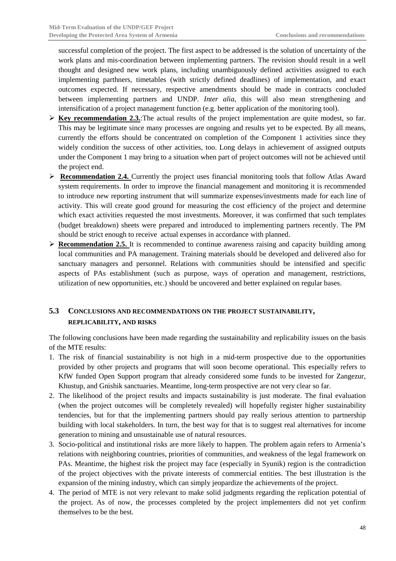successful completion of the project. The first aspect to be addressed is the solution of uncertainty of the work plans and mis-coordination between implementing partners. The revision should result in a well thought and designed new work plans, including unambiguously defined activities assigned to each implementing parthners, timetables (with strictly defined deadlines) of implementation, and exact outcomes expected. If necessary, respective amendments should be made in contracts concluded between implementing partners and UNDP. *Inter alia*, this will also mean strengthening and intensification of a project management function (e.g. better application of the monitoring tool).

- **Key recommendation 2.3.**:The actual results of the project implementation are quite modest, so far. This may be legitimate since many processes are ongoing and results yet to be expected. By all means, currently the efforts should be concentrated on completion of the Component 1 activities since they widely condition the success of other activities, too. Long delays in achievement of assigned outputs under the Component 1 may bring to a situation when part of project outcomes will not be achieved until the project end.
- **Recommendation 2.4.** Currently the project uses financial monitoring tools that follow Atlas Award system requirements. In order to improve the financial management and monitoring it is recommended to introduce new reporting instrument that will summarize expenses/investments made for each line of activity. This will create good ground for measuring the cost efficiency of the project and determine which exact activities requested the most investments. Moreover, it was confirmed that such templates (budget breakdown) sheets were prepared and introduced to implementing partners recently. The PM should be strict enough to receive actual expenses in accordance with planned.
- **Recommendation 2.5.** It is recommended to continue awareness raising and capacity building among local communities and PA management. Training materials should be developed and delivered also for sanctuary managers and personnel. Relations with communities should be intensified and specific aspects of PAs establishment (such as purpose, ways of operation and management, restrictions, utilization of new opportunities, etc.) should be uncovered and better explained on regular bases.

## <span id="page-49-0"></span>**5.3 CONCLUSIONS AND RECOMMENDATIONS ON THE PROJECT SUSTAINABILITY, REPLICABILITY, AND RISKS**

The following conclusions have been made regarding the sustainability and replicability issues on the basis of the MTE results:

- 1. The risk of financial sustainability is not high in a mid-term prospective due to the opportunities provided by other projects and programs that will soon become operational. This especially refers to KfW funded Open Support program that already considered some funds to be invested for Zangezur, Khustup, and Gnishik sanctuaries. Meantime, long-term prospective are not very clear so far.
- 2. The likelihood of the project results and impacts sustainability is just moderate. The final evaluation (when the project outcomes will be completely revealed) will hopefully register higher sustainability tendencies, but for that the implementing partners should pay really serious attention to partnership building with local stakeholders. In turn, the best way for that is to suggest real alternatives for income generation to mining and unsustainable use of natural resources.
- 3. Socio-political and institutional risks are more likely to happen. The problem again refers to Armenia's relations with neighboring countries, priorities of communities, and weakness of the legal framework on PAs. Meantime, the highest risk the project may face (especially in Syunik) region is the contradiction of the project objectives with the private interests of commercial entities. The best illustration is the expansion of the mining industry, which can simply jeopardize the achievements of the project.
- 4. The period of MTE is not very relevant to make solid judgments regarding the replication potential of the project. As of now, the processes completed by the project implementers did not yet confirm themselves to be the best.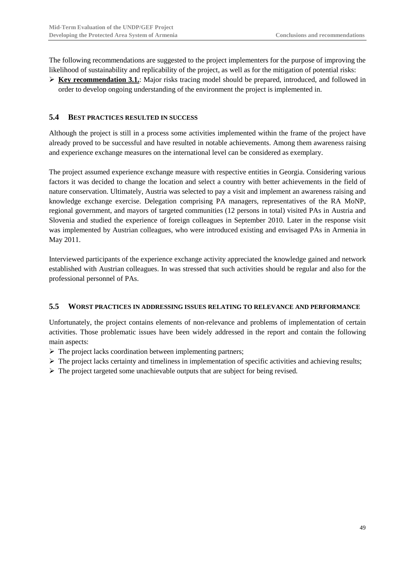The following recommendations are suggested to the project implementers for the purpose of improving the likelihood of sustainability and replicability of the project, as well as for the mitigation of potential risks:

 $\triangleright$  **Key recommendation 3.1.**: Major risks tracing model should be prepared, introduced, and followed in order to develop ongoing understanding of the environment the project is implemented in.

### <span id="page-50-0"></span>**5.4 BEST PRACTICES RESULTED IN SUCCESS**

Although the project is still in a process some activities implemented within the frame of the project have already proved to be successful and have resulted in notable achievements. Among them awareness raising and experience exchange measures on the international level can be considered as exemplary.

The project assumed experience exchange measure with respective entities in Georgia. Considering various factors it was decided to change the location and select a country with better achievements in the field of nature conservation. Ultimately, Austria was selected to pay a visit and implement an awareness raising and knowledge exchange exercise. Delegation comprising PA managers, representatives of the RA MoNP, regional government, and mayors of targeted communities (12 persons in total) visited PAs in Austria and Slovenia and studied the experience of foreign colleagues in September 2010. Later in the response visit was implemented by Austrian colleagues, who were introduced existing and envisaged PAs in Armenia in May 2011.

Interviewed participants of the experience exchange activity appreciated the knowledge gained and network established with Austrian colleagues. In was stressed that such activities should be regular and also for the professional personnel of PAs.

#### <span id="page-50-1"></span>**5.5 WORST PRACTICES IN ADDRESSING ISSUES RELATING TO RELEVANCE AND PERFORMANCE**

Unfortunately, the project contains elements of non-relevance and problems of implementation of certain activities. Those problematic issues have been widely addressed in the report and contain the following main aspects:

- $\triangleright$  The project lacks coordination between implementing partners;
- $\triangleright$  The project lacks certainty and timeliness in implementation of specific activities and achieving results;
- $\triangleright$  The project targeted some unachievable outputs that are subject for being revised.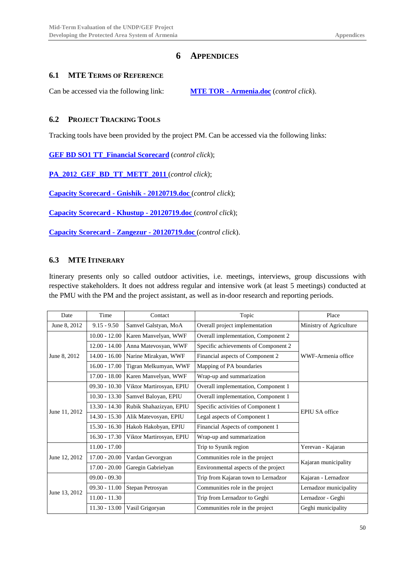## **6 APPENDICES**

### <span id="page-51-1"></span><span id="page-51-0"></span>**6.1 MTE TERMS OF REFERENCE**

Can be accessed via the following link: **MTE TOR - Armenia.doc** (*control click*).

### <span id="page-51-2"></span>**6.2 PROJECT TRACKING TOOLS**

Tracking tools have been provided by the project PM. Can be accessed via the following links:

**GEF BD SO1 TT\_Financial Scorecard** (*control click*);

**PA\_2012\_GEF\_BD\_TT\_METT\_2011** (*control click*);

**Capacity Scorecard - Gnishik - 20120719.doc** (*control click*);

**Capacity Scorecard - Khustup - 20120719.doc** (*control click*);

**Capacity Scorecard - Zangezur - 20120719.doc** (*control click*).

### <span id="page-51-3"></span>**6.3 MTE ITINERARY**

Itinerary presents only so called outdoor activities, i.e. meetings, interviews, group discussions with respective stakeholders. It does not address regular and intensive work (at least 5 meetings) conducted at the PMU with the PM and the project assistant, as well as in-door research and reporting periods.

| Date                          | Time            | Contact                  | Topic                                | Place                   |
|-------------------------------|-----------------|--------------------------|--------------------------------------|-------------------------|
| $9.15 - 9.50$<br>June 8, 2012 |                 | Samvel Galstyan, MoA     | Overall project implementation       | Ministry of Agriculture |
|                               | $10.00 - 12.00$ | Karen Manvelyan, WWF     | Overall implementation, Component 2  |                         |
|                               | $12.00 - 14.00$ | Anna Matevosyan, WWF     | Specific achievements of Component 2 |                         |
| June 8, 2012                  | $14.00 - 16.00$ | Narine Mirakyan, WWF     | Financial aspects of Component 2     | WWF-Armenia office      |
|                               | $16.00 - 17.00$ | Tigran Melkumyan, WWF    | Mapping of PA boundaries             |                         |
|                               | $17.00 - 18.00$ | Karen Manvelyan, WWF     | Wrap-up and summarization            |                         |
|                               | $09.30 - 10.30$ | Viktor Martirosyan, EPIU | Overall implementation, Component 1  |                         |
|                               | $10.30 - 13.30$ | Samvel Baloyan, EPIU     | Overall implementation, Component 1  |                         |
| June 11, 2012                 | $13.30 - 14.30$ | Rubik Shahazizyan, EPIU  | Specific activities of Component 1   | <b>EPIU SA</b> office   |
|                               | $14.30 - 15.30$ | Alik Matevosyan, EPIU    | Legal aspects of Component 1         |                         |
|                               | $15.30 - 16.30$ | Hakob Hakobyan, EPIU     | Financial Aspects of component 1     |                         |
|                               | $16.30 - 17.30$ | Viktor Martirosyan, EPIU | Wrap-up and summarization            |                         |
| $11.00 - 17.00$               |                 |                          | Trip to Syunik region                | Yerevan - Kajaran       |
| June 12, 2012                 | $17.00 - 20.00$ | Vardan Gevorgyan         | Communities role in the project      |                         |
|                               | $17.00 - 20.00$ | Garegin Gabrielyan       | Environmental aspects of the project | Kajaran municipality    |
|                               | $09.00 - 09.30$ |                          | Trip from Kajaran town to Lernadzor  | Kajaran - Lernadzor     |
|                               | $09.30 - 11.00$ | Stepan Petrosyan         | Communities role in the project      | Lernadzor municipality  |
| June 13, 2012                 | $11.00 - 11.30$ |                          | Trip from Lernadzor to Geghi         | Lernadzor - Geghi       |
|                               | $11.30 - 13.00$ | Vasil Grigoryan          | Communities role in the project      | Geghi municipality      |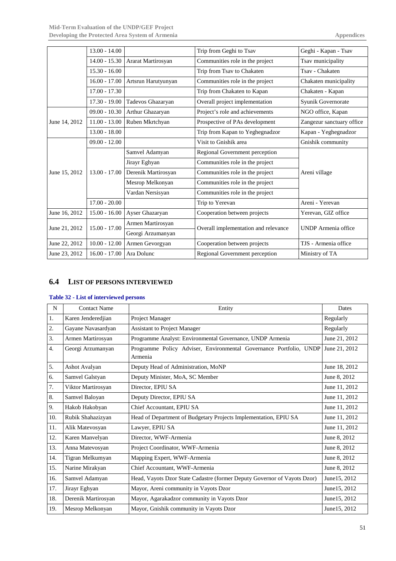|               | $13.00 - 14.00$ |                     | Trip from Geghi to Tsav              | Geghi - Kapan - Tsav       |
|---------------|-----------------|---------------------|--------------------------------------|----------------------------|
|               | $14.00 - 15.30$ | Ararat Martirosyan  | Communities role in the project      | Tsav municipality          |
|               | $15.30 - 16.00$ |                     | Trip from Tsav to Chakaten           | Tsav - Chakaten            |
|               | $16.00 - 17.00$ | Artsrun Harutyunyan | Communities role in the project      | Chakaten municipality      |
|               | $17.00 - 17.30$ |                     | Trip from Chakaten to Kapan          | Chakaten - Kapan           |
|               | $17.30 - 19.00$ | Tadevos Ghazaryan   | Overall project implementation       | Syunik Governorate         |
|               | $09.00 - 10.30$ | Arthur Ghazaryan    | Project's role and achievements      | NGO office, Kapan          |
| June 14, 2012 | $11.00 - 13.00$ | Ruben Mkrtchyan     | Prospective of PAs development       | Zangezur sanctuary office  |
|               | $13.00 - 18.00$ |                     | Trip from Kapan to Yeghegnadzor      | Kapan - Yeghegnadzor       |
|               | $09.00 - 12.00$ |                     | Visit to Gnishik area                | Gnishik community          |
|               |                 | Samvel Adamyan      | Regional Government perception       |                            |
|               |                 | Jirayr Eghyan       | Communities role in the project      |                            |
| June 15, 2012 | $13.00 - 17.00$ | Derenik Martirosyan | Communities role in the project      | Areni village              |
|               |                 | Mesrop Melkonyan    | Communities role in the project      |                            |
|               |                 | Vardan Nersisyan    | Communities role in the project      |                            |
|               | $17.00 - 20.00$ |                     | Trip to Yerevan                      | Areni - Yerevan            |
| June 16, 2012 | $15.00 - 16.00$ | Ayser Ghazaryan     | Cooperation between projects         | Yerevan, GIZ office        |
| June 21, 2012 | $15.00 - 17.00$ | Armen Martirosyan   | Overall implementation and relevance | <b>UNDP</b> Armenia office |
|               |                 | Georgi Arzumanyan   |                                      |                            |
| June 22, 2012 | $10.00 - 12.00$ | Armen Gevorgyan     | Cooperation between projects         | TJS - Armenia office       |
| June 23, 2012 | $16.00 - 17.00$ | Ara Dolunc          | Regional Government perception       | Ministry of TA             |

### <span id="page-52-0"></span>**6.4 LIST OF PERSONS INTERVIEWED**

### <span id="page-52-1"></span>**Table 32 - List of interviewed persons**

| N   | <b>Contact Name</b> | Entity                                                                        | Dates         |
|-----|---------------------|-------------------------------------------------------------------------------|---------------|
| 1.  | Karen Jenderedjian  | Project Manager                                                               | Regularly     |
| 2.  | Gayane Navasardyan  | <b>Assistant to Project Manager</b>                                           | Regularly     |
| 3.  | Armen Martirosyan   | Programme Analyst: Environmental Governance, UNDP Armenia                     | June 21, 2012 |
| 4.  | Georgi Arzumanyan   | Programme Policy Adviser, Environmental Governance Portfolio, UNDP<br>Armenia | June 21, 2012 |
| 5.  | Ashot Avalyan       | Deputy Head of Administration, MoNP                                           | June 18, 2012 |
| 6.  | Samvel Galstyan     | Deputy Minister, MoA, SC Member                                               | June 8, 2012  |
| 7.  | Viktor Martirosyan  | Director, EPIU SA                                                             | June 11, 2012 |
| 8.  | Samvel Baloyan      | Deputy Director, EPIU SA                                                      | June 11, 2012 |
| 9.  | Hakob Hakobyan      | Chief Accountant, EPIU SA                                                     | June 11, 2012 |
| 10. | Rubik Shahazizyan   | Head of Department of Budgetary Projects Implementation, EPIU SA              | June 11, 2012 |
| 11. | Alik Matevosyan     | Lawyer, EPIU SA                                                               | June 11, 2012 |
| 12. | Karen Manvelyan     | Director, WWF-Armenia                                                         | June 8, 2012  |
| 13. | Anna Matevosyan     | Project Coordinator, WWF-Armenia                                              | June 8, 2012  |
| 14. | Tigran Melkumyan    | Mapping Expert, WWF-Armenia                                                   | June 8, 2012  |
| 15. | Narine Mirakyan     | Chief Accountant, WWF-Armenia                                                 | June 8, 2012  |
| 16. | Samvel Adamyan      | Head, Vayots Dzor State Cadastre (former Deputy Governor of Vayots Dzor)      | June15, 2012  |
| 17. | Jirayr Eghyan       | Mayor, Areni community in Vayots Dzor                                         | June 15, 2012 |
| 18. | Derenik Martirosyan | Mayor, Agarakadzor community in Vayots Dzor                                   | June 15, 2012 |
| 19. | Mesrop Melkonyan    | Mayor, Gnishik community in Vayots Dzor                                       | June15, 2012  |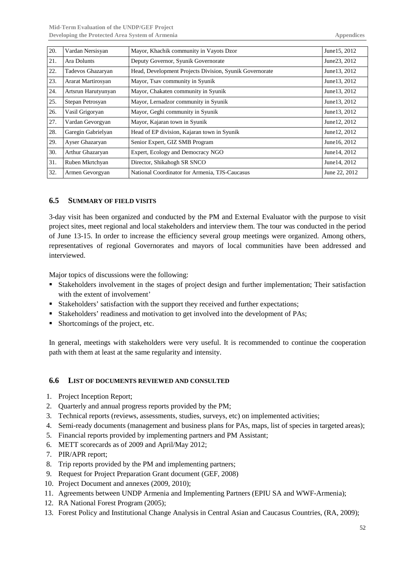| 20. | Vardan Nersisyan    | Mayor, Khachik community in Vayots Dzor                 | June 15, 2012 |
|-----|---------------------|---------------------------------------------------------|---------------|
| 21. | Ara Dolunts         | Deputy Governor, Syunik Governorate                     | June 23, 2012 |
| 22. | Tadevos Ghazaryan   | Head, Development Projects Division, Syunik Governorate | June13, 2012  |
| 23. | Ararat Martirosyan  | Mayor, Tsav community in Syunik                         | June 13, 2012 |
| 24. | Artsrun Harutyunyan | Mayor, Chakaten community in Syunik                     | June 13, 2012 |
| 25. | Stepan Petrosyan    | Mayor, Lernadzor community in Syunik                    | June 13, 2012 |
| 26. | Vasil Grigoryan     | Mayor, Geghi community in Syunik                        | June 13, 2012 |
| 27. | Vardan Gevorgyan    | Mayor, Kajaran town in Syunik                           | June 12, 2012 |
| 28. | Garegin Gabrielyan  | Head of EP division, Kajaran town in Syunik             | June 12, 2012 |
| 29. | Ayser Ghazaryan     | Senior Expert, GIZ SMB Program                          | June 16, 2012 |
| 30. | Arthur Ghazaryan    | Expert, Ecology and Democracy NGO                       | June 14, 2012 |
| 31. | Ruben Mkrtchyan     | Director, Shikahogh SR SNCO                             | June 14, 2012 |
| 32. | Armen Gevorgyan     | National Coordinator for Armenia, TJS-Caucasus          | June 22, 2012 |

### <span id="page-53-0"></span>**6.5 SUMMARY OF FIELD VISITS**

3-day visit has been organized and conducted by the PM and External Evaluator with the purpose to visit project sites, meet regional and local stakeholders and interview them. The tour was conducted in the period of June 13-15. In order to increase the efficiency several group meetings were organized. Among others, representatives of regional Governorates and mayors of local communities have been addressed and interviewed.

Major topics of discussions were the following:

- Stakeholders involvement in the stages of project design and further implementation; Their satisfaction with the extent of involvement'
- Stakeholders' satisfaction with the support they received and further expectations;
- Stakeholders' readiness and motivation to get involved into the development of PAs;
- Shortcomings of the project, etc.

In general, meetings with stakeholders were very useful. It is recommended to continue the cooperation path with them at least at the same regularity and intensity.

#### <span id="page-53-1"></span>**6.6 LIST OF DOCUMENTS REVIEWED AND CONSULTED**

- 1. Project Inception Report;
- 2. Quarterly and annual progress reports provided by the PM;
- 3. Technical reports (reviews, assessments, studies, surveys, etc) on implemented activities;
- 4. Semi-ready documents (management and business plans for PAs, maps, list of species in targeted areas);
- 5. Financial reports provided by implementing partners and PM Assistant;
- 6. METT scorecards as of 2009 and April/May 2012;
- 7. PIR/APR report;
- 8. Trip reports provided by the PM and implementing partners;
- 9. Request for Project Preparation Grant document (GEF, 2008)
- 10. Project Document and annexes (2009, 2010);
- 11. Agreements between UNDP Armenia and Implementing Partners (EPIU SA and WWF-Armenia);
- 12. RA National Forest Program (2005);
- 13. Forest Policy and Institutional Change Analysis in Central Asian and Caucasus Countries, (RA, 2009);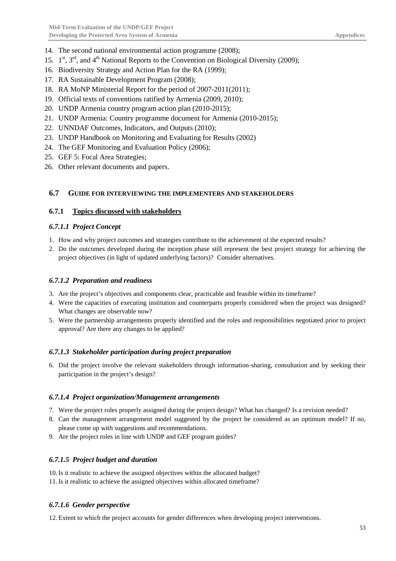- 14. The second national environmental action programme (2008);
- 15.  $1^{st}$ ,  $3^{rd}$ , and  $4^{th}$  National Reports to the Convention on Biological Diversity (2009);
- 16. Biodiversity Strategy and Action Plan for the RA (1999);
- 17. RA Sustainable Development Program (2008);
- 18. RA MoNP Ministerial Report for the period of 2007-2011(2011);
- 19. Official texts of conventions ratified by Armenia (2009, 2010);
- 20. UNDP Armenia country program action plan (2010-2015);
- 21. UNDP Armenia: Country programme document for Armenia (2010-2015);
- 22. UNNDAF Outcomes, Indicators, and Outputs (2010);
- 23. UNDP Handbook on Monitoring and Evaluating for Results (2002)
- 24. The GEF Monitoring and Evaluation Policy (2006);
- 25. GEF 5: Focal Area Strategies;
- 26. Other relevant documents and papers.

### <span id="page-54-0"></span>**6.7 GUIDE FOR INTERVIEWING THE IMPLEMENTERS AND STAKEHOLDERS**

#### <span id="page-54-1"></span>**6.7.1 Topics discussed with stakeholders**

### <span id="page-54-2"></span>*6.7.1.1 Project Concept*

- 1. How and why project outcomes and strategies contribute to the achievement of the expected results?
- 2. Do the outcomes developed during the inception phase still represent the best project strategy for achieving the project objectives (in light of updated underlying factors)? Consider alternatives.

#### <span id="page-54-3"></span>*6.7.1.2 Preparation and readiness*

- 3. Are the project's objectives and components clear, practicable and feasible within its timeframe?
- 4. Were the capacities of executing institution and counterparts properly considered when the project was designed? What changes are observable now?
- 5. Were the partnership arrangements properly identified and the roles and responsibilities negotiated prior to project approval? Are there any changes to be applied?

#### <span id="page-54-4"></span>*6.7.1.3 Stakeholder participation during project preparation*

6. Did the project involve the relevant stakeholders through information-sharing, consultation and by seeking their participation in the project's design?

#### <span id="page-54-5"></span>*6.7.1.4 Project organization/Management arrangements*

- 7. Were the project roles properly assigned during the project design? What has changed? Is a revision needed?
- 8. Can the management arrangement model suggested by the project be considered as an optimum model? If no, please come up with suggestions and recommendations.
- 9. Are the project roles in line with UNDP and GEF program guides?

### <span id="page-54-6"></span>*6.7.1.5 Project budget and duration*

10.Is it realistic to achieve the assigned objectives within the allocated budget?

11.Is it realistic to achieve the assigned objectives within allocated timeframe?

### <span id="page-54-7"></span>*6.7.1.6 Gender perspective*

12. Extent to which the project accounts for gender differences when developing project interventions.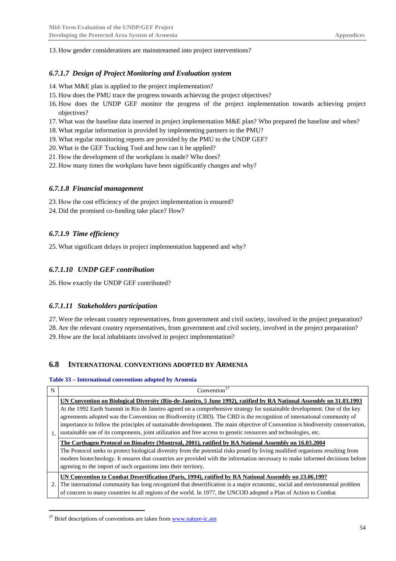13. How gender considerations are mainstreamed into project interventions?

#### <span id="page-55-0"></span>*6.7.1.7 Design of Project Monitoring and Evaluation system*

- 14. What M&E plan is applied to the project implementation?
- 15. How does the PMU trace the progress towards achieving the project objectives?
- 16. How does the UNDP GEF monitor the progress of the project implementation towards achieving project objectives?
- 17. What was the baseline data inserted in project implementation M&E plan? Who prepared the baseline and when?
- 18. What regular information is provided by implementing partners to the PMU?
- 19. What regular monitoring reports are provided by the PMU to the UNDP GEF?
- 20. What is the GEF Tracking Tool and how can it be applied?
- 21. How the development of the workplans is made? Who does?
- 22. How many times the workplans have been significantly changes and why?

#### <span id="page-55-1"></span>*6.7.1.8 Financial management*

23. How the cost efficiency of the project implementation is ensured?

24. Did the promised co-funding take place? How?

### <span id="page-55-2"></span>*6.7.1.9 Time efficiency*

25. What significant delays in project implementation happened and why?

### <span id="page-55-3"></span>*6.7.1.10 UNDP GEF contribution*

26. How exactly the UNDP GEF contributed?

#### <span id="page-55-4"></span>*6.7.1.11 Stakeholders participation*

27. Were the relevant country representatives, from government and civil society, involved in the project preparation? 28. Are the relevant country representatives, from government and civil society, involved in the project preparation? 29. How are the local inhabitants involved in project implementation?

#### <span id="page-55-5"></span>**6.8 INTERNATIONAL CONVENTIONS ADOPTED BY ARMENIA**

#### <span id="page-55-6"></span>**Table 33 – International conventions adopted by Armenia**

| N  | Convention <sup>37</sup>                                                                                                       |  |  |  |  |  |  |
|----|--------------------------------------------------------------------------------------------------------------------------------|--|--|--|--|--|--|
|    | UN Convention on Biological Diversity (Rio-de-Janeiro, 5 June 1992), ratified by RA National Assembly on 31.03.1993            |  |  |  |  |  |  |
|    | At the 1992 Earth Summit in Rio de Janeiro agreed on a comprehensive strategy for sustainable development. One of the key      |  |  |  |  |  |  |
|    | agreements adopted was the Convention on Biodiversity (CBD). The CBD is the recognition of international community of          |  |  |  |  |  |  |
|    | importance to follow the principles of sustainable development. The main objective of Convention is biodiversity conservation, |  |  |  |  |  |  |
| 1. | sustainable use of its components, joint utilization and free access to genetic resources and technologies, etc.               |  |  |  |  |  |  |
|    | The Carthagen Protocol on Biosafety (Montreal, 2001), ratified by RA National Assembly on 16.03.2004                           |  |  |  |  |  |  |
|    | The Protocol seeks to protect biological diversity from the potential risks posed by living modified organisms resulting from  |  |  |  |  |  |  |
|    | modern biotechnology. It ensures that countries are provided with the information necessary to make informed decisions before  |  |  |  |  |  |  |
|    | agreeing to the import of such organisms into their territory.                                                                 |  |  |  |  |  |  |
|    | UN Convention to Combat Desertification (Paris, 1994), ratified by RA National Assembly on 23.06.1997                          |  |  |  |  |  |  |
| 2. | The international community has long recognized that desertification is a major economic, social and environmental problem     |  |  |  |  |  |  |
|    | of concern to many countries in all regions of the world. In 1977, the UNCOD adopted a Plan of Action to Combat                |  |  |  |  |  |  |

<span id="page-55-7"></span> $37$  Brief descriptions of conventions are taken fro[m www.nature-ic.am](http://www.nature-ic.am/)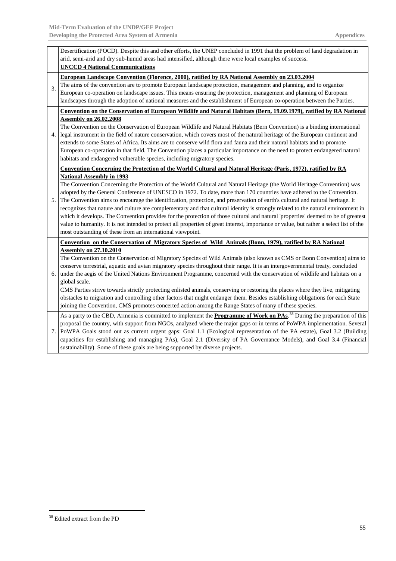|    | Desertification (POCD). Despite this and other efforts, the UNEP concluded in 1991 that the problem of land degradation in                  |
|----|---------------------------------------------------------------------------------------------------------------------------------------------|
|    | arid, semi-arid and dry sub-humid areas had intensified, although there were local examples of success.                                     |
|    | <b>UNCCD 4 National Communications</b>                                                                                                      |
|    | European Landscape Convention (Florence, 2000), ratified by RA National Assembly on 23.03.2004                                              |
| 3. | The aims of the convention are to promote European landscape protection, management and planning, and to organize                           |
|    | European co-operation on landscape issues. This means ensuring the protection, management and planning of European                          |
|    | landscapes through the adoption of national measures and the establishment of European co-operation between the Parties.                    |
|    | Convention on the Conservation of European Wildlife and Natural Habitats (Bern, 19.09.1979), ratified by RA National                        |
|    | <b>Assembly on 26.02.2008</b>                                                                                                               |
|    | The Convention on the Conservation of European Wildlife and Natural Habitats (Bern Convention) is a binding international                   |
| 4. | legal instrument in the field of nature conservation, which covers most of the natural heritage of the European continent and               |
|    | extends to some States of Africa. Its aims are to conserve wild flora and fauna and their natural habitats and to promote                   |
|    | European co-operation in that field. The Convention places a particular importance on the need to protect endangered natural                |
|    | habitats and endangered vulnerable species, including migratory species.                                                                    |
|    | Convention Concerning the Protection of the World Cultural and Natural Heritage (Paris, 1972), ratified by RA                               |
|    | <b>National Assembly in 1993</b>                                                                                                            |
|    | The Convention Concerning the Protection of the World Cultural and Natural Heritage (the World Heritage Convention) was                     |
|    | adopted by the General Conference of UNESCO in 1972. To date, more than 170 countries have adhered to the Convention.                       |
| 5. | The Convention aims to encourage the identification, protection, and preservation of earth's cultural and natural heritage. It              |
|    | recognizes that nature and culture are complementary and that cultural identity is strongly related to the natural environment in           |
|    | which it develops. The Convention provides for the protection of those cultural and natural 'properties' deemed to be of greatest           |
|    | value to humanity. It is not intended to protect all properties of great interest, importance or value, but rather a select list of the     |
|    | most outstanding of these from an international viewpoint.                                                                                  |
|    | Convention on the Conservation of Migratory Species of Wild Animals (Bonn, 1979), ratified by RA National                                   |
|    | <b>Assembly on 27.10.2010</b>                                                                                                               |
|    | The Convention on the Conservation of Migratory Species of Wild Animals (also known as CMS or Bonn Convention) aims to                      |
|    | conserve terrestrial, aquatic and avian migratory species throughout their range. It is an intergovernmental treaty, concluded              |
| 6. | under the aegis of the United Nations Environment Programme, concerned with the conservation of wildlife and habitats on a                  |
|    | global scale.                                                                                                                               |
|    | CMS Parties strive towards strictly protecting enlisted animals, conserving or restoring the places where they live, mitigating             |
|    | obstacles to migration and controlling other factors that might endanger them. Besides establishing obligations for each State              |
|    | joining the Convention, CMS promotes concerted action among the Range States of many of these species.                                      |
|    | As a party to the CBD, Armenia is committed to implement the <b>Programme of Work on PAs</b> . <sup>38</sup> During the preparation of this |
|    | proposal the country, with support from NGOs, analyzed where the major gaps or in terms of PoWPA implementation. Several                    |
| 7. | PoWPA Goals stood out as current urgent gaps: Goal 1.1 (Ecological representation of the PA estate), Goal 3.2 (Building                     |
|    | capacities for establishing and managing PAs), Goal 2.1 (Diversity of PA Governance Models), and Goal 3.4 (Financial                        |
|    | sustainability). Some of these goals are being supported by diverse projects.                                                               |

<span id="page-56-0"></span> <sup>38</sup> Edited extract from the PD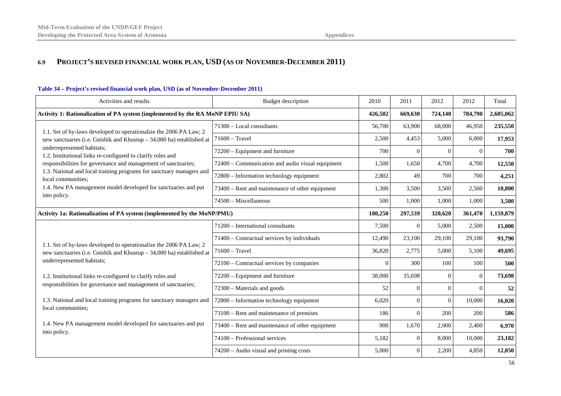### **6.9 PROJECT'S REVISED FINANCIAL WORK PLAN, USD (AS OF NOVEMBER-DECEMBER 2011)**

<span id="page-57-1"></span><span id="page-57-0"></span>

| Activities and results                                                                                                                                                    | <b>Budget description</b>                        | 2010     | 2011     | 2012           | 2012     | Total     |
|---------------------------------------------------------------------------------------------------------------------------------------------------------------------------|--------------------------------------------------|----------|----------|----------------|----------|-----------|
| Activity 1: Rationalization of PA system (implemented by the RA MoNP EPIU SA)                                                                                             |                                                  |          | 669,630  | 724,140        | 784,790  | 2,605,062 |
| 1.1. Set of by-laws developed to operationalize the 2006 PA Law; 2                                                                                                        | 71300 - Local consultants                        | 56,700   | 63,900   | 68,000         | 46,950   | 235,550   |
| new sanctuaries (i.e. Gnishik and Khustup - 34,000 ha) established at                                                                                                     | $71600 - Travel$                                 | 2,500    | 4,453    | 5,000          | 6,000    | 17,953    |
| underrepresented habitats;<br>1.2. Institutional links re-configured to clarify roles and                                                                                 | 72200 - Equipment and furniture                  | 700      | $\Omega$ | $\Omega$       | $\Omega$ | 700       |
| responsibilities for governance and management of sanctuaries;                                                                                                            | 72400 - Communication and audio visual equipment | 1,500    | 1,650    | 4,700          | 4,700    | 12,550    |
| 1.3. National and local training programs for sanctuary managers and<br>local communities;                                                                                | 72800 – Information technology equipment         | 2,802    | 49       | 700            | 700      | 4,251     |
| 1.4. New PA management model developed for sanctuaries and put                                                                                                            | 73400 – Rent and maintenance of other equipment  | 1,300    | 3,500    | 3,500          | 2,500    | 10,800    |
| into policy.                                                                                                                                                              | 74500 - Miscellaneous                            | 500      | 1,000    | 1,000          | 1,000    | 3,500     |
| Activity 1a: Rationalization of PA system (implemented by the MoNP/PMU)                                                                                                   |                                                  | 180,250  | 297,539  | 320,620        | 361,470  | 1,159,879 |
|                                                                                                                                                                           | 71200 - International consultants                | 7,500    | $\theta$ | 5,000          | 2,500    | 15,000    |
|                                                                                                                                                                           | 71400 – Contractual services by individuals      | 12,490   | 23,100   | 29,100         | 29,100   | 93,790    |
| 1.1. Set of by-laws developed to operationalize the 2006 PA Law; 2<br>new sanctuaries (i.e. Gnishik and Khustup - 34,000 ha) established at<br>underrepresented habitats; | $71600 - Travel$                                 | 36,820   | 2,775    | 5,000          | 5,100    | 49,695    |
|                                                                                                                                                                           | 72100 - Contractual services by companies        | $\Omega$ | 300      | 100            | 100      | 500       |
| 1.2. Institutional links re-configured to clarify roles and                                                                                                               | 72200 – Equipment and furniture                  | 38,000   | 35,698   | $\Omega$       | $\Omega$ | 73,698    |
| responsibilities for governance and management of sanctuaries;                                                                                                            | 72300 – Materials and goods                      | 52       | $\Omega$ | $\Omega$       | $\Omega$ | 52        |
| 1.3. National and local training programs for sanctuary managers and                                                                                                      | 72800 - Information technology equipment         | 6,020    | $\Omega$ | $\overline{0}$ | 10,000   | 16,020    |
| local communities;                                                                                                                                                        | 73100 - Rent and maintenance of premises         | 186      | $\Omega$ | 200            | 200      | 586       |
| 1.4. New PA management model developed for sanctuaries and put                                                                                                            | 73400 – Rent and maintenance of other equipment  | 900      | 1,670    | 2,000          | 2,400    | 6,970     |
| into policy.                                                                                                                                                              | 74100 - Professional services                    | 5,182    | $\Omega$ | 8,000          | 10,000   | 23,182    |
|                                                                                                                                                                           | 74200 – Audio visual and printing costs          | 5,000    | $\Omega$ | 2,200          | 4,850    | 12,050    |

#### **Table 34 – Project's revised financial work plan, USD (as of November-December 2011)**